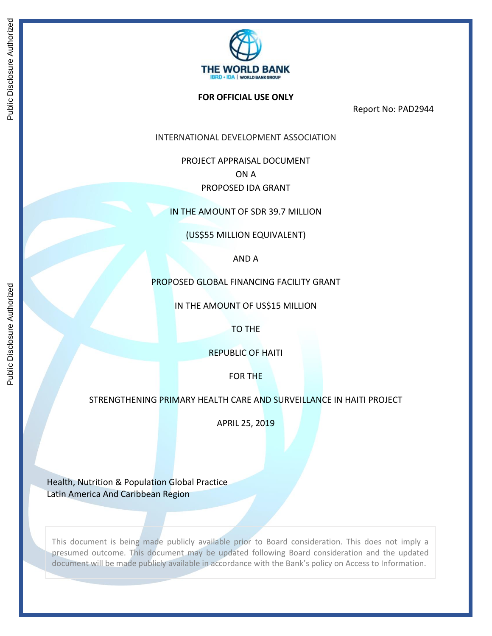

#### **FOR OFFICIAL USE ONLY**

Report No: PAD2944

INTERNATIONAL DEVELOPMENT ASSOCIATION

PROJECT APPRAISAL DOCUMENT ON A PROPOSED IDA GRANT

IN THE AMOUNT OF SDR 39.7 MILLION

(US\$55 MILLION EQUIVALENT)

AND A

PROPOSED GLOBAL FINANCING FACILITY GRANT

IN THE AMOUNT OF US\$15 MILLION

TO THE

REPUBLIC OF HAITI

FOR THE

STRENGTHENING PRIMARY HEALTH CARE AND SURVEILLANCE IN HAITI PROJECT

APRIL 25, 2019

Health, Nutrition & Population Global Practice Latin America And Caribbean Region

This document is being made publicly available prior to Board consideration. This does not imply a presumed outcome. This document may be updated following Board consideration and the updated document will be made publicly available in accordance with the Bank's policy on Access to Information.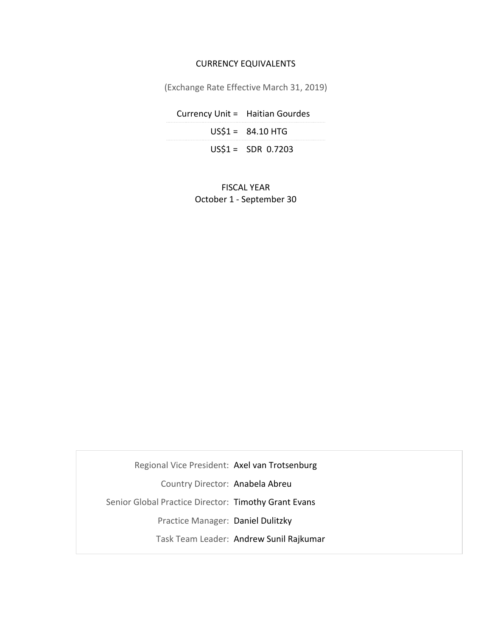#### CURRENCY EQUIVALENTS

(Exchange Rate Effective March 31, 2019)

Currency Unit = Haitian Gourdes US\$1 = 84.10 HTG US\$1 = SDR 0.7203

> FISCAL YEAR October 1 - September 30

Regional Vice President: Axel van Trotsenburg Country Director: Anabela Abreu Senior Global Practice Director: Timothy Grant Evans Practice Manager: Daniel Dulitzky Task Team Leader: Andrew Sunil Rajkumar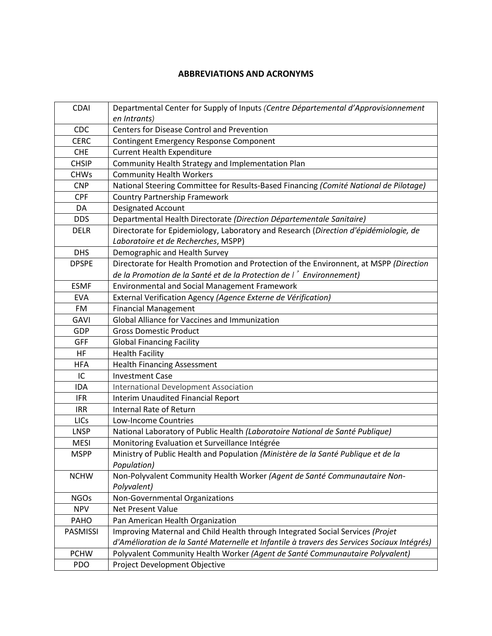#### **ABBREVIATIONS AND ACRONYMS**

| <b>CDAI</b>  | Departmental Center for Supply of Inputs (Centre Départemental d'Approvisionnement          |  |  |  |  |
|--------------|---------------------------------------------------------------------------------------------|--|--|--|--|
|              | en Intrants)                                                                                |  |  |  |  |
| <b>CDC</b>   | <b>Centers for Disease Control and Prevention</b>                                           |  |  |  |  |
| <b>CERC</b>  | Contingent Emergency Response Component                                                     |  |  |  |  |
| <b>CHE</b>   | <b>Current Health Expenditure</b>                                                           |  |  |  |  |
| <b>CHSIP</b> | Community Health Strategy and Implementation Plan                                           |  |  |  |  |
| <b>CHWs</b>  | <b>Community Health Workers</b>                                                             |  |  |  |  |
| <b>CNP</b>   | National Steering Committee for Results-Based Financing (Comité National de Pilotage)       |  |  |  |  |
| <b>CPF</b>   | <b>Country Partnership Framework</b>                                                        |  |  |  |  |
| DA           | <b>Designated Account</b>                                                                   |  |  |  |  |
| <b>DDS</b>   | Departmental Health Directorate (Direction Départementale Sanitaire)                        |  |  |  |  |
| <b>DELR</b>  | Directorate for Epidemiology, Laboratory and Research (Direction d'épidémiologie, de        |  |  |  |  |
|              | Laboratoire et de Recherches, MSPP)                                                         |  |  |  |  |
| <b>DHS</b>   | Demographic and Health Survey                                                               |  |  |  |  |
| <b>DPSPE</b> | Directorate for Health Promotion and Protection of the Environnent, at MSPP (Direction      |  |  |  |  |
|              | de la Promotion de la Santé et de la Protection de l'Environnement)                         |  |  |  |  |
| <b>ESMF</b>  | Environmental and Social Management Framework                                               |  |  |  |  |
| <b>EVA</b>   | External Verification Agency (Agence Externe de Vérification)                               |  |  |  |  |
| <b>FM</b>    | <b>Financial Management</b>                                                                 |  |  |  |  |
| <b>GAVI</b>  | Global Alliance for Vaccines and Immunization                                               |  |  |  |  |
| <b>GDP</b>   | <b>Gross Domestic Product</b>                                                               |  |  |  |  |
| <b>GFF</b>   | <b>Global Financing Facility</b>                                                            |  |  |  |  |
| <b>HF</b>    | <b>Health Facility</b>                                                                      |  |  |  |  |
| <b>HFA</b>   | <b>Health Financing Assessment</b>                                                          |  |  |  |  |
| IC           | <b>Investment Case</b>                                                                      |  |  |  |  |
| <b>IDA</b>   | <b>International Development Association</b>                                                |  |  |  |  |
| <b>IFR</b>   | <b>Interim Unaudited Financial Report</b>                                                   |  |  |  |  |
| <b>IRR</b>   | Internal Rate of Return                                                                     |  |  |  |  |
| LICs         | Low-Income Countries                                                                        |  |  |  |  |
| <b>LNSP</b>  | National Laboratory of Public Health (Laboratoire National de Santé Publique)               |  |  |  |  |
| <b>MESI</b>  | Monitoring Evaluation et Surveillance Intégrée                                              |  |  |  |  |
| <b>MSPP</b>  | Ministry of Public Health and Population (Ministère de la Santé Publique et de la           |  |  |  |  |
|              | Population)                                                                                 |  |  |  |  |
| <b>NCHW</b>  | Non-Polyvalent Community Health Worker (Agent de Santé Communautaire Non-                   |  |  |  |  |
|              | Polyvalent)                                                                                 |  |  |  |  |
| <b>NGOs</b>  | Non-Governmental Organizations                                                              |  |  |  |  |
| <b>NPV</b>   | <b>Net Present Value</b>                                                                    |  |  |  |  |
| PAHO         | Pan American Health Organization                                                            |  |  |  |  |
| PASMISSI     | Improving Maternal and Child Health through Integrated Social Services (Projet              |  |  |  |  |
|              | d'Amélioration de la Santé Maternelle et Infantile à travers des Services Sociaux Intégrés) |  |  |  |  |
| <b>PCHW</b>  | Polyvalent Community Health Worker (Agent de Santé Communautaire Polyvalent)                |  |  |  |  |
| PDO          | Project Development Objective                                                               |  |  |  |  |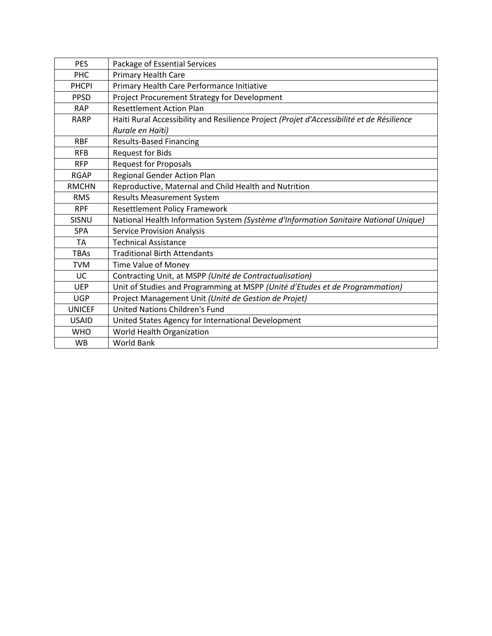| <b>PES</b>    | Package of Essential Services                                                             |  |  |  |  |
|---------------|-------------------------------------------------------------------------------------------|--|--|--|--|
| PHC           | Primary Health Care                                                                       |  |  |  |  |
| <b>PHCPI</b>  | Primary Health Care Performance Initiative                                                |  |  |  |  |
| <b>PPSD</b>   | Project Procurement Strategy for Development                                              |  |  |  |  |
| <b>RAP</b>    | <b>Resettlement Action Plan</b>                                                           |  |  |  |  |
| <b>RARP</b>   | Haiti Rural Accessibility and Resilience Project (Projet d'Accessibilité et de Résilience |  |  |  |  |
|               | Rurale en Haïti)                                                                          |  |  |  |  |
| <b>RBF</b>    | <b>Results-Based Financing</b>                                                            |  |  |  |  |
| <b>RFB</b>    | <b>Request for Bids</b>                                                                   |  |  |  |  |
| <b>RFP</b>    | <b>Request for Proposals</b>                                                              |  |  |  |  |
| <b>RGAP</b>   | <b>Regional Gender Action Plan</b>                                                        |  |  |  |  |
| <b>RMCHN</b>  | Reproductive, Maternal and Child Health and Nutrition                                     |  |  |  |  |
| <b>RMS</b>    | <b>Results Measurement System</b>                                                         |  |  |  |  |
| <b>RPF</b>    | <b>Resettlement Policy Framework</b>                                                      |  |  |  |  |
| SISNU         | National Health Information System (Système d'Information Sanitaire National Unique)      |  |  |  |  |
| <b>SPA</b>    | <b>Service Provision Analysis</b>                                                         |  |  |  |  |
| TA            | <b>Technical Assistance</b>                                                               |  |  |  |  |
| <b>TBAs</b>   | <b>Traditional Birth Attendants</b>                                                       |  |  |  |  |
| <b>TVM</b>    | Time Value of Money                                                                       |  |  |  |  |
| <b>UC</b>     | Contracting Unit, at MSPP (Unité de Contractualisation)                                   |  |  |  |  |
| <b>UEP</b>    | Unit of Studies and Programming at MSPP (Unité d'Etudes et de Programmation)              |  |  |  |  |
| <b>UGP</b>    | Project Management Unit (Unité de Gestion de Projet)                                      |  |  |  |  |
| <b>UNICEF</b> | <b>United Nations Children's Fund</b>                                                     |  |  |  |  |
| <b>USAID</b>  | United States Agency for International Development                                        |  |  |  |  |
| <b>WHO</b>    | World Health Organization                                                                 |  |  |  |  |
| <b>WB</b>     | World Bank                                                                                |  |  |  |  |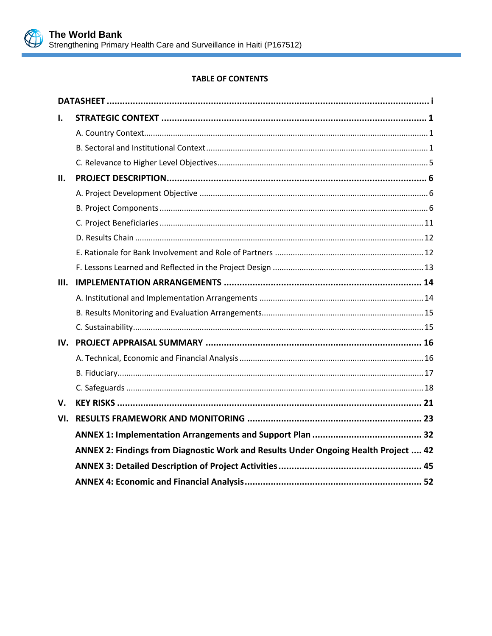

# **TABLE OF CONTENTS**

| Ι.  |                                                                                     |
|-----|-------------------------------------------------------------------------------------|
|     |                                                                                     |
|     |                                                                                     |
|     |                                                                                     |
| П.  |                                                                                     |
|     |                                                                                     |
|     |                                                                                     |
|     |                                                                                     |
|     |                                                                                     |
|     |                                                                                     |
|     |                                                                                     |
| Ш.  |                                                                                     |
|     |                                                                                     |
|     |                                                                                     |
|     |                                                                                     |
| IV. |                                                                                     |
|     |                                                                                     |
|     |                                                                                     |
|     |                                                                                     |
| V.  |                                                                                     |
| VI. |                                                                                     |
|     |                                                                                     |
|     | ANNEX 2: Findings from Diagnostic Work and Results Under Ongoing Health Project  42 |
|     |                                                                                     |
|     |                                                                                     |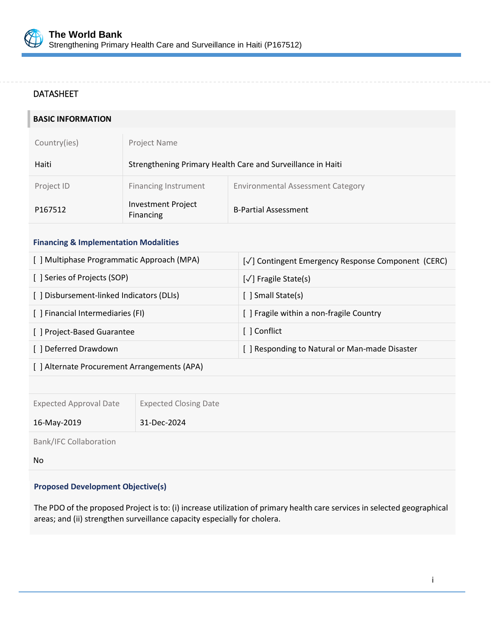

# <span id="page-5-0"></span>DATASHEET

| <b>BASIC INFORMATION</b> |                                                             |                                          |  |  |
|--------------------------|-------------------------------------------------------------|------------------------------------------|--|--|
| Country(ies)             | Project Name                                                |                                          |  |  |
| Haiti                    | Strengthening Primary Health Care and Surveillance in Haiti |                                          |  |  |
| Project ID               | <b>Financing Instrument</b>                                 | <b>Environmental Assessment Category</b> |  |  |
| P <sub>167512</sub>      | <b>Investment Project</b><br>Financing                      | <b>B-Partial Assessment</b>              |  |  |

#### **Financing & Implementation Modalities**

| [ ] Multiphase Programmatic Approach (MPA) | [√] Contingent Emergency Response Component (CERC) |
|--------------------------------------------|----------------------------------------------------|
| [ ] Series of Projects (SOP)               | $[\sqrt{}]$ Fragile State(s)                       |
| [ ] Disbursement-linked Indicators (DLIs)  | [ ] Small State(s)                                 |
| [ ] Financial Intermediaries (FI)          | [] Fragile within a non-fragile Country            |
| [ ] Project-Based Guarantee                | ์   Conflict                                       |
| [ ] Deferred Drawdown                      | [ ] Responding to Natural or Man-made Disaster     |
|                                            |                                                    |

[ ] Alternate Procurement Arrangements (APA)

Expected Closing Date

16-May-2019 31-Dec-2024

Bank/IFC Collaboration

No

# **Proposed Development Objective(s)**

The PDO of the proposed Project is to: (i) increase utilization of primary health care services in selected geographical areas; and (ii) strengthen surveillance capacity especially for cholera.

 $\overline{a}$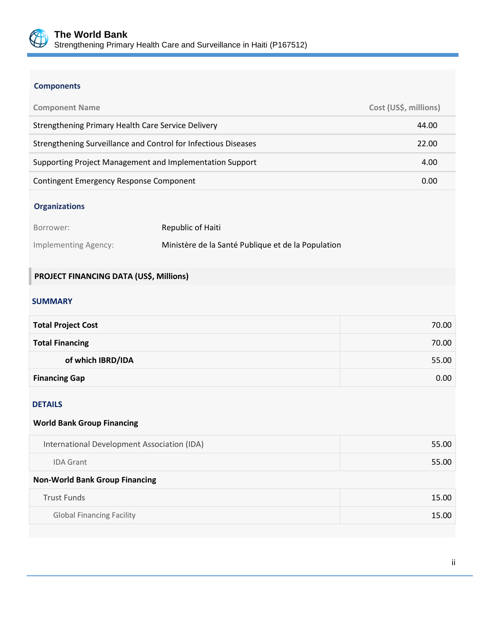

# **Components**

| <b>Component Name</b>                                          | Cost (US\$, millions) |
|----------------------------------------------------------------|-----------------------|
| Strengthening Primary Health Care Service Delivery             | 44.00                 |
| Strengthening Surveillance and Control for Infectious Diseases | 22.00                 |
| Supporting Project Management and Implementation Support       | 4.00                  |
| Contingent Emergency Response Component                        | 0.00                  |

# **Organizations**

| Borrower:            | Republic of Haiti                                  |
|----------------------|----------------------------------------------------|
| Implementing Agency: | Ministère de la Santé Publique et de la Population |

# **PROJECT FINANCING DATA (US\$, Millions)**

#### **SUMMARY**

| <b>Total Project Cost</b> | 70.00 |
|---------------------------|-------|
| <b>Total Financing</b>    | 70.00 |
| of which IBRD/IDA         | 55.00 |
| <b>Financing Gap</b>      | 0.00  |

#### DETAILS

#### **World Bank Group Financing**

| <b>Non-World Bank Group Financing</b> |  |  |  |
|---------------------------------------|--|--|--|
| 55.00                                 |  |  |  |
| 55.00                                 |  |  |  |
|                                       |  |  |  |

| Trust Funds                      | 15.00 |
|----------------------------------|-------|
| <b>Global Financing Facility</b> | 15.00 |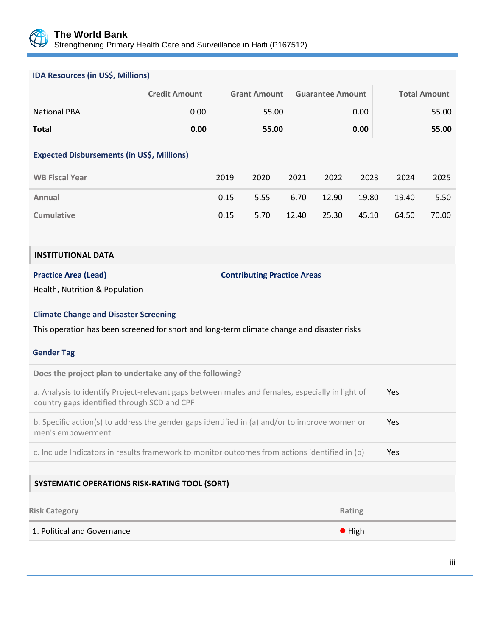

# **IDA Resources (in US\$, Millions)**

|                                                                                                                                                       | <b>Credit Amount</b> |      | <b>Grant Amount</b> |       | <b>Guarantee Amount</b> |        |       | <b>Total Amount</b> |
|-------------------------------------------------------------------------------------------------------------------------------------------------------|----------------------|------|---------------------|-------|-------------------------|--------|-------|---------------------|
| <b>National PBA</b>                                                                                                                                   | 0.00                 |      | 55.00               |       |                         | 0.00   |       | 55.00               |
| <b>Total</b>                                                                                                                                          | 0.00                 |      | 55.00               |       |                         | 0.00   |       | 55.00               |
| Expected Disbursements (in US\$, Millions)                                                                                                            |                      |      |                     |       |                         |        |       |                     |
| <b>WB Fiscal Year</b>                                                                                                                                 |                      | 2019 | 2020                | 2021  | 2022                    | 2023   | 2024  | 2025                |
| Annual                                                                                                                                                |                      | 0.15 | 5.55                | 6.70  | 12.90                   | 19.80  | 19.40 | 5.50                |
| <b>Cumulative</b>                                                                                                                                     |                      | 0.15 | 5.70                | 12.40 | 25.30                   | 45.10  | 64.50 | 70.00               |
|                                                                                                                                                       |                      |      |                     |       |                         |        |       |                     |
| <b>INSTITUTIONAL DATA</b>                                                                                                                             |                      |      |                     |       |                         |        |       |                     |
| <b>Practice Area (Lead)</b><br><b>Contributing Practice Areas</b><br>Health, Nutrition & Population<br><b>Climate Change and Disaster Screening</b>   |                      |      |                     |       |                         |        |       |                     |
| This operation has been screened for short and long-term climate change and disaster risks<br><b>Gender Tag</b>                                       |                      |      |                     |       |                         |        |       |                     |
| Does the project plan to undertake any of the following?                                                                                              |                      |      |                     |       |                         |        |       |                     |
| a. Analysis to identify Project-relevant gaps between males and females, especially in light of<br>Yes<br>country gaps identified through SCD and CPF |                      |      |                     |       |                         |        |       |                     |
| b. Specific action(s) to address the gender gaps identified in (a) and/or to improve women or<br>men's empowerment                                    |                      |      |                     |       | Yes                     |        |       |                     |
| c. Include Indicators in results framework to monitor outcomes from actions identified in (b)                                                         |                      |      |                     |       |                         | Yes    |       |                     |
| <b>SYSTEMATIC OPERATIONS RISK-RATING TOOL (SORT)</b>                                                                                                  |                      |      |                     |       |                         |        |       |                     |
| <b>Risk Category</b>                                                                                                                                  |                      |      |                     |       |                         | Rating |       |                     |
| 1. Political and Governance                                                                                                                           |                      |      |                     |       |                         | • High |       |                     |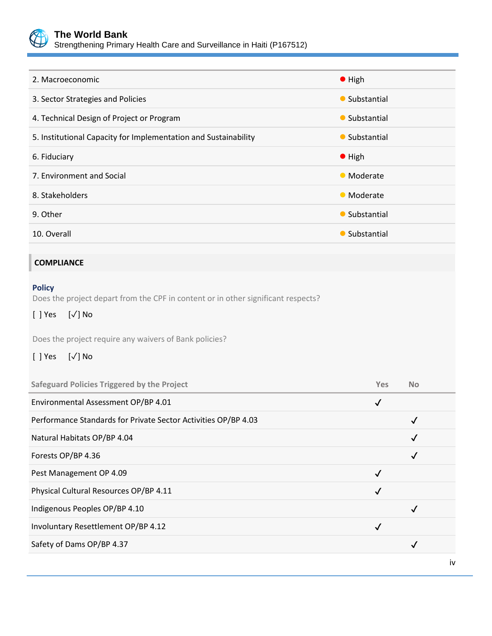

| 2. Macroeconomic                                                                                                                                                                                                                                                                 | $\bullet$ High |              |  |  |
|----------------------------------------------------------------------------------------------------------------------------------------------------------------------------------------------------------------------------------------------------------------------------------|----------------|--------------|--|--|
| 3. Sector Strategies and Policies                                                                                                                                                                                                                                                | • Substantial  |              |  |  |
| 4. Technical Design of Project or Program                                                                                                                                                                                                                                        | • Substantial  |              |  |  |
| 5. Institutional Capacity for Implementation and Sustainability                                                                                                                                                                                                                  | • Substantial  |              |  |  |
| 6. Fiduciary                                                                                                                                                                                                                                                                     | $\bullet$ High |              |  |  |
| 7. Environment and Social                                                                                                                                                                                                                                                        | • Moderate     |              |  |  |
| 8. Stakeholders                                                                                                                                                                                                                                                                  | • Moderate     |              |  |  |
| 9. Other                                                                                                                                                                                                                                                                         | • Substantial  |              |  |  |
| 10. Overall                                                                                                                                                                                                                                                                      | • Substantial  |              |  |  |
| <b>COMPLIANCE</b>                                                                                                                                                                                                                                                                |                |              |  |  |
| <b>Policy</b><br>Does the project depart from the CPF in content or in other significant respects?<br>$[\sqrt{}]$ No<br>$[ ]$ Yes<br>Does the project require any waivers of Bank policies?<br>$[\sqrt{}]$ No<br>$[ ]$ Yes<br><b>Safeguard Policies Triggered by the Project</b> | Yes            | <b>No</b>    |  |  |
| Environmental Assessment OP/BP 4.01                                                                                                                                                                                                                                              | $\checkmark$   |              |  |  |
| Performance Standards for Private Sector Activities OP/BP 4.03                                                                                                                                                                                                                   |                | $\checkmark$ |  |  |
| Natural Habitats OP/BP 4.04                                                                                                                                                                                                                                                      |                |              |  |  |
| Forests OP/BP 4.36                                                                                                                                                                                                                                                               |                |              |  |  |
| Pest Management OP 4.09                                                                                                                                                                                                                                                          | $\checkmark$   |              |  |  |
| Physical Cultural Resources OP/BP 4.11                                                                                                                                                                                                                                           | $\checkmark$   |              |  |  |
| Indigenous Peoples OP/BP 4.10                                                                                                                                                                                                                                                    |                | $\checkmark$ |  |  |
| Involuntary Resettlement OP/BP 4.12                                                                                                                                                                                                                                              | $\checkmark$   |              |  |  |
| Safety of Dams OP/BP 4.37                                                                                                                                                                                                                                                        |                | $\checkmark$ |  |  |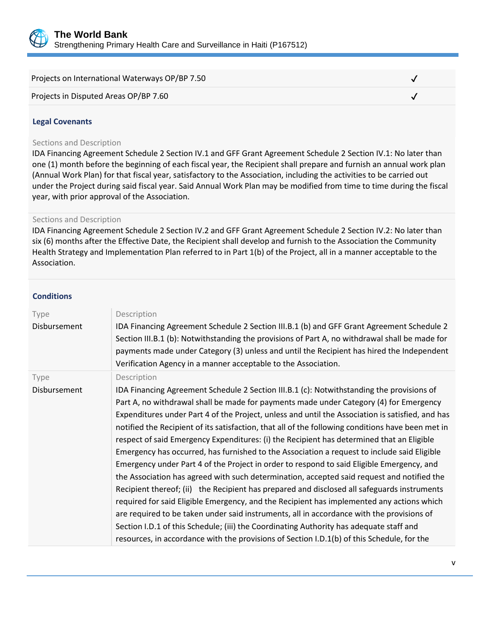

#### Projects on International Waterways OP/BP 7.50  $\bigvee$

Projects in Disputed Areas OP/BP 7.60  $\bigvee$ 



#### **Legal Covenants**

Sections and Description

IDA Financing Agreement Schedule 2 Section IV.1 and GFF Grant Agreement Schedule 2 Section IV.1: No later than one (1) month before the beginning of each fiscal year, the Recipient shall prepare and furnish an annual work plan (Annual Work Plan) for that fiscal year, satisfactory to the Association, including the activities to be carried out under the Project during said fiscal year. Said Annual Work Plan may be modified from time to time during the fiscal year, with prior approval of the Association.

#### Sections and Description

IDA Financing Agreement Schedule 2 Section IV.2 and GFF Grant Agreement Schedule 2 Section IV.2: No later than six (6) months after the Effective Date, the Recipient shall develop and furnish to the Association the Community Health Strategy and Implementation Plan referred to in Part 1(b) of the Project, all in a manner acceptable to the Association.

#### **Conditions**

| Type<br>Disbursement | Description<br>IDA Financing Agreement Schedule 2 Section III.B.1 (b) and GFF Grant Agreement Schedule 2<br>Section III.B.1 (b): Notwithstanding the provisions of Part A, no withdrawal shall be made for<br>payments made under Category (3) unless and until the Recipient has hired the Independent<br>Verification Agency in a manner acceptable to the Association.                                                                                                                                                                                                                                                                                                                                                                                                                                                                                                                                                                                                                                                                                                                                                                                                                                                                                                            |
|----------------------|--------------------------------------------------------------------------------------------------------------------------------------------------------------------------------------------------------------------------------------------------------------------------------------------------------------------------------------------------------------------------------------------------------------------------------------------------------------------------------------------------------------------------------------------------------------------------------------------------------------------------------------------------------------------------------------------------------------------------------------------------------------------------------------------------------------------------------------------------------------------------------------------------------------------------------------------------------------------------------------------------------------------------------------------------------------------------------------------------------------------------------------------------------------------------------------------------------------------------------------------------------------------------------------|
| Type<br>Disbursement | Description<br>IDA Financing Agreement Schedule 2 Section III.B.1 (c): Notwithstanding the provisions of<br>Part A, no withdrawal shall be made for payments made under Category (4) for Emergency<br>Expenditures under Part 4 of the Project, unless and until the Association is satisfied, and has<br>notified the Recipient of its satisfaction, that all of the following conditions have been met in<br>respect of said Emergency Expenditures: (i) the Recipient has determined that an Eligible<br>Emergency has occurred, has furnished to the Association a request to include said Eligible<br>Emergency under Part 4 of the Project in order to respond to said Eligible Emergency, and<br>the Association has agreed with such determination, accepted said request and notified the<br>Recipient thereof; (ii) the Recipient has prepared and disclosed all safeguards instruments<br>required for said Eligible Emergency, and the Recipient has implemented any actions which<br>are required to be taken under said instruments, all in accordance with the provisions of<br>Section I.D.1 of this Schedule; (iii) the Coordinating Authority has adequate staff and<br>resources, in accordance with the provisions of Section I.D.1(b) of this Schedule, for the |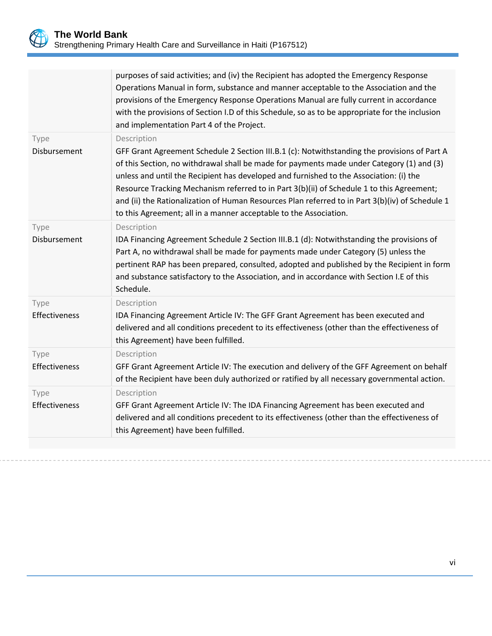

|                       | purposes of said activities; and (iv) the Recipient has adopted the Emergency Response<br>Operations Manual in form, substance and manner acceptable to the Association and the<br>provisions of the Emergency Response Operations Manual are fully current in accordance<br>with the provisions of Section I.D of this Schedule, so as to be appropriate for the inclusion<br>and implementation Part 4 of the Project.                                                                                                                                                |
|-----------------------|-------------------------------------------------------------------------------------------------------------------------------------------------------------------------------------------------------------------------------------------------------------------------------------------------------------------------------------------------------------------------------------------------------------------------------------------------------------------------------------------------------------------------------------------------------------------------|
| Type<br>Disbursement  | Description<br>GFF Grant Agreement Schedule 2 Section III.B.1 (c): Notwithstanding the provisions of Part A<br>of this Section, no withdrawal shall be made for payments made under Category (1) and (3)<br>unless and until the Recipient has developed and furnished to the Association: (i) the<br>Resource Tracking Mechanism referred to in Part 3(b)(ii) of Schedule 1 to this Agreement;<br>and (ii) the Rationalization of Human Resources Plan referred to in Part 3(b)(iv) of Schedule 1<br>to this Agreement; all in a manner acceptable to the Association. |
| Type<br>Disbursement  | Description<br>IDA Financing Agreement Schedule 2 Section III.B.1 (d): Notwithstanding the provisions of<br>Part A, no withdrawal shall be made for payments made under Category (5) unless the<br>pertinent RAP has been prepared, consulted, adopted and published by the Recipient in form<br>and substance satisfactory to the Association, and in accordance with Section I.E of this<br>Schedule.                                                                                                                                                                 |
| Type<br>Effectiveness | Description<br>IDA Financing Agreement Article IV: The GFF Grant Agreement has been executed and<br>delivered and all conditions precedent to its effectiveness (other than the effectiveness of<br>this Agreement) have been fulfilled.                                                                                                                                                                                                                                                                                                                                |
| Type<br>Effectiveness | Description<br>GFF Grant Agreement Article IV: The execution and delivery of the GFF Agreement on behalf<br>of the Recipient have been duly authorized or ratified by all necessary governmental action.                                                                                                                                                                                                                                                                                                                                                                |
| Type<br>Effectiveness | Description<br>GFF Grant Agreement Article IV: The IDA Financing Agreement has been executed and<br>delivered and all conditions precedent to its effectiveness (other than the effectiveness of<br>this Agreement) have been fulfilled.                                                                                                                                                                                                                                                                                                                                |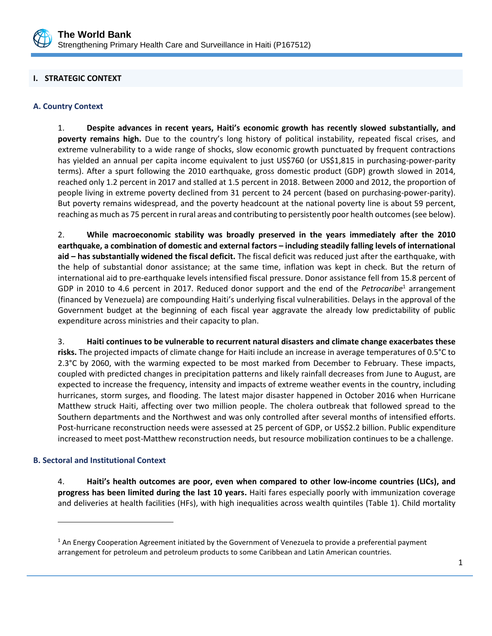

#### <span id="page-11-0"></span>**I. STRATEGIC CONTEXT**

#### <span id="page-11-1"></span>**A. Country Context**

1. **Despite advances in recent years, Haiti's economic growth has recently slowed substantially, and poverty remains high.** Due to the country's long history of political instability, repeated fiscal crises, and extreme vulnerability to a wide range of shocks, slow economic growth punctuated by frequent contractions has yielded an annual per capita income equivalent to just US\$760 (or US\$1,815 in purchasing-power-parity terms). After a spurt following the 2010 earthquake, gross domestic product (GDP) growth slowed in 2014, reached only 1.2 percent in 2017 and stalled at 1.5 percent in 2018. Between 2000 and 2012, the proportion of people living in extreme poverty declined from 31 percent to 24 percent (based on purchasing-power-parity). But poverty remains widespread, and the poverty headcount at the national poverty line is about 59 percent, reaching as much as 75 percent in rural areas and contributing to persistently poor health outcomes (see below).

2. **While macroeconomic stability was broadly preserved in the years immediately after the 2010 earthquake, a combination of domestic and external factors – including steadily falling levels of international aid – has substantially widened the fiscal deficit.** The fiscal deficit was reduced just after the earthquake, with the help of substantial donor assistance; at the same time, inflation was kept in check. But the return of international aid to pre-earthquake levels intensified fiscal pressure. Donor assistance fell from 15.8 percent of GDP in 2010 to 4.6 percent in 2017. Reduced donor support and the end of the *Petrocaribe*<sup>1</sup> arrangement (financed by Venezuela) are compounding Haiti's underlying fiscal vulnerabilities. Delays in the approval of the Government budget at the beginning of each fiscal year aggravate the already low predictability of public expenditure across ministries and their capacity to plan.

3. **Haiti continues to be vulnerable to recurrent natural disasters and climate change exacerbates these risks.** The projected impacts of climate change for Haiti include an increase in average temperatures of 0.5°C to 2.3°C by 2060, with the warming expected to be most marked from December to February. These impacts, coupled with predicted changes in precipitation patterns and likely rainfall decreases from June to August, are expected to increase the frequency, intensity and impacts of extreme weather events in the country, including hurricanes, storm surges, and flooding. The latest major disaster happened in October 2016 when Hurricane Matthew struck Haiti, affecting over two million people. The cholera outbreak that followed spread to the Southern departments and the Northwest and was only controlled after several months of intensified efforts. Post-hurricane reconstruction needs were assessed at 25 percent of GDP, or US\$2.2 billion. Public expenditure increased to meet post-Matthew reconstruction needs, but resource mobilization continues to be a challenge.

#### <span id="page-11-2"></span>**B. Sectoral and Institutional Context**

 $\overline{a}$ 

4. **Haiti's health outcomes are poor, even when compared to other low-income countries (LICs), and progress has been limited during the last 10 years.** Haiti fares especially poorly with immunization coverage and deliveries at health facilities (HFs), with high inequalities across wealth quintiles (Table 1). Child mortality

<sup>&</sup>lt;sup>1</sup> An Energy Cooperation Agreement initiated by the Government of Venezuela to provide a preferential payment arrangement for petroleum and petroleum products to some Caribbean and Latin American countries.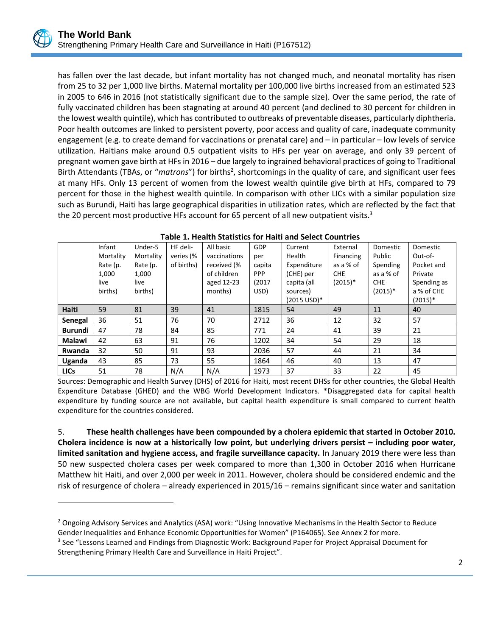has fallen over the last decade, but infant mortality has not changed much, and neonatal mortality has risen from 25 to 32 per 1,000 live births. Maternal mortality per 100,000 live births increased from an estimated 523 in 2005 to 646 in 2016 (not statistically significant due to the sample size). Over the same period, the rate of fully vaccinated children has been stagnating at around 40 percent (and declined to 30 percent for children in the lowest wealth quintile), which has contributed to outbreaks of preventable diseases, particularly diphtheria. Poor health outcomes are linked to persistent poverty, poor access and quality of care, inadequate community engagement (e.g. to create demand for vaccinations or prenatal care) and – in particular – low levels of service utilization. Haitians make around 0.5 outpatient visits to HFs per year on average, and only 39 percent of pregnant women gave birth at HFs in 2016 – due largely to ingrained behavioral practices of going to Traditional Birth Attendants (TBAs, or "*matrons*") for births<sup>2</sup>, shortcomings in the quality of care, and significant user fees at many HFs. Only 13 percent of women from the lowest wealth quintile give birth at HFs, compared to 79 percent for those in the highest wealth quintile. In comparison with other LICs with a similar population size such as Burundi, Haiti has large geographical disparities in utilization rates, which are reflected by the fact that the 20 percent most productive HFs account for 65 percent of all new outpatient visits.<sup>3</sup>

|                | Infant<br>Mortality<br>Rate (p.<br>1.000<br>live<br>births) | Under-5<br>Mortality<br>Rate (p.<br>1.000<br>live<br>births) | HF deli-<br>veries (%<br>of births) | All basic<br>vaccinations<br>received (%<br>of children<br>aged 12-23<br>months) | GDP<br>per<br>capita<br><b>PPP</b><br>(2017)<br>USD) | Current<br>Health<br>Expenditure<br>(CHE) per<br>capita (all<br>sources)<br>(2015 USD)* | External<br>Financing<br>as a % of<br><b>CHE</b><br>$(2015)*$ | Domestic<br>Public<br>Spending<br>as a % of<br><b>CHE</b><br>$(2015)*$ | Domestic<br>Out-of-<br>Pocket and<br>Private<br>Spending as<br>a % of CHE<br>$(2015)*$ |
|----------------|-------------------------------------------------------------|--------------------------------------------------------------|-------------------------------------|----------------------------------------------------------------------------------|------------------------------------------------------|-----------------------------------------------------------------------------------------|---------------------------------------------------------------|------------------------------------------------------------------------|----------------------------------------------------------------------------------------|
| <b>Haiti</b>   | 59                                                          | 81                                                           | 39                                  | 41                                                                               | 1815                                                 | 54                                                                                      | 49                                                            | 11                                                                     | 40                                                                                     |
| Senegal        | 36                                                          | 51                                                           | 76                                  | 70                                                                               | 2712                                                 | 36                                                                                      | 12                                                            | 32                                                                     | 57                                                                                     |
| <b>Burundi</b> | 47                                                          | 78                                                           | 84                                  | 85                                                                               | 771                                                  | 24                                                                                      | 41                                                            | 39                                                                     | 21                                                                                     |
| <b>Malawi</b>  | 42                                                          | 63                                                           | 91                                  | 76                                                                               | 1202                                                 | 34                                                                                      | 54                                                            | 29                                                                     | 18                                                                                     |
| <b>Rwanda</b>  | 32                                                          | 50                                                           | 91                                  | 93                                                                               | 2036                                                 | 57                                                                                      | 44                                                            | 21                                                                     | 34                                                                                     |
| Uganda         | 43                                                          | 85                                                           | 73                                  | 55                                                                               | 1864                                                 | 46                                                                                      | 40                                                            | 13                                                                     | 47                                                                                     |
| <b>LICs</b>    | 51                                                          | 78                                                           | N/A                                 | N/A                                                                              | 1973                                                 | 37                                                                                      | 33                                                            | 22                                                                     | 45                                                                                     |

**Table 1. Health Statistics for Haiti and Select Countries**

Sources: Demographic and Health Survey (DHS) of 2016 for Haiti, most recent DHSs for other countries, the Global Health Expenditure Database (GHED) and the WBG World Development Indicators. \*Disaggregated data for capital health expenditure by funding source are not available, but capital health expenditure is small compared to current health expenditure for the countries considered.

5. **These health challenges have been compounded by a cholera epidemic that started in October 2010. Cholera incidence is now at a historically low point, but underlying drivers persist – including poor water, limited sanitation and hygiene access, and fragile surveillance capacity.** In January 2019 there were less than 50 new suspected cholera cases per week compared to more than 1,300 in October 2016 when Hurricane Matthew hit Haiti, and over 2,000 per week in 2011. However, cholera should be considered endemic and the risk of resurgence of cholera – already experienced in 2015/16 – remains significant since water and sanitation

 $\overline{a}$ 

<sup>&</sup>lt;sup>2</sup> Ongoing Advisory Services and Analytics (ASA) work: "Using Innovative Mechanisms in the Health Sector to Reduce Gender Inequalities and Enhance Economic Opportunities for Women" (P164065). See Annex 2 for more.

<sup>&</sup>lt;sup>3</sup> See "Lessons Learned and Findings from Diagnostic Work: Background Paper for Project Appraisal Document for Strengthening Primary Health Care and Surveillance in Haiti Project".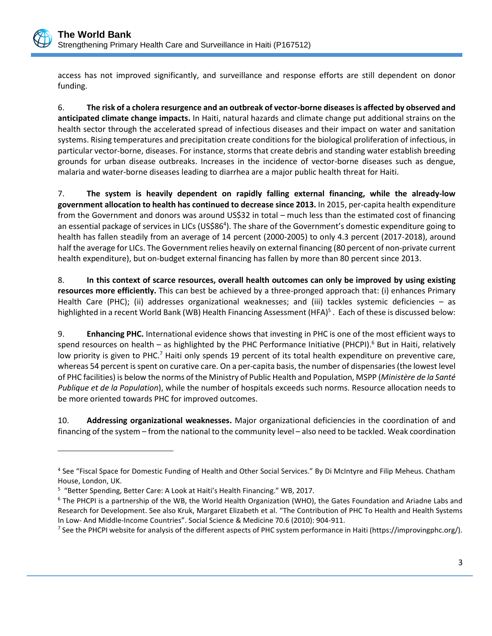

access has not improved significantly, and surveillance and response efforts are still dependent on donor funding.

6. **The risk of a cholera resurgence and an outbreak of vector-borne diseases is affected by observed and anticipated climate change impacts.** In Haiti, natural hazards and climate change put additional strains on the health sector through the accelerated spread of infectious diseases and their impact on water and sanitation systems. Rising temperatures and precipitation create conditions for the biological proliferation of infectious, in particular vector-borne, diseases. For instance, storms that create debris and standing water establish breeding grounds for urban disease outbreaks. Increases in the incidence of vector-borne diseases such as dengue, malaria and water-borne diseases leading to diarrhea are a major public health threat for Haiti.

7. **The system is heavily dependent on rapidly falling external financing, while the already-low government allocation to health has continued to decrease since 2013.** In 2015, per-capita health expenditure from the Government and donors was around US\$32 in total – much less than the estimated cost of financing an essential package of services in LICs (US\$86<sup>4</sup>). The share of the Government's domestic expenditure going to health has fallen steadily from an average of 14 percent (2000-2005) to only 4.3 percent (2017-2018), around half the average for LICs. The Government relies heavily on external financing (80 percent of non-private current health expenditure), but on-budget external financing has fallen by more than 80 percent since 2013.

8. **In this context of scarce resources, overall health outcomes can only be improved by using existing resources more efficiently.** This can best be achieved by a three-pronged approach that: (i) enhances Primary Health Care (PHC); (ii) addresses organizational weaknesses; and (iii) tackles systemic deficiencies – as highlighted in a recent World Bank (WB) Health Financing Assessment (HFA)<sup>5</sup>. Each of these is discussed below:

9. **Enhancing PHC.** International evidence shows that investing in PHC is one of the most efficient ways to spend resources on health – as highlighted by the PHC Performance Initiative (PHCPI).<sup>6</sup> But in Haiti, relatively low priority is given to PHC.<sup>7</sup> Haiti only spends 19 percent of its total health expenditure on preventive care, whereas 54 percent is spent on curative care. On a per-capita basis, the number of dispensaries (the lowest level of PHC facilities) is below the norms of the Ministry of Public Health and Population, MSPP (*Ministère de la Santé Publique et de la Population*), while the number of hospitals exceeds such norms. Resource allocation needs to be more oriented towards PHC for improved outcomes.

10. **Addressing organizational weaknesses.** Major organizational deficiencies in the coordination of and financing of the system – from the national to the community level – also need to be tackled. Weak coordination

<sup>&</sup>lt;sup>4</sup> See "Fiscal Space for Domestic Funding of Health and Other Social Services." By Di McIntyre and Filip Meheus. Chatham House, London, UK.

<sup>&</sup>lt;sup>5</sup> "Better Spending, Better Care: A Look at Haiti's Health Financing." WB, 2017.

<sup>&</sup>lt;sup>6</sup> The PHCPI is a partnership of the WB, the World Health Organization (WHO), the Gates Foundation and Ariadne Labs and Research for Development. See also Kruk, Margaret Elizabeth et al. "The Contribution of PHC To Health and Health Systems In Low- And Middle-Income Countries". Social Science & Medicine 70.6 (2010): 904-911.

<sup>&</sup>lt;sup>7</sup> See the PHCPI website for analysis of the different aspects of PHC system performance in Haiti (https://improvingphc.org/).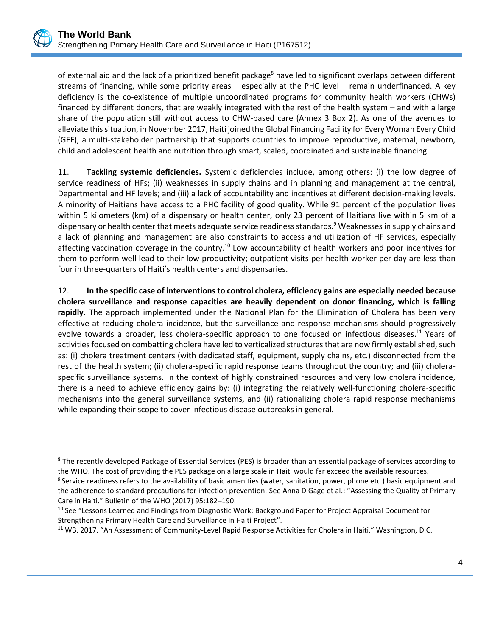of external aid and the lack of a prioritized benefit package<sup>8</sup> have led to significant overlaps between different streams of financing, while some priority areas – especially at the PHC level – remain underfinanced. A key deficiency is the co-existence of multiple uncoordinated programs for community health workers (CHWs) financed by different donors, that are weakly integrated with the rest of the health system – and with a large share of the population still without access to CHW-based care (Annex 3 Box 2). As one of the avenues to alleviate this situation, in November 2017, Haiti joined the Global Financing Facility for Every Woman Every Child (GFF), a multi-stakeholder partnership that supports countries to improve reproductive, maternal, newborn, child and adolescent health and nutrition through smart, scaled, coordinated and sustainable financing.

11. **Tackling systemic deficiencies.** Systemic deficiencies include, among others: (i) the low degree of service readiness of HFs; (ii) weaknesses in supply chains and in planning and management at the central, Departmental and HF levels; and (iii) a lack of accountability and incentives at different decision-making levels. A minority of Haitians have access to a PHC facility of good quality. While 91 percent of the population lives within 5 kilometers (km) of a dispensary or health center, only 23 percent of Haitians live within 5 km of a dispensary or health center that meets adequate service readiness standards. <sup>9</sup> Weaknesses in supply chains and a lack of planning and management are also constraints to access and utilization of HF services, especially affecting vaccination coverage in the country.<sup>10</sup> Low accountability of health workers and poor incentives for them to perform well lead to their low productivity; outpatient visits per health worker per day are less than four in three-quarters of Haiti's health centers and dispensaries.

12. **In the specific case of interventions to control cholera, efficiency gains are especially needed because cholera surveillance and response capacities are heavily dependent on donor financing, which is falling rapidly.** The approach implemented under the National Plan for the Elimination of Cholera has been very effective at reducing cholera incidence, but the surveillance and response mechanisms should progressively evolve towards a broader, less cholera-specific approach to one focused on infectious diseases.<sup>11</sup> Years of activities focused on combatting cholera have led to verticalized structures that are now firmly established, such as: (i) cholera treatment centers (with dedicated staff, equipment, supply chains, etc.) disconnected from the rest of the health system; (ii) cholera-specific rapid response teams throughout the country; and (iii) choleraspecific surveillance systems. In the context of highly constrained resources and very low cholera incidence, there is a need to achieve efficiency gains by: (i) integrating the relatively well-functioning cholera-specific mechanisms into the general surveillance systems, and (ii) rationalizing cholera rapid response mechanisms while expanding their scope to cover infectious disease outbreaks in general.

<sup>&</sup>lt;sup>8</sup> The recently developed Package of Essential Services (PES) is broader than an essential package of services according to the WHO. The cost of providing the PES package on a large scale in Haiti would far exceed the available resources.

<sup>&</sup>lt;sup>9</sup> Service readiness refers to the availability of basic amenities (water, sanitation, power, phone etc.) basic equipment and the adherence to standard precautions for infection prevention. See Anna D Gage et al.: "Assessing the Quality of Primary Care in Haiti." Bulletin of the WHO (2017) 95:182–190.

<sup>&</sup>lt;sup>10</sup> See "Lessons Learned and Findings from Diagnostic Work: Background Paper for Project Appraisal Document for Strengthening Primary Health Care and Surveillance in Haiti Project".

<sup>11</sup> WB. 2017. "An Assessment of Community-Level Rapid Response Activities for Cholera in Haiti." Washington, D.C.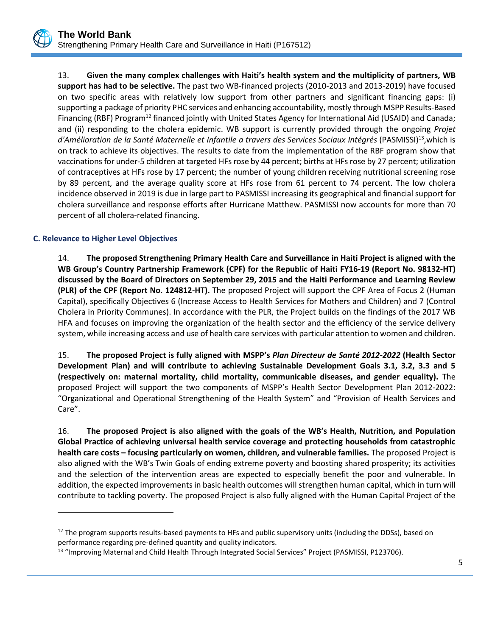13. **Given the many complex challenges with Haiti's health system and the multiplicity of partners, WB support has had to be selective.** The past two WB-financed projects (2010-2013 and 2013-2019) have focused on two specific areas with relatively low support from other partners and significant financing gaps: (i) supporting a package of priority PHC services and enhancing accountability, mostly through MSPP Results-Based Financing (RBF) Program<sup>12</sup> financed jointly with United States Agency for International Aid (USAID) and Canada; and (ii) responding to the cholera epidemic. WB support is currently provided through the ongoing *Projet*  d'Amélioration de la Santé Maternelle et Infantile a travers des Services Sociaux Intégrés (PASMISSI)<sup>13</sup>,which is on track to achieve its objectives. The results to date from the implementation of the RBF program show that vaccinations for under-5 children at targeted HFs rose by 44 percent; births at HFs rose by 27 percent; utilization of contraceptives at HFs rose by 17 percent; the number of young children receiving nutritional screening rose by 89 percent, and the average quality score at HFs rose from 61 percent to 74 percent. The low cholera incidence observed in 2019 is due in large part to PASMISSI increasing its geographical and financial support for cholera surveillance and response efforts after Hurricane Matthew. PASMISSI now accounts for more than 70 percent of all cholera-related financing.

# <span id="page-15-0"></span>**C. Relevance to Higher Level Objectives**

 $\overline{a}$ 

14. **The proposed Strengthening Primary Health Care and Surveillance in Haiti Project is aligned with the WB Group's Country Partnership Framework (CPF) for the Republic of Haiti FY16-19 (Report No. 98132-HT) discussed by the Board of Directors on September 29, 2015 and the Haiti Performance and Learning Review (PLR) of the CPF (Report No. 124812-HT).** The proposed Project will support the CPF Area of Focus 2 (Human Capital), specifically Objectives 6 (Increase Access to Health Services for Mothers and Children) and 7 (Control Cholera in Priority Communes). In accordance with the PLR, the Project builds on the findings of the 2017 WB HFA and focuses on improving the organization of the health sector and the efficiency of the service delivery system, while increasing access and use of health care services with particular attention to women and children.

15. **The proposed Project is fully aligned with MSPP's** *Plan Directeur de Santé 2012-2022* **(Health Sector Development Plan) and will contribute to achieving Sustainable Development Goals 3.1, 3.2, 3.3 and 5 (respectively on: maternal mortality, child mortality, communicable diseases, and gender equality).** The proposed Project will support the two components of MSPP's Health Sector Development Plan 2012-2022: "Organizational and Operational Strengthening of the Health System" and "Provision of Health Services and Care".

16. **The proposed Project is also aligned with the goals of the WB's Health, Nutrition, and Population Global Practice of achieving universal health service coverage and protecting households from catastrophic health care costs – focusing particularly on women, children, and vulnerable families.** The proposed Project is also aligned with the WB's Twin Goals of ending extreme poverty and boosting shared prosperity; its activities and the selection of the intervention areas are expected to especially benefit the poor and vulnerable. In addition, the expected improvements in basic health outcomes will strengthen human capital, which in turn will contribute to tackling poverty. The proposed Project is also fully aligned with the Human Capital Project of the

 $12$  The program supports results-based payments to HFs and public supervisory units (including the DDSs), based on performance regarding pre-defined quantity and quality indicators.

<sup>&</sup>lt;sup>13</sup> "Improving Maternal and Child Health Through Integrated Social Services" Project (PASMISSI, P123706).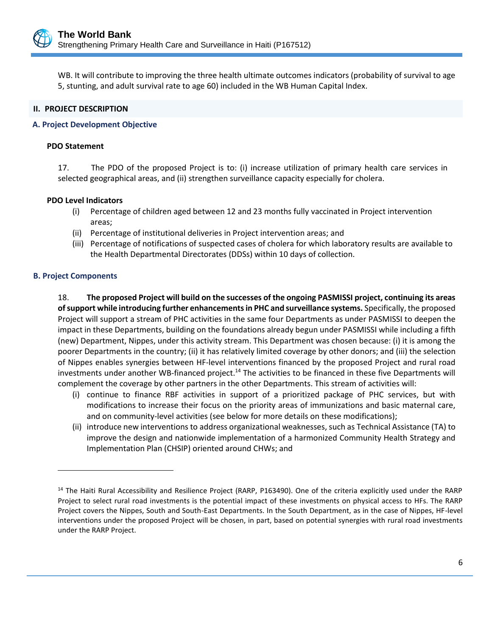WB. It will contribute to improving the three health ultimate outcomes indicators (probability of survival to age 5, stunting, and adult survival rate to age 60) included in the WB Human Capital Index.

#### <span id="page-16-0"></span>**II. PROJECT DESCRIPTION**

#### <span id="page-16-1"></span>**A. Project Development Objective**

#### **PDO Statement**

17. The PDO of the proposed Project is to: (i) increase utilization of primary health care services in selected geographical areas, and (ii) strengthen surveillance capacity especially for cholera.

#### **PDO Level Indicators**

- (i) Percentage of children aged between 12 and 23 months fully vaccinated in Project intervention areas;
- (ii) Percentage of institutional deliveries in Project intervention areas; and
- (iii) Percentage of notifications of suspected cases of cholera for which laboratory results are available to the Health Departmental Directorates (DDSs) within 10 days of collection.

#### <span id="page-16-2"></span>**B. Project Components**

 $\overline{a}$ 

18. **The proposed Project will build on the successes of the ongoing PASMISSI project, continuing its areas of support while introducing further enhancements in PHC and surveillance systems.** Specifically, the proposed Project will support a stream of PHC activities in the same four Departments as under PASMISSI to deepen the impact in these Departments, building on the foundations already begun under PASMISSI while including a fifth (new) Department, Nippes, under this activity stream. This Department was chosen because: (i) it is among the poorer Departments in the country; (ii) it has relatively limited coverage by other donors; and (iii) the selection of Nippes enables synergies between HF-level interventions financed by the proposed Project and rural road investments under another WB-financed project.<sup>14</sup> The activities to be financed in these five Departments will complement the coverage by other partners in the other Departments. This stream of activities will:

- (i) continue to finance RBF activities in support of a prioritized package of PHC services, but with modifications to increase their focus on the priority areas of immunizations and basic maternal care, and on community-level activities (see below for more details on these modifications);
- (ii) introduce new interventions to address organizational weaknesses, such as Technical Assistance (TA) to improve the design and nationwide implementation of a harmonized Community Health Strategy and Implementation Plan (CHSIP) oriented around CHWs; and

<sup>&</sup>lt;sup>14</sup> The Haiti Rural Accessibility and Resilience Project (RARP, P163490). One of the criteria explicitly used under the RARP Project to select rural road investments is the potential impact of these investments on physical access to HFs. The RARP Project covers the Nippes, South and South-East Departments. In the South Department, as in the case of Nippes, HF-level interventions under the proposed Project will be chosen, in part, based on potential synergies with rural road investments under the RARP Project.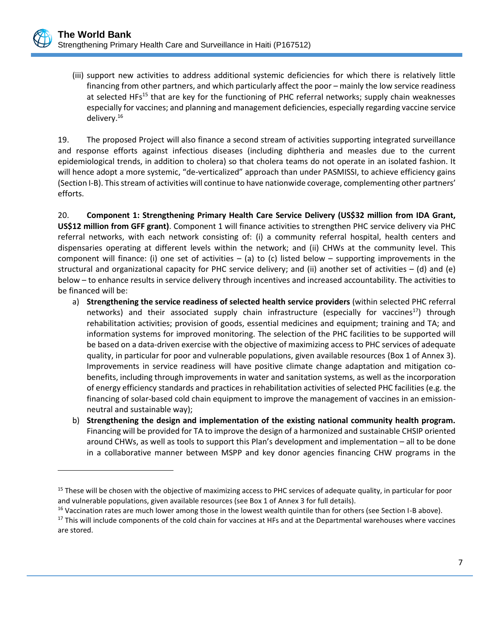(iii) support new activities to address additional systemic deficiencies for which there is relatively little financing from other partners, and which particularly affect the poor – mainly the low service readiness at selected HFs<sup>15</sup> that are key for the functioning of PHC referral networks; supply chain weaknesses especially for vaccines; and planning and management deficiencies, especially regarding vaccine service delivery. 16

19. The proposed Project will also finance a second stream of activities supporting integrated surveillance and response efforts against infectious diseases (including diphtheria and measles due to the current epidemiological trends, in addition to cholera) so that cholera teams do not operate in an isolated fashion. It will hence adopt a more systemic, "de-verticalized" approach than under PASMISSI, to achieve efficiency gains (Section I-B). This stream of activities will continue to have nationwide coverage, complementing other partners' efforts.

20. **Component 1: Strengthening Primary Health Care Service Delivery (US\$32 million from IDA Grant, US\$12 million from GFF grant)**. Component 1 will finance activities to strengthen PHC service delivery via PHC referral networks, with each network consisting of: (i) a community referral hospital, health centers and dispensaries operating at different levels within the network; and (ii) CHWs at the community level. This component will finance: (i) one set of activities – (a) to (c) listed below – supporting improvements in the structural and organizational capacity for PHC service delivery; and (ii) another set of activities  $-$  (d) and (e) below – to enhance results in service delivery through incentives and increased accountability. The activities to be financed will be:

- a) **Strengthening the service readiness of selected health service providers** (within selected PHC referral networks) and their associated supply chain infrastructure (especially for vaccines<sup>17</sup>) through rehabilitation activities; provision of goods, essential medicines and equipment; training and TA; and information systems for improved monitoring. The selection of the PHC facilities to be supported will be based on a data-driven exercise with the objective of maximizing access to PHC services of adequate quality, in particular for poor and vulnerable populations, given available resources (Box 1 of Annex 3). Improvements in service readiness will have positive climate change adaptation and mitigation cobenefits, including through improvements in water and sanitation systems, as well as the incorporation of energy efficiency standards and practices in rehabilitation activities of selected PHC facilities (e.g. the financing of solar-based cold chain equipment to improve the management of vaccines in an emissionneutral and sustainable way);
- b) **Strengthening the design and implementation of the existing national community health program.** Financing will be provided for TA to improve the design of a harmonized and sustainable CHSIP oriented around CHWs, as well as tools to support this Plan's development and implementation – all to be done in a collaborative manner between MSPP and key donor agencies financing CHW programs in the

 $\overline{a}$ 

<sup>&</sup>lt;sup>15</sup> These will be chosen with the objective of maximizing access to PHC services of adequate quality, in particular for poor and vulnerable populations, given available resources (see Box 1 of Annex 3 for full details).

<sup>&</sup>lt;sup>16</sup> Vaccination rates are much lower among those in the lowest wealth quintile than for others (see Section I-B above).

<sup>&</sup>lt;sup>17</sup> This will include components of the cold chain for vaccines at HFs and at the Departmental warehouses where vaccines are stored.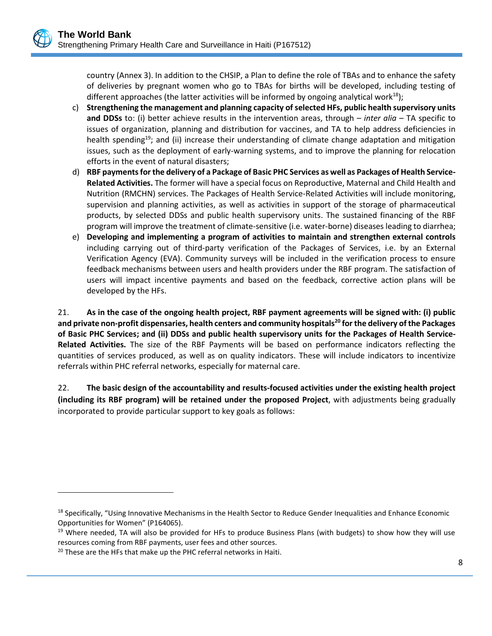

country (Annex 3). In addition to the CHSIP, a Plan to define the role of TBAs and to enhance the safety of deliveries by pregnant women who go to TBAs for births will be developed, including testing of different approaches (the latter activities will be informed by ongoing analytical work<sup>18</sup>);

- c) **Strengthening the management and planning capacity of selected HFs, public health supervisory units and DDSs** to: (i) better achieve results in the intervention areas, through – *inter alia* – TA specific to issues of organization, planning and distribution for vaccines, and TA to help address deficiencies in health spending<sup>19</sup>; and (ii) increase their understanding of climate change adaptation and mitigation issues, such as the deployment of early-warning systems, and to improve the planning for relocation efforts in the event of natural disasters;
- d) **RBF payments for the delivery of a Package of Basic PHC Services as well as Packages of Health Service-Related Activities.** The former will have a special focus on Reproductive, Maternal and Child Health and Nutrition (RMCHN) services. The Packages of Health Service-Related Activities will include monitoring, supervision and planning activities, as well as activities in support of the storage of pharmaceutical products, by selected DDSs and public health supervisory units. The sustained financing of the RBF program will improve the treatment of climate-sensitive (i.e. water-borne) diseases leading to diarrhea;
- e) **Developing and implementing a program of activities to maintain and strengthen external controls** including carrying out of third-party verification of the Packages of Services, i.e. by an External Verification Agency (EVA). Community surveys will be included in the verification process to ensure feedback mechanisms between users and health providers under the RBF program. The satisfaction of users will impact incentive payments and based on the feedback, corrective action plans will be developed by the HFs.

21. **As in the case of the ongoing health project, RBF payment agreements will be signed with: (i) public and private non-profit dispensaries, health centers and community hospitals<sup>20</sup> for the delivery of the Packages of Basic PHC Services; and (ii) DDSs and public health supervisory units for the Packages of Health Service-Related Activities.** The size of the RBF Payments will be based on performance indicators reflecting the quantities of services produced, as well as on quality indicators. These will include indicators to incentivize referrals within PHC referral networks, especially for maternal care.

22. **The basic design of the accountability and results-focused activities under the existing health project (including its RBF program) will be retained under the proposed Project**, with adjustments being gradually incorporated to provide particular support to key goals as follows:

<sup>&</sup>lt;sup>18</sup> Specifically, "Using Innovative Mechanisms in the Health Sector to Reduce Gender Inequalities and Enhance Economic Opportunities for Women" (P164065).

<sup>&</sup>lt;sup>19</sup> Where needed, TA will also be provided for HFs to produce Business Plans (with budgets) to show how they will use resources coming from RBF payments, user fees and other sources.

<sup>&</sup>lt;sup>20</sup> These are the HFs that make up the PHC referral networks in Haiti.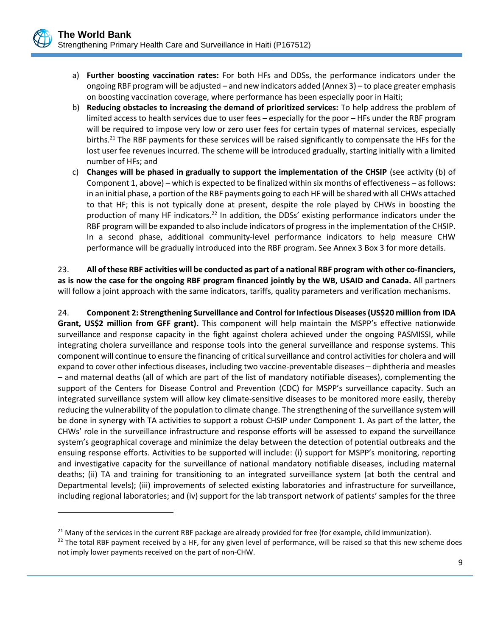

- a) **Further boosting vaccination rates:** For both HFs and DDSs, the performance indicators under the ongoing RBF program will be adjusted – and new indicators added (Annex 3) – to place greater emphasis on boosting vaccination coverage, where performance has been especially poor in Haiti;
- b) **Reducing obstacles to increasing the demand of prioritized services:** To help address the problem of limited access to health services due to user fees – especially for the poor – HFs under the RBF program will be required to impose very low or zero user fees for certain types of maternal services, especially births.<sup>21</sup> The RBF payments for these services will be raised significantly to compensate the HFs for the lost user fee revenues incurred. The scheme will be introduced gradually, starting initially with a limited number of HFs; and
- c) **Changes will be phased in gradually to support the implementation of the CHSIP** (see activity (b) of Component 1, above) – which is expected to be finalized within six months of effectiveness – as follows: in an initial phase, a portion of the RBF payments going to each HF will be shared with all CHWs attached to that HF; this is not typically done at present, despite the role played by CHWs in boosting the production of many HF indicators.<sup>22</sup> In addition, the DDSs' existing performance indicators under the RBF program will be expanded to also include indicators of progress in the implementation of the CHSIP. In a second phase, additional community-level performance indicators to help measure CHW performance will be gradually introduced into the RBF program. See Annex 3 Box 3 for more details.

23. **All of these RBF activities will be conducted as part of a national RBF program with other co-financiers, as is now the case for the ongoing RBF program financed jointly by the WB, USAID and Canada.** All partners will follow a joint approach with the same indicators, tariffs, quality parameters and verification mechanisms.

24. **Component 2: Strengthening Surveillance and Control for Infectious Diseases (US\$20 million from IDA Grant, US\$2 million from GFF grant).** This component will help maintain the MSPP's effective nationwide surveillance and response capacity in the fight against cholera achieved under the ongoing PASMISSI, while integrating cholera surveillance and response tools into the general surveillance and response systems. This component will continue to ensure the financing of critical surveillance and control activities for cholera and will expand to cover other infectious diseases, including two vaccine-preventable diseases – diphtheria and measles – and maternal deaths (all of which are part of the list of mandatory notifiable diseases), complementing the support of the Centers for Disease Control and Prevention (CDC) for MSPP's surveillance capacity. Such an integrated surveillance system will allow key climate-sensitive diseases to be monitored more easily, thereby reducing the vulnerability of the population to climate change. The strengthening of the surveillance system will be done in synergy with TA activities to support a robust CHSIP under Component 1. As part of the latter, the CHWs' role in the surveillance infrastructure and response efforts will be assessed to expand the surveillance system's geographical coverage and minimize the delay between the detection of potential outbreaks and the ensuing response efforts. Activities to be supported will include: (i) support for MSPP's monitoring, reporting and investigative capacity for the surveillance of national mandatory notifiable diseases, including maternal deaths; (ii) TA and training for transitioning to an integrated surveillance system (at both the central and Departmental levels); (iii) improvements of selected existing laboratories and infrastructure for surveillance, including regional laboratories; and (iv) support for the lab transport network of patients' samples for the three

 $21$  Many of the services in the current RBF package are already provided for free (for example, child immunization).

<sup>&</sup>lt;sup>22</sup> The total RBF payment received by a HF, for any given level of performance, will be raised so that this new scheme does not imply lower payments received on the part of non-CHW.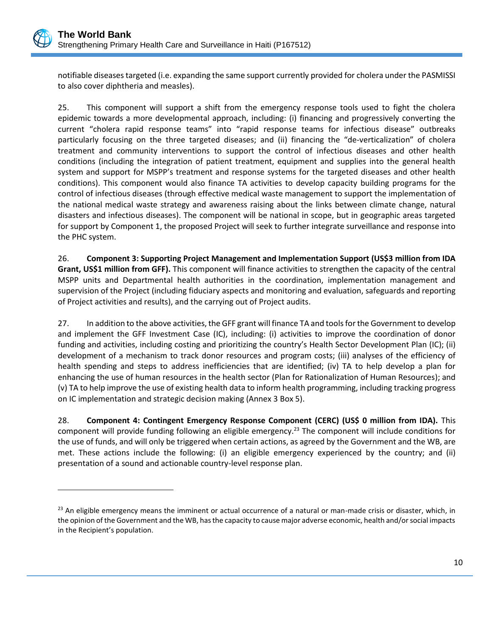notifiable diseases targeted (i.e. expanding the same support currently provided for cholera under the PASMISSI to also cover diphtheria and measles).

25. This component will support a shift from the emergency response tools used to fight the cholera epidemic towards a more developmental approach, including: (i) financing and progressively converting the current "cholera rapid response teams" into "rapid response teams for infectious disease" outbreaks particularly focusing on the three targeted diseases; and (ii) financing the "de-verticalization" of cholera treatment and community interventions to support the control of infectious diseases and other health conditions (including the integration of patient treatment, equipment and supplies into the general health system and support for MSPP's treatment and response systems for the targeted diseases and other health conditions). This component would also finance TA activities to develop capacity building programs for the control of infectious diseases (through effective medical waste management to support the implementation of the national medical waste strategy and awareness raising about the links between climate change, natural disasters and infectious diseases). The component will be national in scope, but in geographic areas targeted for support by Component 1, the proposed Project will seek to further integrate surveillance and response into the PHC system.

26. **Component 3: Supporting Project Management and Implementation Support (US\$3 million from IDA Grant, US\$1 million from GFF).** This component will finance activities to strengthen the capacity of the central MSPP units and Departmental health authorities in the coordination, implementation management and supervision of the Project (including fiduciary aspects and monitoring and evaluation, safeguards and reporting of Project activities and results), and the carrying out of Project audits.

27. In addition to the above activities, the GFF grant will finance TA and tools for the Government to develop and implement the GFF Investment Case (IC), including: (i) activities to improve the coordination of donor funding and activities, including costing and prioritizing the country's Health Sector Development Plan (IC); (ii) development of a mechanism to track donor resources and program costs; (iii) analyses of the efficiency of health spending and steps to address inefficiencies that are identified; (iv) TA to help develop a plan for enhancing the use of human resources in the health sector (Plan for Rationalization of Human Resources); and (v) TA to help improve the use of existing health data to inform health programming, including tracking progress on IC implementation and strategic decision making (Annex 3 Box 5).

28. **Component 4: Contingent Emergency Response Component (CERC) (US\$ 0 million from IDA).** This component will provide funding following an eligible emergency.<sup>23</sup> The component will include conditions for the use of funds, and will only be triggered when certain actions, as agreed by the Government and the WB, are met. These actions include the following: (i) an eligible emergency experienced by the country; and (ii) presentation of a sound and actionable country-level response plan.

 $23$  An eligible emergency means the imminent or actual occurrence of a natural or man-made crisis or disaster, which, in the opinion of the Government and the WB, has the capacity to cause major adverse economic, health and/or social impacts in the Recipient's population.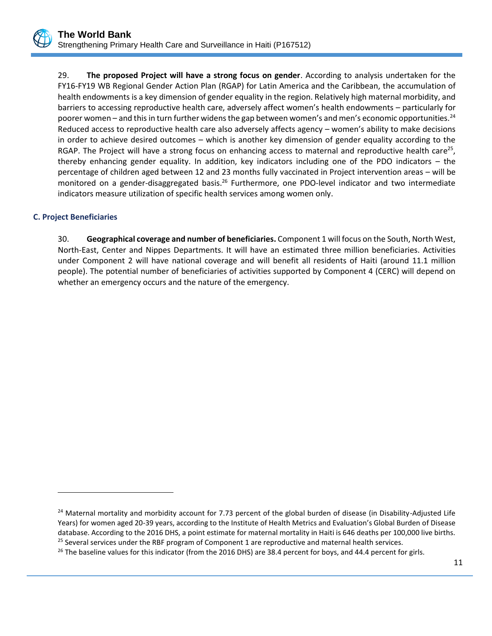29. **The proposed Project will have a strong focus on gender**. According to analysis undertaken for the FY16-FY19 WB Regional Gender Action Plan (RGAP) for Latin America and the Caribbean, the accumulation of health endowments is a key dimension of gender equality in the region. Relatively high maternal morbidity, and barriers to accessing reproductive health care, adversely affect women's health endowments – particularly for poorer women – and this in turn further widens the gap between women's and men's economic opportunities.<sup>24</sup> Reduced access to reproductive health care also adversely affects agency – women's ability to make decisions in order to achieve desired outcomes – which is another key dimension of gender equality according to the RGAP. The Project will have a strong focus on enhancing access to maternal and reproductive health care<sup>25</sup>, thereby enhancing gender equality. In addition, key indicators including one of the PDO indicators – the percentage of children aged between 12 and 23 months fully vaccinated in Project intervention areas – will be monitored on a gender-disaggregated basis.<sup>26</sup> Furthermore, one PDO-level indicator and two intermediate indicators measure utilization of specific health services among women only.

#### <span id="page-21-0"></span>**C. Project Beneficiaries**

 $\overline{a}$ 

30. **Geographical coverage and number of beneficiaries.** Component 1 will focus on the South, North West, North-East, Center and Nippes Departments. It will have an estimated three million beneficiaries. Activities under Component 2 will have national coverage and will benefit all residents of Haiti (around 11.1 million people). The potential number of beneficiaries of activities supported by Component 4 (CERC) will depend on whether an emergency occurs and the nature of the emergency.

<sup>&</sup>lt;sup>24</sup> Maternal mortality and morbidity account for 7.73 percent of the global burden of disease (in Disability-Adjusted Life Years) for women aged 20-39 years, according to the Institute of Health Metrics and Evaluation's Global Burden of Disease database. According to the 2016 DHS, a point estimate for maternal mortality in Haiti is 646 deaths per 100,000 live births. <sup>25</sup> Several services under the RBF program of Component 1 are reproductive and maternal health services.

 $26$  The baseline values for this indicator (from the 2016 DHS) are 38.4 percent for boys, and 44.4 percent for girls.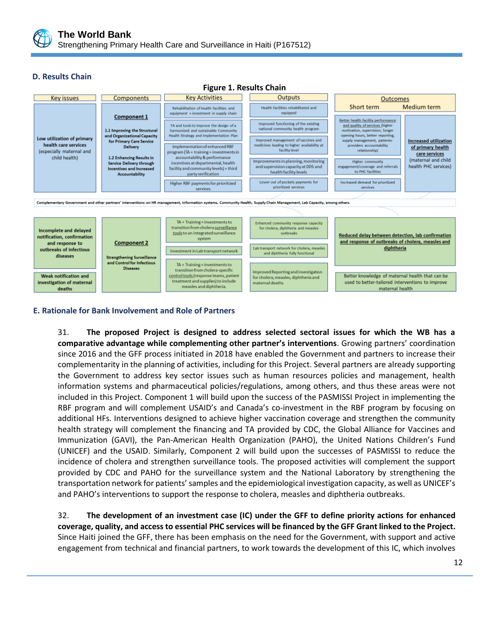

# <span id="page-22-0"></span>**D. Results Chain**



# <span id="page-22-1"></span>**E. Rationale for Bank Involvement and Role of Partners**

31. **The proposed Project is designed to address selected sectoral issues for which the WB has a comparative advantage while complementing other partner's interventions**. Growing partners' coordination since 2016 and the GFF process initiated in 2018 have enabled the Government and partners to increase their complementarity in the planning of activities, including for this Project. Several partners are already supporting the Government to address key sector issues such as human resources policies and management, health information systems and pharmaceutical policies/regulations, among others, and thus these areas were not included in this Project. Component 1 will build upon the success of the PASMISSI Project in implementing the RBF program and will complement USAID's and Canada's co-investment in the RBF program by focusing on additional HFs. Interventions designed to achieve higher vaccination coverage and strengthen the community health strategy will complement the financing and TA provided by CDC, the Global Alliance for Vaccines and Immunization (GAVI), the Pan-American Health Organization (PAHO), the United Nations Children's Fund (UNICEF) and the USAID. Similarly, Component 2 will build upon the successes of PASMISSI to reduce the incidence of cholera and strengthen surveillance tools. The proposed activities will complement the support provided by CDC and PAHO for the surveillance system and the National Laboratory by strengthening the transportation network for patients' samples and the epidemiological investigation capacity, as well as UNICEF's and PAHO's interventions to support the response to cholera, measles and diphtheria outbreaks.

32. **The development of an investment case (IC) under the GFF to define priority actions for enhanced coverage, quality, and access to essential PHC services will be financed by the GFF Grant linked to the Project.** Since Haiti joined the GFF, there has been emphasis on the need for the Government, with support and active engagement from technical and financial partners, to work towards the development of this IC, which involves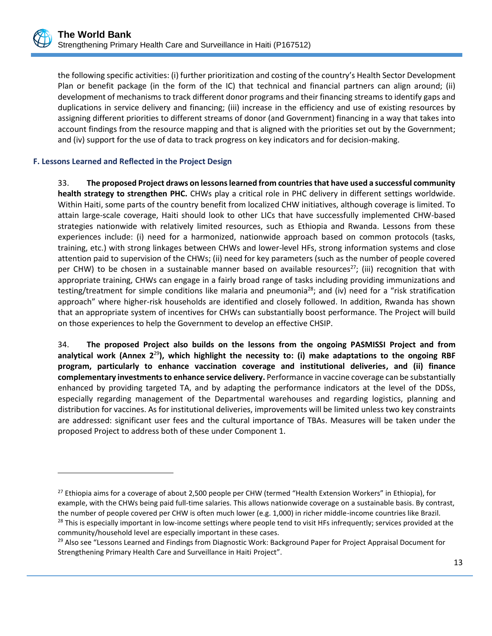the following specific activities: (i) further prioritization and costing of the country's Health Sector Development Plan or benefit package (in the form of the IC) that technical and financial partners can align around; (ii) development of mechanisms to track different donor programs and their financing streams to identify gaps and duplications in service delivery and financing; (iii) increase in the efficiency and use of existing resources by assigning different priorities to different streams of donor (and Government) financing in a way that takes into account findings from the resource mapping and that is aligned with the priorities set out by the Government; and (iv) support for the use of data to track progress on key indicators and for decision-making.

# <span id="page-23-0"></span>**F. Lessons Learned and Reflected in the Project Design**

 $\overline{a}$ 

33. **The proposed Project draws on lessons learned from countries that have used a successful community health strategy to strengthen PHC.** CHWs play a critical role in PHC delivery in different settings worldwide. Within Haiti, some parts of the country benefit from localized CHW initiatives, although coverage is limited. To attain large-scale coverage, Haiti should look to other LICs that have successfully implemented CHW-based strategies nationwide with relatively limited resources, such as Ethiopia and Rwanda. Lessons from these experiences include: (i) need for a harmonized, nationwide approach based on common protocols (tasks, training, etc.) with strong linkages between CHWs and lower-level HFs, strong information systems and close attention paid to supervision of the CHWs; (ii) need for key parameters (such as the number of people covered per CHW) to be chosen in a sustainable manner based on available resources<sup>27</sup>; (iii) recognition that with appropriate training, CHWs can engage in a fairly broad range of tasks including providing immunizations and testing/treatment for simple conditions like malaria and pneumonia<sup>28</sup>; and (iv) need for a "risk stratification approach" where higher-risk households are identified and closely followed. In addition, Rwanda has shown that an appropriate system of incentives for CHWs can substantially boost performance. The Project will build on those experiences to help the Government to develop an effective CHSIP.

34. **The proposed Project also builds on the lessons from the ongoing PASMISSI Project and from analytical work (Annex 2**<sup>29</sup>**), which highlight the necessity to: (i) make adaptations to the ongoing RBF program, particularly to enhance vaccination coverage and institutional deliveries, and (ii) finance complementary investments to enhance service delivery.** Performance in vaccine coverage can be substantially enhanced by providing targeted TA, and by adapting the performance indicators at the level of the DDSs, especially regarding management of the Departmental warehouses and regarding logistics, planning and distribution for vaccines. As for institutional deliveries, improvements will be limited unless two key constraints are addressed: significant user fees and the cultural importance of TBAs. Measures will be taken under the proposed Project to address both of these under Component 1.

<sup>&</sup>lt;sup>27</sup> Ethiopia aims for a coverage of about 2,500 people per CHW (termed "Health Extension Workers" in Ethiopia), for example, with the CHWs being paid full-time salaries. This allows nationwide coverage on a sustainable basis. By contrast, the number of people covered per CHW is often much lower (e.g. 1,000) in richer middle-income countries like Brazil. <sup>28</sup> This is especially important in low-income settings where people tend to visit HFs infrequently; services provided at the community/household level are especially important in these cases.

<sup>&</sup>lt;sup>29</sup> Also see "Lessons Learned and Findings from Diagnostic Work: Background Paper for Project Appraisal Document for Strengthening Primary Health Care and Surveillance in Haiti Project".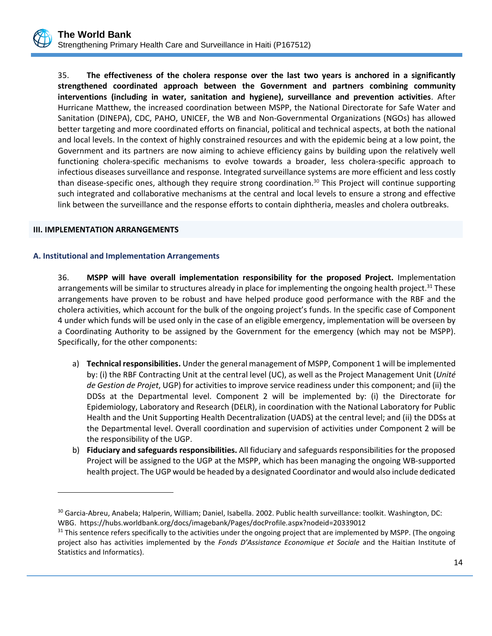35. **The effectiveness of the cholera response over the last two years is anchored in a significantly strengthened coordinated approach between the Government and partners combining community interventions (including in water, sanitation and hygiene), surveillance and prevention activities**. After Hurricane Matthew, the increased coordination between MSPP, the National Directorate for Safe Water and Sanitation (DINEPA), CDC, PAHO, UNICEF, the WB and Non-Governmental Organizations (NGOs) has allowed better targeting and more coordinated efforts on financial, political and technical aspects, at both the national and local levels. In the context of highly constrained resources and with the epidemic being at a low point, the Government and its partners are now aiming to achieve efficiency gains by building upon the relatively well functioning cholera-specific mechanisms to evolve towards a broader, less cholera-specific approach to infectious diseases surveillance and response. Integrated surveillance systems are more efficient and less costly than disease-specific ones, although they require strong coordination.<sup>30</sup> This Project will continue supporting such integrated and collaborative mechanisms at the central and local levels to ensure a strong and effective link between the surveillance and the response efforts to contain diphtheria, measles and cholera outbreaks.

#### <span id="page-24-0"></span>**III. IMPLEMENTATION ARRANGEMENTS**

 $\overline{a}$ 

#### <span id="page-24-1"></span>**A. Institutional and Implementation Arrangements**

36. **MSPP will have overall implementation responsibility for the proposed Project.** Implementation arrangements will be similar to structures already in place for implementing the ongoing health project.<sup>31</sup> These arrangements have proven to be robust and have helped produce good performance with the RBF and the cholera activities, which account for the bulk of the ongoing project's funds. In the specific case of Component 4 under which funds will be used only in the case of an eligible emergency, implementation will be overseen by a Coordinating Authority to be assigned by the Government for the emergency (which may not be MSPP). Specifically, for the other components:

- a) **Technical responsibilities.** Under the general management of MSPP, Component 1 will be implemented by: (i) the RBF Contracting Unit at the central level (UC), as well as the Project Management Unit (*Unité de Gestion de Projet*, UGP) for activities to improve service readiness under this component; and (ii) the DDSs at the Departmental level. Component 2 will be implemented by: (i) the Directorate for Epidemiology, Laboratory and Research (DELR), in coordination with the National Laboratory for Public Health and the Unit Supporting Health Decentralization (UADS) at the central level; and (ii) the DDSs at the Departmental level. Overall coordination and supervision of activities under Component 2 will be the responsibility of the UGP.
- b) **Fiduciary and safeguards responsibilities.** All fiduciary and safeguards responsibilities for the proposed Project will be assigned to the UGP at the MSPP, which has been managing the ongoing WB-supported health project. The UGP would be headed by a designated Coordinator and would also include dedicated

<sup>&</sup>lt;sup>30</sup> Garcia-Abreu, Anabela; Halperin, William; Daniel, Isabella. 2002. Public health surveillance: toolkit. Washington, DC: WBG. https://hubs.worldbank.org/docs/imagebank/Pages/docProfile.aspx?nodeid=20339012

<sup>&</sup>lt;sup>31</sup> This sentence refers specifically to the activities under the ongoing project that are implemented by MSPP. (The ongoing project also has activities implemented by the *Fonds D'Assistance Economique et Sociale* and the Haitian Institute of Statistics and Informatics).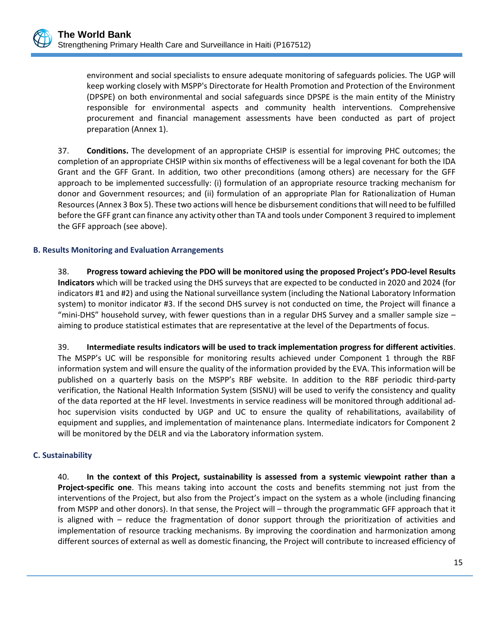environment and social specialists to ensure adequate monitoring of safeguards policies. The UGP will keep working closely with MSPP's Directorate for Health Promotion and Protection of the Environment (DPSPE) on both environmental and social safeguards since DPSPE is the main entity of the Ministry responsible for environmental aspects and community health interventions. Comprehensive procurement and financial management assessments have been conducted as part of project preparation (Annex 1).

37. **Conditions.** The development of an appropriate CHSIP is essential for improving PHC outcomes; the completion of an appropriate CHSIP within six months of effectiveness will be a legal covenant for both the IDA Grant and the GFF Grant. In addition, two other preconditions (among others) are necessary for the GFF approach to be implemented successfully: (i) formulation of an appropriate resource tracking mechanism for donor and Government resources; and (ii) formulation of an appropriate Plan for Rationalization of Human Resources (Annex 3 Box 5). These two actions will hence be disbursement conditions that will need to be fulfilled before the GFF grant can finance any activity other than TA and tools under Component 3 required to implement the GFF approach (see above).

#### <span id="page-25-0"></span>**B. Results Monitoring and Evaluation Arrangements**

38. **Progress toward achieving the PDO will be monitored using the proposed Project's PDO-level Results Indicators** which will be tracked using the DHS surveys that are expected to be conducted in 2020 and 2024 (for indicators #1 and #2) and using the National surveillance system (including the National Laboratory Information system) to monitor indicator #3. If the second DHS survey is not conducted on time, the Project will finance a "mini-DHS" household survey, with fewer questions than in a regular DHS Survey and a smaller sample size – aiming to produce statistical estimates that are representative at the level of the Departments of focus.

39. **Intermediate results indicators will be used to track implementation progress for different activities**. The MSPP's UC will be responsible for monitoring results achieved under Component 1 through the RBF information system and will ensure the quality of the information provided by the EVA. This information will be published on a quarterly basis on the MSPP's RBF website. In addition to the RBF periodic third-party verification, the National Health Information System (SISNU) will be used to verify the consistency and quality of the data reported at the HF level. Investments in service readiness will be monitored through additional adhoc supervision visits conducted by UGP and UC to ensure the quality of rehabilitations, availability of equipment and supplies, and implementation of maintenance plans. Intermediate indicators for Component 2 will be monitored by the DELR and via the Laboratory information system.

#### <span id="page-25-1"></span>**C. Sustainability**

40. **In the context of this Project, sustainability is assessed from a systemic viewpoint rather than a Project-specific one**. This means taking into account the costs and benefits stemming not just from the interventions of the Project, but also from the Project's impact on the system as a whole (including financing from MSPP and other donors). In that sense, the Project will – through the programmatic GFF approach that it is aligned with – reduce the fragmentation of donor support through the prioritization of activities and implementation of resource tracking mechanisms. By improving the coordination and harmonization among different sources of external as well as domestic financing, the Project will contribute to increased efficiency of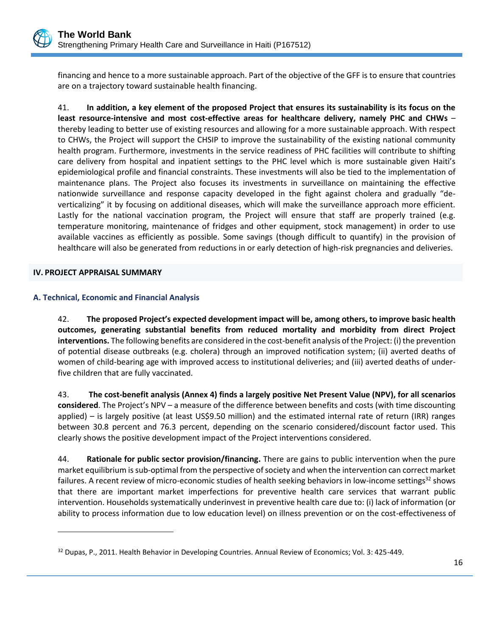

financing and hence to a more sustainable approach. Part of the objective of the GFF is to ensure that countries are on a trajectory toward sustainable health financing.

41. **In addition, a key element of the proposed Project that ensures its sustainability is its focus on the least resource-intensive and most cost-effective areas for healthcare delivery, namely PHC and CHWs** – thereby leading to better use of existing resources and allowing for a more sustainable approach. With respect to CHWs, the Project will support the CHSIP to improve the sustainability of the existing national community health program. Furthermore, investments in the service readiness of PHC facilities will contribute to shifting care delivery from hospital and inpatient settings to the PHC level which is more sustainable given Haiti's epidemiological profile and financial constraints. These investments will also be tied to the implementation of maintenance plans. The Project also focuses its investments in surveillance on maintaining the effective nationwide surveillance and response capacity developed in the fight against cholera and gradually "deverticalizing" it by focusing on additional diseases, which will make the surveillance approach more efficient. Lastly for the national vaccination program, the Project will ensure that staff are properly trained (e.g. temperature monitoring, maintenance of fridges and other equipment, stock management) in order to use available vaccines as efficiently as possible. Some savings (though difficult to quantify) in the provision of healthcare will also be generated from reductions in or early detection of high-risk pregnancies and deliveries.

#### <span id="page-26-0"></span>**IV. PROJECT APPRAISAL SUMMARY**

 $\overline{a}$ 

#### <span id="page-26-1"></span>**A. Technical, Economic and Financial Analysis**

42. **The proposed Project's expected development impact will be, among others, to improve basic health outcomes, generating substantial benefits from reduced mortality and morbidity from direct Project interventions.** The following benefits are considered in the cost-benefit analysis of the Project: (i) the prevention of potential disease outbreaks (e.g. cholera) through an improved notification system; (ii) averted deaths of women of child-bearing age with improved access to institutional deliveries; and (iii) averted deaths of underfive children that are fully vaccinated.

43. **The cost-benefit analysis (Annex 4) finds a largely positive Net Present Value (NPV), for all scenarios considered**. The Project's NPV – a measure of the difference between benefits and costs (with time discounting applied) – is largely positive (at least US\$9.50 million) and the estimated internal rate of return (IRR) ranges between 30.8 percent and 76.3 percent, depending on the scenario considered/discount factor used. This clearly shows the positive development impact of the Project interventions considered.

44. **Rationale for public sector provision/financing.** There are gains to public intervention when the pure market equilibrium is sub-optimal from the perspective of society and when the intervention can correct market failures. A recent review of micro-economic studies of health seeking behaviors in low-income settings<sup>32</sup> shows that there are important market imperfections for preventive health care services that warrant public intervention. Households systematically underinvest in preventive health care due to: (i) lack of information (or ability to process information due to low education level) on illness prevention or on the cost-effectiveness of

<sup>&</sup>lt;sup>32</sup> Dupas, P., 2011. Health Behavior in Developing Countries. Annual Review of Economics; Vol. 3: 425-449.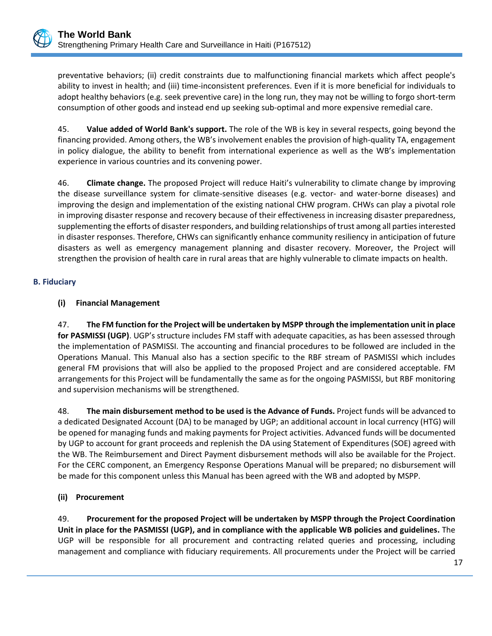preventative behaviors; (ii) credit constraints due to malfunctioning financial markets which affect people's ability to invest in health; and (iii) time-inconsistent preferences. Even if it is more beneficial for individuals to adopt healthy behaviors (e.g. seek preventive care) in the long run, they may not be willing to forgo short-term consumption of other goods and instead end up seeking sub-optimal and more expensive remedial care.

45. **Value added of World Bank's support.** The role of the WB is key in several respects, going beyond the financing provided. Among others, the WB's involvement enables the provision of high-quality TA, engagement in policy dialogue, the ability to benefit from international experience as well as the WB's implementation experience in various countries and its convening power.

46. **Climate change.** The proposed Project will reduce Haiti's vulnerability to climate change by improving the disease surveillance system for climate-sensitive diseases (e.g. vector- and water-borne diseases) and improving the design and implementation of the existing national CHW program. CHWs can play a pivotal role in improving disaster response and recovery because of their effectiveness in increasing disaster preparedness, supplementing the efforts of disaster responders, and building relationships of trust among all parties interested in disaster responses. Therefore, CHWs can significantly enhance community resiliency in anticipation of future disasters as well as emergency management planning and disaster recovery. Moreover, the Project will strengthen the provision of health care in rural areas that are highly vulnerable to climate impacts on health.

# <span id="page-27-0"></span>**B. Fiduciary**

# **(i) Financial Management**

47. **The FM function for the Project will be undertaken by MSPP through the implementation unit in place for PASMISSI (UGP)**. UGP's structure includes FM staff with adequate capacities, as has been assessed through the implementation of PASMISSI. The accounting and financial procedures to be followed are included in the Operations Manual. This Manual also has a section specific to the RBF stream of PASMISSI which includes general FM provisions that will also be applied to the proposed Project and are considered acceptable. FM arrangements for this Project will be fundamentally the same as for the ongoing PASMISSI, but RBF monitoring and supervision mechanisms will be strengthened.

48. **The main disbursement method to be used is the Advance of Funds.** Project funds will be advanced to a dedicated Designated Account (DA) to be managed by UGP; an additional account in local currency (HTG) will be opened for managing funds and making payments for Project activities. Advanced funds will be documented by UGP to account for grant proceeds and replenish the DA using Statement of Expenditures (SOE) agreed with the WB. The Reimbursement and Direct Payment disbursement methods will also be available for the Project. For the CERC component, an Emergency Response Operations Manual will be prepared; no disbursement will be made for this component unless this Manual has been agreed with the WB and adopted by MSPP.

#### **(ii) Procurement**

49. **Procurement for the proposed Project will be undertaken by MSPP through the Project Coordination Unit in place for the PASMISSI (UGP), and in compliance with the applicable WB policies and guidelines.** The UGP will be responsible for all procurement and contracting related queries and processing, including management and compliance with fiduciary requirements. All procurements under the Project will be carried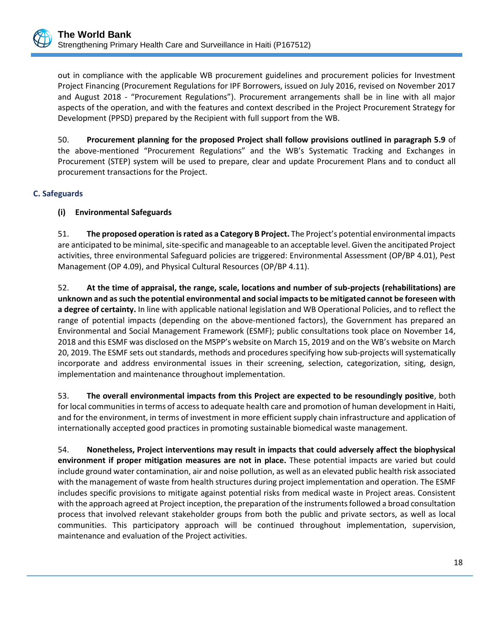out in compliance with the applicable WB procurement guidelines and procurement policies for Investment Project Financing (Procurement Regulations for IPF Borrowers, issued on July 2016, revised on November 2017 and August 2018 - "Procurement Regulations"). Procurement arrangements shall be in line with all major aspects of the operation, and with the features and context described in the Project Procurement Strategy for Development (PPSD) prepared by the Recipient with full support from the WB.

50. **Procurement planning for the proposed Project shall follow provisions outlined in paragraph 5.9** of the above-mentioned "Procurement Regulations" and the WB's Systematic Tracking and Exchanges in Procurement (STEP) system will be used to prepare, clear and update Procurement Plans and to conduct all procurement transactions for the Project.

# <span id="page-28-0"></span>**C. Safeguards**

# **(i) Environmental Safeguards**

51. **The proposed operation is rated as a Category B Project.** The Project's potential environmental impacts are anticipated to be minimal, site-specific and manageable to an acceptable level. Given the ancitipated Project activities, three environmental Safeguard policies are triggered: Environmental Assessment (OP/BP 4.01), Pest Management (OP 4.09), and Physical Cultural Resources (OP/BP 4.11).

52. **At the time of appraisal, the range, scale, locations and number of sub-projects (rehabilitations) are unknown and as such the potential environmental and social impacts to be mitigated cannot be foreseen with a degree of certainty.** In line with applicable national legislation and WB Operational Policies, and to reflect the range of potential impacts (depending on the above-mentioned factors), the Government has prepared an Environmental and Social Management Framework (ESMF); public consultations took place on November 14, 2018 and this ESMF was disclosed on the MSPP's website on March 15, 2019 and on the WB's website on March 20, 2019. The ESMF sets out standards, methods and procedures specifying how sub-projects will systematically incorporate and address environmental issues in their screening, selection, categorization, siting, design, implementation and maintenance throughout implementation.

53. **The overall environmental impacts from this Project are expected to be resoundingly positive**, both for local communities in terms of access to adequate health care and promotion of human development in Haiti, and for the environment, in terms of investment in more efficient supply chain infrastructure and application of internationally accepted good practices in promoting sustainable biomedical waste management.

54. **Nonetheless, Project interventions may result in impacts that could adversely affect the biophysical environment if proper mitigation measures are not in place.** These potential impacts are varied but could include ground water contamination, air and noise pollution, as well as an elevated public health risk associated with the management of waste from health structures during project implementation and operation. The ESMF includes specific provisions to mitigate against potential risks from medical waste in Project areas. Consistent with the approach agreed at Project inception, the preparation of the instruments followed a broad consultation process that involved relevant stakeholder groups from both the public and private sectors, as well as local communities. This participatory approach will be continued throughout implementation, supervision, maintenance and evaluation of the Project activities.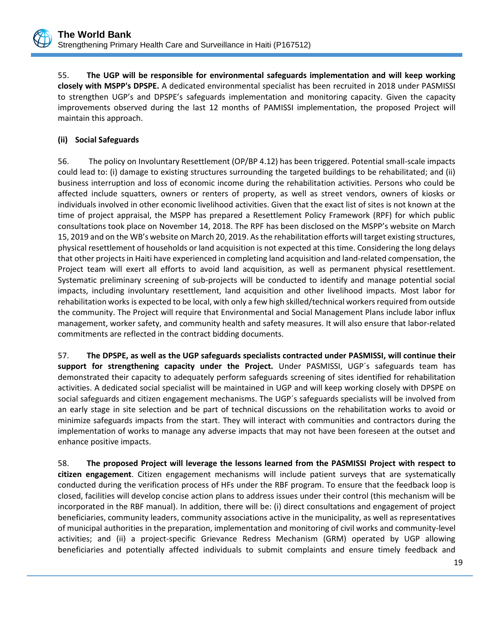

55. **The UGP will be responsible for environmental safeguards implementation and will keep working closely with MSPP's DPSPE.** A dedicated environmental specialist has been recruited in 2018 under PASMISSI to strengthen UGP's and DPSPE's safeguards implementation and monitoring capacity. Given the capacity improvements observed during the last 12 months of PAMISSI implementation, the proposed Project will maintain this approach.

# **(ii) Social Safeguards**

56. The policy on Involuntary Resettlement (OP/BP 4.12) has been triggered. Potential small-scale impacts could lead to: (i) damage to existing structures surrounding the targeted buildings to be rehabilitated; and (ii) business interruption and loss of economic income during the rehabilitation activities. Persons who could be affected include squatters, owners or renters of property, as well as street vendors, owners of kiosks or individuals involved in other economic livelihood activities. Given that the exact list of sites is not known at the time of project appraisal, the MSPP has prepared a Resettlement Policy Framework (RPF) for which public consultations took place on November 14, 2018. The RPF has been disclosed on the MSPP's website on March 15, 2019 and on the WB's website on March 20, 2019. As the rehabilitation efforts will target existing structures, physical resettlement of households or land acquisition is not expected at this time. Considering the long delays that other projects in Haiti have experienced in completing land acquisition and land-related compensation, the Project team will exert all efforts to avoid land acquisition, as well as permanent physical resettlement. Systematic preliminary screening of sub-projects will be conducted to identify and manage potential social impacts, including involuntary resettlement, land acquisition and other livelihood impacts. Most labor for rehabilitation works is expected to be local, with only a few high skilled/technical workers required from outside the community. The Project will require that Environmental and Social Management Plans include labor influx management, worker safety, and community health and safety measures. It will also ensure that labor-related commitments are reflected in the contract bidding documents.

57. **The DPSPE, as well as the UGP safeguards specialists contracted under PASMISSI, will continue their support for strengthening capacity under the Project.** Under PASMISSI, UGP´s safeguards team has demonstrated their capacity to adequately perform safeguards screening of sites identified for rehabilitation activities. A dedicated social specialist will be maintained in UGP and will keep working closely with DPSPE on social safeguards and citizen engagement mechanisms. The UGP´s safeguards specialists will be involved from an early stage in site selection and be part of technical discussions on the rehabilitation works to avoid or minimize safeguards impacts from the start. They will interact with communities and contractors during the implementation of works to manage any adverse impacts that may not have been foreseen at the outset and enhance positive impacts.

58. **The proposed Project will leverage the lessons learned from the PASMISSI Project with respect to citizen engagement**. Citizen engagement mechanisms will include patient surveys that are systematically conducted during the verification process of HFs under the RBF program. To ensure that the feedback loop is closed, facilities will develop concise action plans to address issues under their control (this mechanism will be incorporated in the RBF manual). In addition, there will be: (i) direct consultations and engagement of project beneficiaries, community leaders, community associations active in the municipality, as well as representatives of municipal authorities in the preparation, implementation and monitoring of civil works and community-level activities; and (ii) a project-specific Grievance Redress Mechanism (GRM) operated by UGP allowing beneficiaries and potentially affected individuals to submit complaints and ensure timely feedback and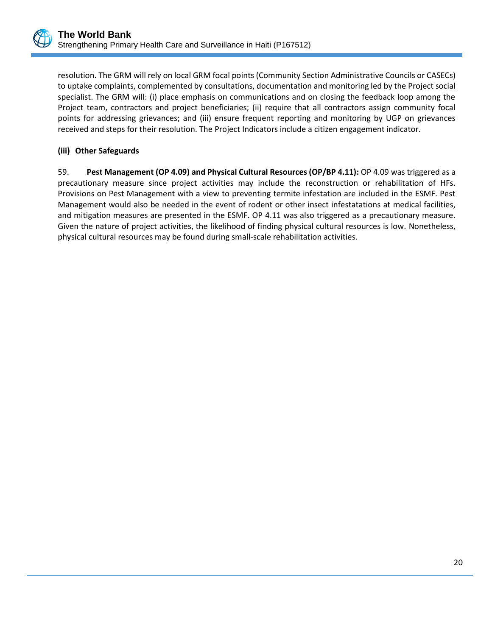

resolution. The GRM will rely on local GRM focal points (Community Section Administrative Councils or CASECs) to uptake complaints, complemented by consultations, documentation and monitoring led by the Project social specialist. The GRM will: (i) place emphasis on communications and on closing the feedback loop among the Project team, contractors and project beneficiaries; (ii) require that all contractors assign community focal points for addressing grievances; and (iii) ensure frequent reporting and monitoring by UGP on grievances received and steps for their resolution. The Project Indicators include a citizen engagement indicator.

# **(iii) Other Safeguards**

59. **Pest Management (OP 4.09) and Physical Cultural Resources (OP/BP 4.11):** OP 4.09 was triggered as a precautionary measure since project activities may include the reconstruction or rehabilitation of HFs. Provisions on Pest Management with a view to preventing termite infestation are included in the ESMF. Pest Management would also be needed in the event of rodent or other insect infestatations at medical facilities, and mitigation measures are presented in the ESMF. OP 4.11 was also triggered as a precautionary measure. Given the nature of project activities, the likelihood of finding physical cultural resources is low. Nonetheless, physical cultural resources may be found during small-scale rehabilitation activities.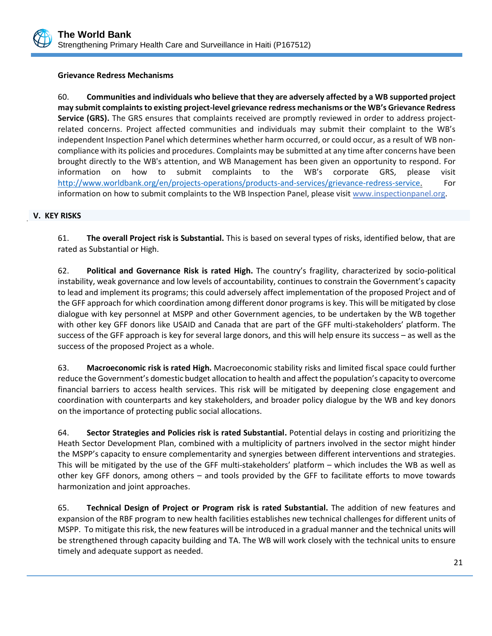

# **Grievance Redress Mechanisms**

60. **Communities and individuals who believe that they are adversely affected by a WB supported project may submit complaints to existing project-level grievance redress mechanisms or the WB's Grievance Redress Service (GRS).** The GRS ensures that complaints received are promptly reviewed in order to address projectrelated concerns. Project affected communities and individuals may submit their complaint to the WB's independent Inspection Panel which determines whether harm occurred, or could occur, as a result of WB noncompliance with its policies and procedures. Complaints may be submitted at any time after concerns have been brought directly to the WB's attention, and WB Management has been given an opportunity to respond. For information on how to submit complaints to the WB's corporate GRS, please visit [http://www.worldbank.org/en/projects-operations/products-and-services/grievance-redress-service.](http://www.worldbank.org/en/projects-operations/products-and-services/grievance-redress-service) For information on how to submit complaints to the WB Inspection Panel, please visit [www.inspectionpanel.org.](http://www.inspectionpanel.org/)

#### <span id="page-31-0"></span>**V. KEY RISKS** .

61. **The overall Project risk is Substantial.** This is based on several types of risks, identified below, that are rated as Substantial or High.

62. **Political and Governance Risk is rated High.** The country's fragility, characterized by socio-political instability, weak governance and low levels of accountability, continues to constrain the Government's capacity to lead and implement its programs; this could adversely affect implementation of the proposed Project and of the GFF approach for which coordination among different donor programs is key. This will be mitigated by close dialogue with key personnel at MSPP and other Government agencies, to be undertaken by the WB together with other key GFF donors like USAID and Canada that are part of the GFF multi-stakeholders' platform. The success of the GFF approach is key for several large donors, and this will help ensure its success – as well as the success of the proposed Project as a whole.

63. **Macroeconomic risk is rated High.** Macroeconomic stability risks and limited fiscal space could further reduce the Government's domestic budget allocation to health and affect the population's capacity to overcome financial barriers to access health services. This risk will be mitigated by deepening close engagement and coordination with counterparts and key stakeholders, and broader policy dialogue by the WB and key donors on the importance of protecting public social allocations.

64. **Sector Strategies and Policies risk is rated Substantial.** Potential delays in costing and prioritizing the Heath Sector Development Plan, combined with a multiplicity of partners involved in the sector might hinder the MSPP's capacity to ensure complementarity and synergies between different interventions and strategies. This will be mitigated by the use of the GFF multi-stakeholders' platform – which includes the WB as well as other key GFF donors, among others – and tools provided by the GFF to facilitate efforts to move towards harmonization and joint approaches.

65. **Technical Design of Project or Program risk is rated Substantial.** The addition of new features and expansion of the RBF program to new health facilities establishes new technical challenges for different units of MSPP. To mitigate this risk, the new features will be introduced in a gradual manner and the technical units will be strengthened through capacity building and TA. The WB will work closely with the technical units to ensure timely and adequate support as needed.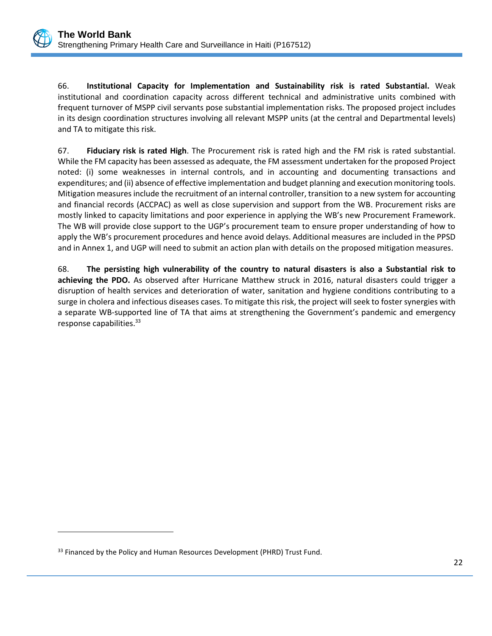66. **Institutional Capacity for Implementation and Sustainability risk is rated Substantial.** Weak institutional and coordination capacity across different technical and administrative units combined with frequent turnover of MSPP civil servants pose substantial implementation risks. The proposed project includes in its design coordination structures involving all relevant MSPP units (at the central and Departmental levels) and TA to mitigate this risk.

67. **Fiduciary risk is rated High**. The Procurement risk is rated high and the FM risk is rated substantial. While the FM capacity has been assessed as adequate, the FM assessment undertaken for the proposed Project noted: (i) some weaknesses in internal controls, and in accounting and documenting transactions and expenditures; and (ii) absence of effective implementation and budget planning and execution monitoring tools. Mitigation measures include the recruitment of an internal controller, transition to a new system for accounting and financial records (ACCPAC) as well as close supervision and support from the WB. Procurement risks are mostly linked to capacity limitations and poor experience in applying the WB's new Procurement Framework. The WB will provide close support to the UGP's procurement team to ensure proper understanding of how to apply the WB's procurement procedures and hence avoid delays. Additional measures are included in the PPSD and in Annex 1, and UGP will need to submit an action plan with details on the proposed mitigation measures.

68. **The persisting high vulnerability of the country to natural disasters is also a Substantial risk to achieving the PDO.** As observed after Hurricane Matthew struck in 2016, natural disasters could trigger a disruption of health services and deterioration of water, sanitation and hygiene conditions contributing to a surge in cholera and infectious diseases cases. To mitigate this risk, the project will seek to foster synergies with a separate WB-supported line of TA that aims at strengthening the Government's pandemic and emergency response capabilities. 33

 $\overline{a}$ 

<sup>&</sup>lt;sup>33</sup> Financed by the Policy and Human Resources Development (PHRD) Trust Fund.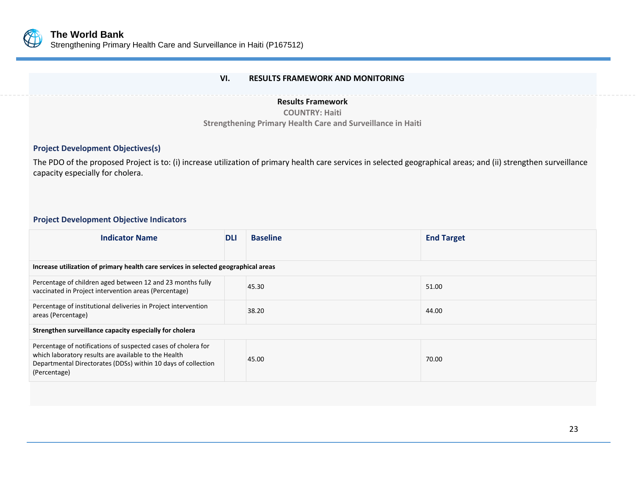

#### **VI. RESULTS FRAMEWORK AND MONITORING**

#### **Results Framework**

**COUNTRY: Haiti Strengthening Primary Health Care and Surveillance in Haiti**

#### **Project Development Objectives(s)**

The PDO of the proposed Project is to: (i) increase utilization of primary health care services in selected geographical areas; and (ii) strengthen surveillance capacity especially for cholera.

#### <span id="page-33-0"></span>**Project Development Objective Indicators**

| <b>Indicator Name</b>                                                                                                                                                                                  | <b>DLI</b> | <b>Baseline</b> | <b>End Target</b> |
|--------------------------------------------------------------------------------------------------------------------------------------------------------------------------------------------------------|------------|-----------------|-------------------|
|                                                                                                                                                                                                        |            |                 |                   |
| Increase utilization of primary health care services in selected geographical areas                                                                                                                    |            |                 |                   |
| Percentage of children aged between 12 and 23 months fully<br>vaccinated in Project intervention areas (Percentage)                                                                                    |            | 45.30           | 51.00             |
| Percentage of institutional deliveries in Project intervention<br>areas (Percentage)                                                                                                                   |            | 38.20           | 44.00             |
| Strengthen surveillance capacity especially for cholera                                                                                                                                                |            |                 |                   |
| Percentage of notifications of suspected cases of cholera for<br>which laboratory results are available to the Health<br>Departmental Directorates (DDSs) within 10 days of collection<br>(Percentage) |            | 45.00           | 70.00             |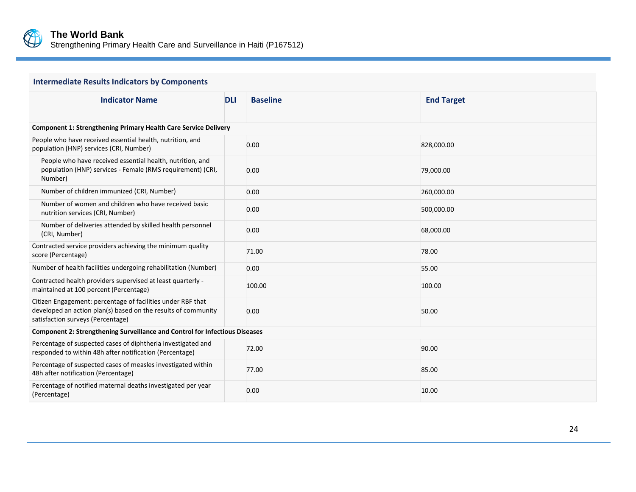

# **Intermediate Results Indicators by Components**

| <b>Indicator Name</b>                                                                                                                                             | <b>DLI</b> | <b>Baseline</b> | <b>End Target</b> |
|-------------------------------------------------------------------------------------------------------------------------------------------------------------------|------------|-----------------|-------------------|
|                                                                                                                                                                   |            |                 |                   |
| <b>Component 1: Strengthening Primary Health Care Service Delivery</b>                                                                                            |            |                 |                   |
| People who have received essential health, nutrition, and<br>population (HNP) services (CRI, Number)                                                              |            | 0.00            | 828,000.00        |
| People who have received essential health, nutrition, and<br>population (HNP) services - Female (RMS requirement) (CRI,<br>Number)                                |            | 0.00            | 79,000.00         |
| Number of children immunized (CRI, Number)                                                                                                                        |            | 0.00            | 260,000.00        |
| Number of women and children who have received basic<br>nutrition services (CRI, Number)                                                                          |            | 0.00            | 500,000.00        |
| Number of deliveries attended by skilled health personnel<br>(CRI, Number)                                                                                        |            | 0.00            | 68,000.00         |
| Contracted service providers achieving the minimum quality<br>score (Percentage)                                                                                  |            | 71.00           | 78.00             |
| Number of health facilities undergoing rehabilitation (Number)                                                                                                    |            | 0.00            | 55.00             |
| Contracted health providers supervised at least quarterly -<br>maintained at 100 percent (Percentage)                                                             |            | 100.00          | 100.00            |
| Citizen Engagement: percentage of facilities under RBF that<br>developed an action plan(s) based on the results of community<br>satisfaction surveys (Percentage) |            | 0.00            | 50.00             |
| <b>Component 2: Strengthening Surveillance and Control for Infectious Diseases</b>                                                                                |            |                 |                   |
| Percentage of suspected cases of diphtheria investigated and<br>responded to within 48h after notification (Percentage)                                           |            | 72.00           | 90.00             |
| Percentage of suspected cases of measles investigated within<br>48h after notification (Percentage)                                                               |            | 77.00           | 85.00             |
| Percentage of notified maternal deaths investigated per year<br>(Percentage)                                                                                      |            | 0.00            | 10.00             |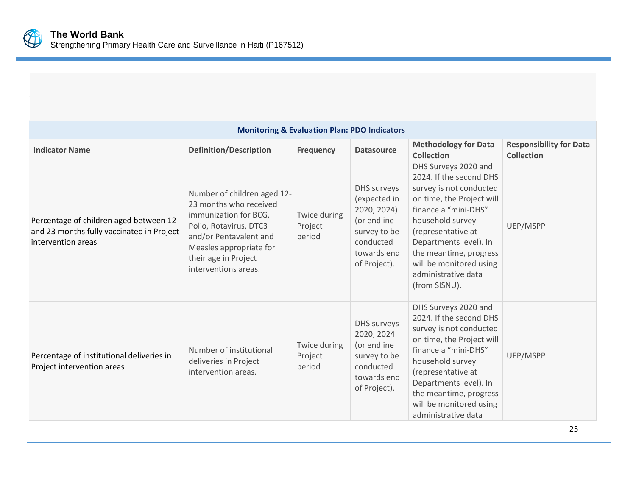

| <b>Monitoring &amp; Evaluation Plan: PDO Indicators</b>                                                   |                                                                                                                                                                                                               |                                   |                                                                                                                       |                                                                                                                                                                                                                                                                                                  |                                                     |  |  |
|-----------------------------------------------------------------------------------------------------------|---------------------------------------------------------------------------------------------------------------------------------------------------------------------------------------------------------------|-----------------------------------|-----------------------------------------------------------------------------------------------------------------------|--------------------------------------------------------------------------------------------------------------------------------------------------------------------------------------------------------------------------------------------------------------------------------------------------|-----------------------------------------------------|--|--|
| <b>Indicator Name</b>                                                                                     | <b>Definition/Description</b>                                                                                                                                                                                 | <b>Frequency</b>                  | <b>Datasource</b>                                                                                                     | <b>Methodology for Data</b><br><b>Collection</b>                                                                                                                                                                                                                                                 | <b>Responsibility for Data</b><br><b>Collection</b> |  |  |
| Percentage of children aged between 12<br>and 23 months fully vaccinated in Project<br>intervention areas | Number of children aged 12-<br>23 months who received<br>immunization for BCG,<br>Polio, Rotavirus, DTC3<br>and/or Pentavalent and<br>Measles appropriate for<br>their age in Project<br>interventions areas. | Twice during<br>Project<br>period | DHS surveys<br>(expected in<br>2020, 2024)<br>(or endline<br>survey to be<br>conducted<br>towards end<br>of Project). | DHS Surveys 2020 and<br>2024. If the second DHS<br>survey is not conducted<br>on time, the Project will<br>finance a "mini-DHS"<br>household survey<br>(representative at<br>Departments level). In<br>the meantime, progress<br>will be monitored using<br>administrative data<br>(from SISNU). | UEP/MSPP                                            |  |  |
| Percentage of institutional deliveries in<br>Project intervention areas                                   | Number of institutional<br>deliveries in Project<br>intervention areas.                                                                                                                                       | Twice during<br>Project<br>period | <b>DHS</b> surveys<br>2020, 2024<br>(or endline<br>survey to be<br>conducted<br>towards end<br>of Project).           | DHS Surveys 2020 and<br>2024. If the second DHS<br>survey is not conducted<br>on time, the Project will<br>finance a "mini-DHS"<br>household survey<br>(representative at<br>Departments level). In<br>the meantime, progress<br>will be monitored using<br>administrative data                  | UEP/MSPP                                            |  |  |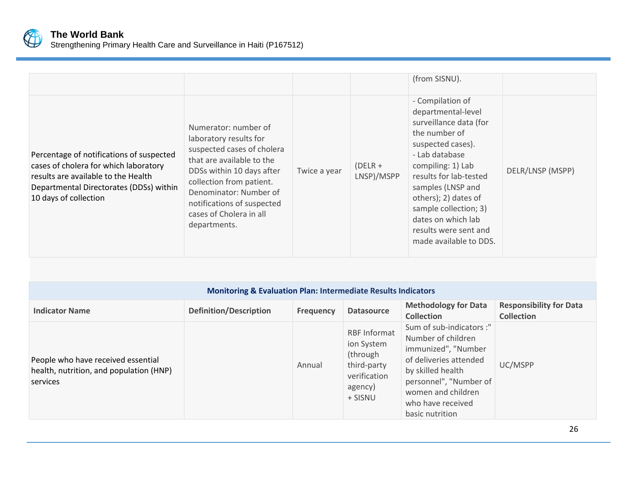

|                                                                                                                                                                                              |                                                                                                                                                                                                                                                                       |              |                         | (from SISNU).                                                                                                                                                                                                                                                                                                          |                  |
|----------------------------------------------------------------------------------------------------------------------------------------------------------------------------------------------|-----------------------------------------------------------------------------------------------------------------------------------------------------------------------------------------------------------------------------------------------------------------------|--------------|-------------------------|------------------------------------------------------------------------------------------------------------------------------------------------------------------------------------------------------------------------------------------------------------------------------------------------------------------------|------------------|
| Percentage of notifications of suspected<br>cases of cholera for which laboratory<br>results are available to the Health<br>Departmental Directorates (DDSs) within<br>10 days of collection | Numerator: number of<br>laboratory results for<br>suspected cases of cholera<br>that are available to the<br>DDSs within 10 days after<br>collection from patient.<br>Denominator: Number of<br>notifications of suspected<br>cases of Cholera in all<br>departments. | Twice a year | $(DELR +$<br>LNSP)/MSPP | - Compilation of<br>departmental-level<br>surveillance data (for<br>the number of<br>suspected cases).<br>- Lab database<br>compiling: 1) Lab<br>results for lab-tested<br>samples (LNSP and<br>others); 2) dates of<br>sample collection; 3)<br>dates on which lab<br>results were sent and<br>made available to DDS. | DELR/LNSP (MSPP) |

| <b>Monitoring &amp; Evaluation Plan: Intermediate Results Indicators</b>                  |                               |                  |                                                                                                    |                                                                                                                                                                                                              |                                                     |  |
|-------------------------------------------------------------------------------------------|-------------------------------|------------------|----------------------------------------------------------------------------------------------------|--------------------------------------------------------------------------------------------------------------------------------------------------------------------------------------------------------------|-----------------------------------------------------|--|
| <b>Indicator Name</b>                                                                     | <b>Definition/Description</b> | <b>Frequency</b> | <b>Datasource</b>                                                                                  | <b>Methodology for Data</b><br><b>Collection</b>                                                                                                                                                             | <b>Responsibility for Data</b><br><b>Collection</b> |  |
| People who have received essential<br>health, nutrition, and population (HNP)<br>services |                               | Annual           | <b>RBF Informat</b><br>ion System<br>(through<br>third-party<br>verification<br>agency)<br>+ SISNU | Sum of sub-indicators :"<br>Number of children<br>immunized", "Number<br>of deliveries attended<br>by skilled health<br>personnel", "Number of<br>women and children<br>who have received<br>basic nutrition | UC/MSPP                                             |  |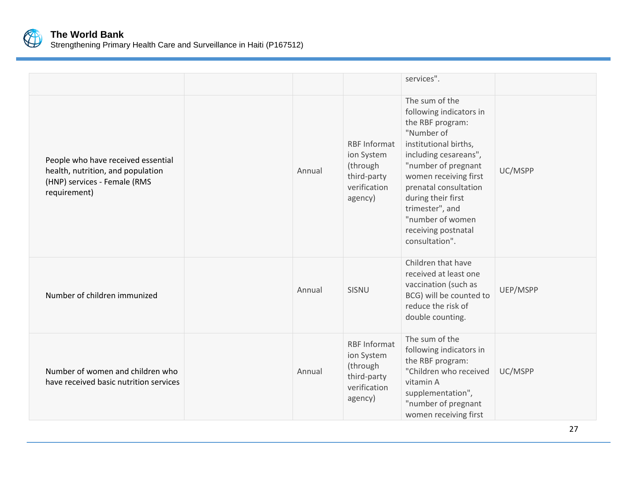

|                                                                                                                         |        |                                                                                         | services".                                                                                                                                                                                                                                                                                                   |          |
|-------------------------------------------------------------------------------------------------------------------------|--------|-----------------------------------------------------------------------------------------|--------------------------------------------------------------------------------------------------------------------------------------------------------------------------------------------------------------------------------------------------------------------------------------------------------------|----------|
| People who have received essential<br>health, nutrition, and population<br>(HNP) services - Female (RMS<br>requirement) | Annual | <b>RBF Informat</b><br>ion System<br>(through<br>third-party<br>verification<br>agency) | The sum of the<br>following indicators in<br>the RBF program:<br>"Number of<br>institutional births,<br>including cesareans",<br>"number of pregnant<br>women receiving first<br>prenatal consultation<br>during their first<br>trimester", and<br>"number of women<br>receiving postnatal<br>consultation". | UC/MSPP  |
| Number of children immunized                                                                                            | Annual | SISNU                                                                                   | Children that have<br>received at least one<br>vaccination (such as<br>BCG) will be counted to<br>reduce the risk of<br>double counting.                                                                                                                                                                     | UEP/MSPP |
| Number of women and children who<br>have received basic nutrition services                                              | Annual | <b>RBF Informat</b><br>ion System<br>(through<br>third-party<br>verification<br>agency) | The sum of the<br>following indicators in<br>the RBF program:<br>"Children who received<br>vitamin A<br>supplementation",<br>"number of pregnant<br>women receiving first                                                                                                                                    | UC/MSPP  |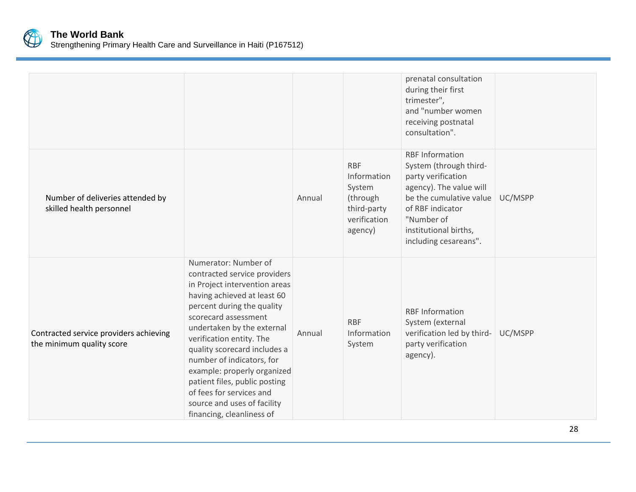

|                                                                     |                                                                                                                                                                                                                                                                                                                                                                                                                                                           |        |                                                                                           | prenatal consultation<br>during their first<br>trimester",<br>and "number women<br>receiving postnatal<br>consultation".                                                                                         |         |
|---------------------------------------------------------------------|-----------------------------------------------------------------------------------------------------------------------------------------------------------------------------------------------------------------------------------------------------------------------------------------------------------------------------------------------------------------------------------------------------------------------------------------------------------|--------|-------------------------------------------------------------------------------------------|------------------------------------------------------------------------------------------------------------------------------------------------------------------------------------------------------------------|---------|
| Number of deliveries attended by<br>skilled health personnel        |                                                                                                                                                                                                                                                                                                                                                                                                                                                           | Annual | <b>RBF</b><br>Information<br>System<br>(through<br>third-party<br>verification<br>agency) | <b>RBF Information</b><br>System (through third-<br>party verification<br>agency). The value will<br>be the cumulative value<br>of RBF indicator<br>"Number of<br>institutional births,<br>including cesareans". | UC/MSPP |
| Contracted service providers achieving<br>the minimum quality score | Numerator: Number of<br>contracted service providers<br>in Project intervention areas<br>having achieved at least 60<br>percent during the quality<br>scorecard assessment<br>undertaken by the external<br>verification entity. The<br>quality scorecard includes a<br>number of indicators, for<br>example: properly organized<br>patient files, public posting<br>of fees for services and<br>source and uses of facility<br>financing, cleanliness of | Annual | <b>RBF</b><br>Information<br>System                                                       | <b>RBF Information</b><br>System (external<br>verification led by third-<br>party verification<br>agency).                                                                                                       | UC/MSPP |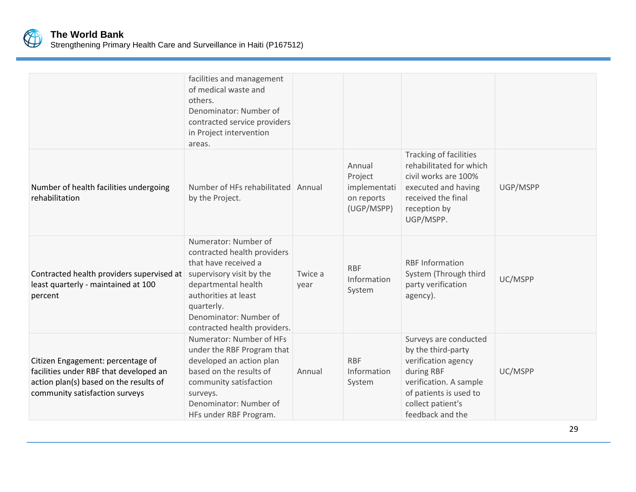

|                                                                                                                                                         | facilities and management<br>of medical waste and<br>others.<br>Denominator: Number of<br>contracted service providers<br>in Project intervention<br>areas.                                                                    |                 |                                                               |                                                                                                                                                                               |          |
|---------------------------------------------------------------------------------------------------------------------------------------------------------|--------------------------------------------------------------------------------------------------------------------------------------------------------------------------------------------------------------------------------|-----------------|---------------------------------------------------------------|-------------------------------------------------------------------------------------------------------------------------------------------------------------------------------|----------|
| Number of health facilities undergoing<br>rehabilitation                                                                                                | Number of HFs rehabilitated Annual<br>by the Project.                                                                                                                                                                          |                 | Annual<br>Project<br>implementati<br>on reports<br>(UGP/MSPP) | Tracking of facilities<br>rehabilitated for which<br>civil works are 100%<br>executed and having<br>received the final<br>reception by<br>UGP/MSPP.                           | UGP/MSPP |
| Contracted health providers supervised at<br>least quarterly - maintained at 100<br>percent                                                             | Numerator: Number of<br>contracted health providers<br>that have received a<br>supervisory visit by the<br>departmental health<br>authorities at least<br>quarterly.<br>Denominator: Number of<br>contracted health providers. | Twice a<br>year | <b>RBF</b><br>Information<br>System                           | <b>RBF Information</b><br>System (Through third<br>party verification<br>agency).                                                                                             | UC/MSPP  |
| Citizen Engagement: percentage of<br>facilities under RBF that developed an<br>action plan(s) based on the results of<br>community satisfaction surveys | Numerator: Number of HFs<br>under the RBF Program that<br>developed an action plan<br>based on the results of<br>community satisfaction<br>surveys.<br>Denominator: Number of<br>HFs under RBF Program.                        | Annual          | <b>RBF</b><br>Information<br>System                           | Surveys are conducted<br>by the third-party<br>verification agency<br>during RBF<br>verification. A sample<br>of patients is used to<br>collect patient's<br>feedback and the | UC/MSPP  |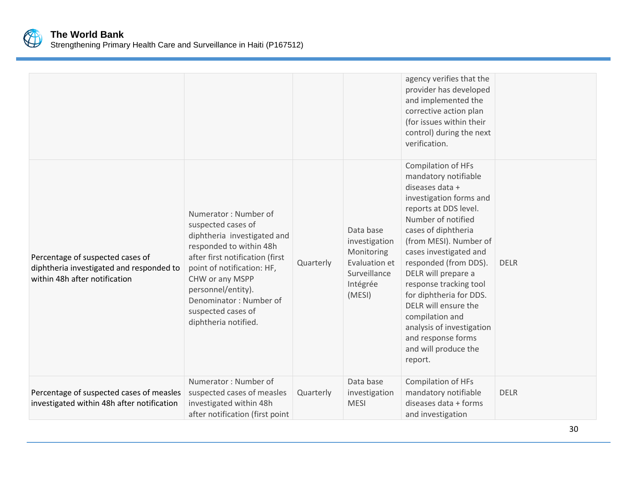

|                                                                                                               |                                                                                                                                                                                                                                                                                        |           |                                                                                                 | agency verifies that the<br>provider has developed<br>and implemented the<br>corrective action plan<br>(for issues within their<br>control) during the next<br>verification.                                                                                                                                                                                                                                                                             |             |
|---------------------------------------------------------------------------------------------------------------|----------------------------------------------------------------------------------------------------------------------------------------------------------------------------------------------------------------------------------------------------------------------------------------|-----------|-------------------------------------------------------------------------------------------------|----------------------------------------------------------------------------------------------------------------------------------------------------------------------------------------------------------------------------------------------------------------------------------------------------------------------------------------------------------------------------------------------------------------------------------------------------------|-------------|
| Percentage of suspected cases of<br>diphtheria investigated and responded to<br>within 48h after notification | Numerator: Number of<br>suspected cases of<br>diphtheria investigated and<br>responded to within 48h<br>after first notification (first<br>point of notification: HF,<br>CHW or any MSPP<br>personnel/entity).<br>Denominator: Number of<br>suspected cases of<br>diphtheria notified. | Quarterly | Data base<br>investigation<br>Monitoring<br>Evaluation et<br>Surveillance<br>Intégrée<br>(MESI) | Compilation of HFs<br>mandatory notifiable<br>diseases data +<br>investigation forms and<br>reports at DDS level.<br>Number of notified<br>cases of diphtheria<br>(from MESI). Number of<br>cases investigated and<br>responded (from DDS).<br>DELR will prepare a<br>response tracking tool<br>for diphtheria for DDS.<br>DELR will ensure the<br>compilation and<br>analysis of investigation<br>and response forms<br>and will produce the<br>report. | <b>DELR</b> |
| Percentage of suspected cases of measles<br>investigated within 48h after notification                        | Numerator: Number of<br>suspected cases of measles<br>investigated within 48h<br>after notification (first point                                                                                                                                                                       | Quarterly | Data base<br>investigation<br><b>MESI</b>                                                       | Compilation of HFs<br>mandatory notifiable<br>diseases data + forms<br>and investigation                                                                                                                                                                                                                                                                                                                                                                 | <b>DELR</b> |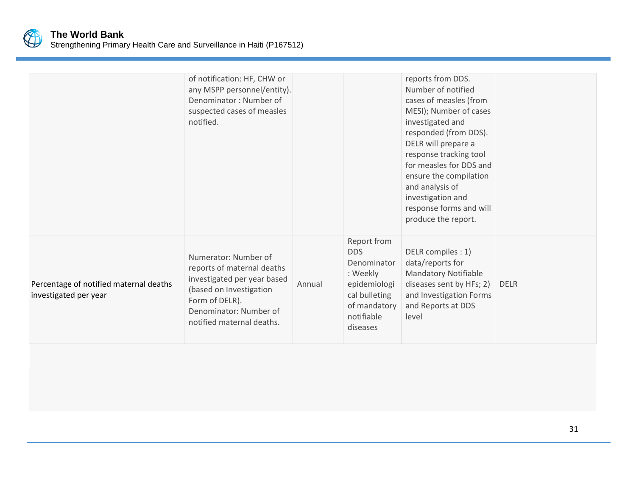

|                                                                 | of notification: HF, CHW or<br>any MSPP personnel/entity).<br>Denominator: Number of<br>suspected cases of measles<br>notified.                                                       |        |                                                                                                                                 | reports from DDS.<br>Number of notified<br>cases of measles (from<br>MESI); Number of cases<br>investigated and<br>responded (from DDS).<br>DELR will prepare a<br>response tracking tool<br>for measles for DDS and<br>ensure the compilation<br>and analysis of<br>investigation and<br>response forms and will<br>produce the report. |             |
|-----------------------------------------------------------------|---------------------------------------------------------------------------------------------------------------------------------------------------------------------------------------|--------|---------------------------------------------------------------------------------------------------------------------------------|------------------------------------------------------------------------------------------------------------------------------------------------------------------------------------------------------------------------------------------------------------------------------------------------------------------------------------------|-------------|
| Percentage of notified maternal deaths<br>investigated per year | Numerator: Number of<br>reports of maternal deaths<br>investigated per year based<br>(based on Investigation<br>Form of DELR).<br>Denominator: Number of<br>notified maternal deaths. | Annual | Report from<br><b>DDS</b><br>Denominator<br>: Weekly<br>epidemiologi<br>cal bulleting<br>of mandatory<br>notifiable<br>diseases | DELR compiles : 1)<br>data/reports for<br><b>Mandatory Notifiable</b><br>diseases sent by HFs; 2)<br>and Investigation Forms<br>and Reports at DDS<br>level                                                                                                                                                                              | <b>DELR</b> |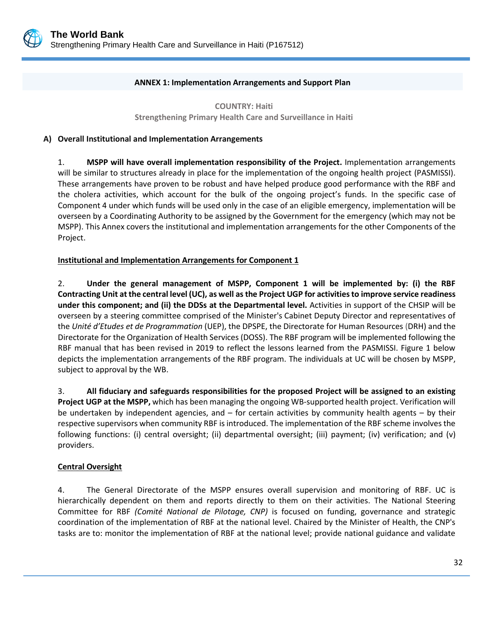<span id="page-42-0"></span>

#### **ANNEX 1: Implementation Arrangements and Support Plan**

**COUNTRY: Haiti Strengthening Primary Health Care and Surveillance in Haiti**

#### **A) Overall Institutional and Implementation Arrangements**

1. **MSPP will have overall implementation responsibility of the Project.** Implementation arrangements will be similar to structures already in place for the implementation of the ongoing health project (PASMISSI). These arrangements have proven to be robust and have helped produce good performance with the RBF and the cholera activities, which account for the bulk of the ongoing project's funds. In the specific case of Component 4 under which funds will be used only in the case of an eligible emergency, implementation will be overseen by a Coordinating Authority to be assigned by the Government for the emergency (which may not be MSPP). This Annex covers the institutional and implementation arrangements for the other Components of the Project.

# **Institutional and Implementation Arrangements for Component 1**

2. **Under the general management of MSPP, Component 1 will be implemented by: (i) the RBF Contracting Unit at the central level (UC), as well asthe Project UGP for activities to improve service readiness under this component; and (ii) the DDSs at the Departmental level.** Activities in support of the CHSIP will be overseen by a steering committee comprised of the Minister's Cabinet Deputy Director and representatives of the *Unité d'Etudes et de Programmation* (UEP), the DPSPE, the Directorate for Human Resources (DRH) and the Directorate for the Organization of Health Services (DOSS). The RBF program will be implemented following the RBF manual that has been revised in 2019 to reflect the lessons learned from the PASMISSI. Figure 1 below depicts the implementation arrangements of the RBF program. The individuals at UC will be chosen by MSPP, subject to approval by the WB.

3. **All fiduciary and safeguards responsibilities for the proposed Project will be assigned to an existing Project UGP at the MSPP,** which has been managing the ongoing WB-supported health project. Verification will be undertaken by independent agencies, and – for certain activities by community health agents – by their respective supervisors when community RBF is introduced. The implementation of the RBF scheme involves the following functions: (i) central oversight; (ii) departmental oversight; (iii) payment; (iv) verification; and (v) providers.

#### **Central Oversight**

4. The General Directorate of the MSPP ensures overall supervision and monitoring of RBF. UC is hierarchically dependent on them and reports directly to them on their activities. The National Steering Committee for RBF *(Comité National de Pilotage, CNP)* is focused on funding, governance and strategic coordination of the implementation of RBF at the national level. Chaired by the Minister of Health, the CNP's tasks are to: monitor the implementation of RBF at the national level; provide national guidance and validate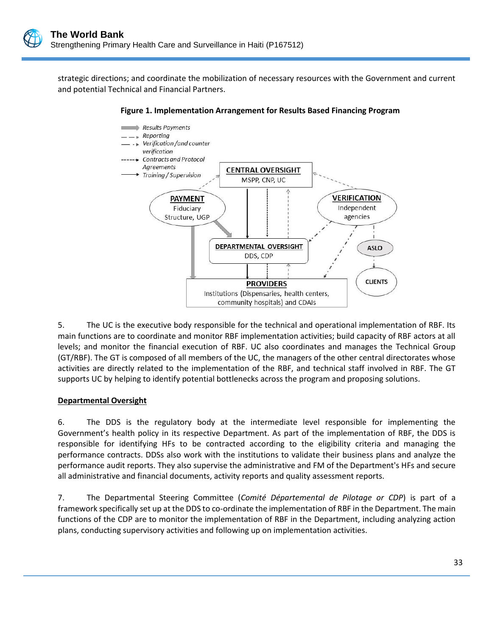strategic directions; and coordinate the mobilization of necessary resources with the Government and current and potential Technical and Financial Partners.



**Figure 1. Implementation Arrangement for Results Based Financing Program**

5. The UC is the executive body responsible for the technical and operational implementation of RBF. Its main functions are to coordinate and monitor RBF implementation activities; build capacity of RBF actors at all levels; and monitor the financial execution of RBF. UC also coordinates and manages the Technical Group (GT/RBF). The GT is composed of all members of the UC, the managers of the other central directorates whose activities are directly related to the implementation of the RBF, and technical staff involved in RBF. The GT supports UC by helping to identify potential bottlenecks across the program and proposing solutions.

#### **Departmental Oversight**

6. The DDS is the regulatory body at the intermediate level responsible for implementing the Government's health policy in its respective Department. As part of the implementation of RBF, the DDS is responsible for identifying HFs to be contracted according to the eligibility criteria and managing the performance contracts. DDSs also work with the institutions to validate their business plans and analyze the performance audit reports. They also supervise the administrative and FM of the Department's HFs and secure all administrative and financial documents, activity reports and quality assessment reports.

7. The Departmental Steering Committee (*Comité Départemental de Pilotage or CDP*) is part of a framework specifically set up at the DDS to co-ordinate the implementation of RBF in the Department. The main functions of the CDP are to monitor the implementation of RBF in the Department, including analyzing action plans, conducting supervisory activities and following up on implementation activities.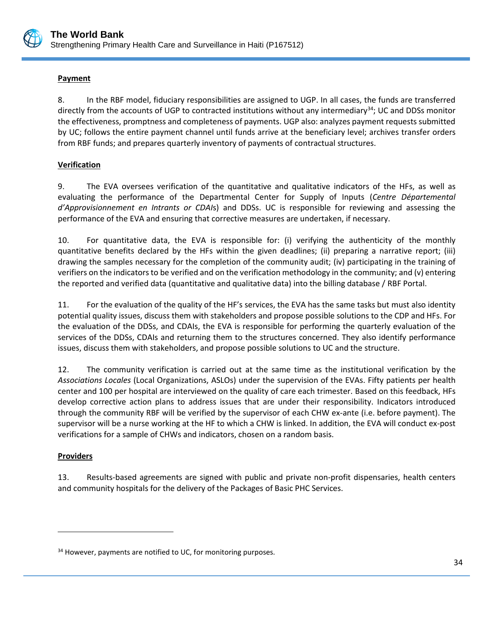

# **Payment**

8. In the RBF model, fiduciary responsibilities are assigned to UGP. In all cases, the funds are transferred directly from the accounts of UGP to contracted institutions without any intermediary $34$ ; UC and DDSs monitor the effectiveness, promptness and completeness of payments. UGP also: analyzes payment requests submitted by UC; follows the entire payment channel until funds arrive at the beneficiary level; archives transfer orders from RBF funds; and prepares quarterly inventory of payments of contractual structures.

# **Verification**

9. The EVA oversees verification of the quantitative and qualitative indicators of the HFs, as well as evaluating the performance of the Departmental Center for Supply of Inputs (*Centre Départemental d'Approvisionnement en Intrants or CDAI*s) and DDSs. UC is responsible for reviewing and assessing the performance of the EVA and ensuring that corrective measures are undertaken, if necessary.

10. For quantitative data, the EVA is responsible for: (i) verifying the authenticity of the monthly quantitative benefits declared by the HFs within the given deadlines; (ii) preparing a narrative report; (iii) drawing the samples necessary for the completion of the community audit; (iv) participating in the training of verifiers on the indicators to be verified and on the verification methodology in the community; and (v) entering the reported and verified data (quantitative and qualitative data) into the billing database / RBF Portal.

11. For the evaluation of the quality of the HF's services, the EVA has the same tasks but must also identity potential quality issues, discuss them with stakeholders and propose possible solutions to the CDP and HFs. For the evaluation of the DDSs, and CDAIs, the EVA is responsible for performing the quarterly evaluation of the services of the DDSs, CDAIs and returning them to the structures concerned. They also identify performance issues, discuss them with stakeholders, and propose possible solutions to UC and the structure.

12. The community verification is carried out at the same time as the institutional verification by the *Associations Locales* (Local Organizations, ASLOs) under the supervision of the EVAs. Fifty patients per health center and 100 per hospital are interviewed on the quality of care each trimester. Based on this feedback, HFs develop corrective action plans to address issues that are under their responsibility. Indicators introduced through the community RBF will be verified by the supervisor of each CHW ex-ante (i.e. before payment). The supervisor will be a nurse working at the HF to which a CHW is linked. In addition, the EVA will conduct ex-post verifications for a sample of CHWs and indicators, chosen on a random basis.

# **Providers**

 $\overline{a}$ 

13. Results-based agreements are signed with public and private non-profit dispensaries, health centers and community hospitals for the delivery of the Packages of Basic PHC Services.

<sup>&</sup>lt;sup>34</sup> However, payments are notified to UC, for monitoring purposes.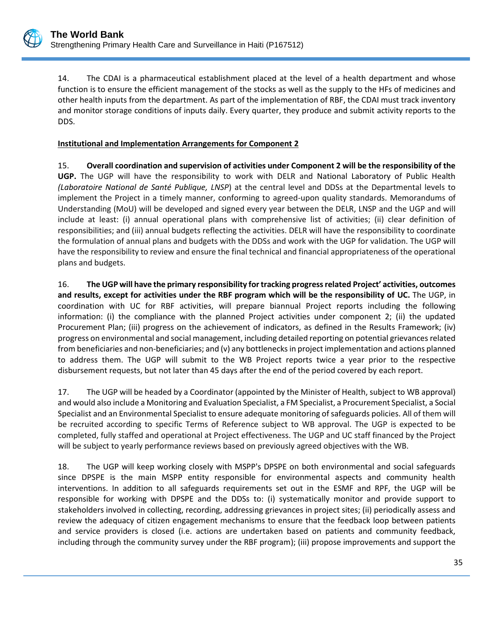

14. The CDAI is a pharmaceutical establishment placed at the level of a health department and whose function is to ensure the efficient management of the stocks as well as the supply to the HFs of medicines and other health inputs from the department. As part of the implementation of RBF, the CDAI must track inventory and monitor storage conditions of inputs daily. Every quarter, they produce and submit activity reports to the DDS.

# **Institutional and Implementation Arrangements for Component 2**

15. **Overall coordination and supervision of activities under Component 2 will be the responsibility of the UGP.** The UGP will have the responsibility to work with DELR and National Laboratory of Public Health *(Laboratoire National de Santé Publique, LNSP*) at the central level and DDSs at the Departmental levels to implement the Project in a timely manner, conforming to agreed-upon quality standards. Memorandums of Understanding (MoU) will be developed and signed every year between the DELR, LNSP and the UGP and will include at least: (i) annual operational plans with comprehensive list of activities; (ii) clear definition of responsibilities; and (iii) annual budgets reflecting the activities. DELR will have the responsibility to coordinate the formulation of annual plans and budgets with the DDSs and work with the UGP for validation. The UGP will have the responsibility to review and ensure the final technical and financial appropriateness of the operational plans and budgets.

16. **The UGP will have the primary responsibility for tracking progress related Project' activities, outcomes and results, except for activities under the RBF program which will be the responsibility of UC.** The UGP, in coordination with UC for RBF activities, will prepare biannual Project reports including the following information: (i) the compliance with the planned Project activities under component 2; (ii) the updated Procurement Plan; (iii) progress on the achievement of indicators, as defined in the Results Framework; (iv) progress on environmental and social management, including detailed reporting on potential grievances related from beneficiaries and non-beneficiaries; and (v) any bottlenecks in project implementation and actions planned to address them. The UGP will submit to the WB Project reports twice a year prior to the respective disbursement requests, but not later than 45 days after the end of the period covered by each report.

17. The UGP will be headed by a Coordinator (appointed by the Minister of Health, subject to WB approval) and would also include a Monitoring and Evaluation Specialist, a FM Specialist, a Procurement Specialist, a Social Specialist and an Environmental Specialist to ensure adequate monitoring of safeguards policies. All of them will be recruited according to specific Terms of Reference subject to WB approval. The UGP is expected to be completed, fully staffed and operational at Project effectiveness. The UGP and UC staff financed by the Project will be subject to yearly performance reviews based on previously agreed objectives with the WB.

18. The UGP will keep working closely with MSPP's DPSPE on both environmental and social safeguards since DPSPE is the main MSPP entity responsible for environmental aspects and community health interventions. In addition to all safeguards requirements set out in the ESMF and RPF, the UGP will be responsible for working with DPSPE and the DDSs to: (i) systematically monitor and provide support to stakeholders involved in collecting, recording, addressing grievances in project sites; (ii) periodically assess and review the adequacy of citizen engagement mechanisms to ensure that the feedback loop between patients and service providers is closed (i.e. actions are undertaken based on patients and community feedback, including through the community survey under the RBF program); (iii) propose improvements and support the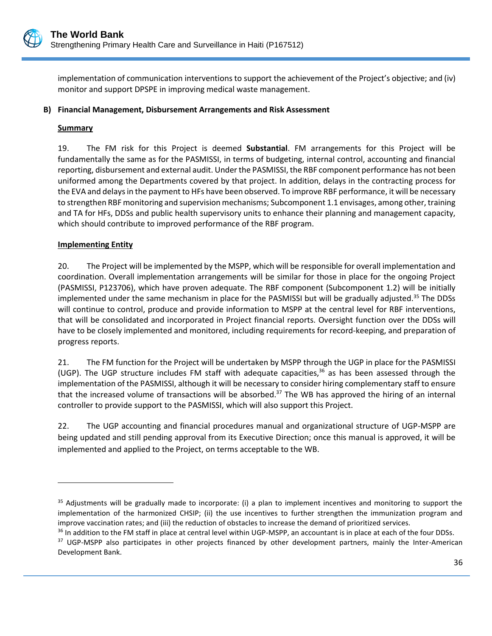

implementation of communication interventions to support the achievement of the Project's objective; and (iv) monitor and support DPSPE in improving medical waste management.

# **B) Financial Management, Disbursement Arrangements and Risk Assessment**

# **Summary**

19. The FM risk for this Project is deemed **Substantial**. FM arrangements for this Project will be fundamentally the same as for the PASMISSI, in terms of budgeting, internal control, accounting and financial reporting, disbursement and external audit. Under the PASMISSI, the RBF component performance has not been uniformed among the Departments covered by that project. In addition, delays in the contracting process for the EVA and delays in the payment to HFs have been observed. To improve RBF performance, it will be necessary to strengthen RBF monitoring and supervision mechanisms; Subcomponent 1.1 envisages, among other, training and TA for HFs, DDSs and public health supervisory units to enhance their planning and management capacity, which should contribute to improved performance of the RBF program.

# **Implementing Entity**

 $\overline{a}$ 

20. The Project will be implemented by the MSPP, which will be responsible for overall implementation and coordination. Overall implementation arrangements will be similar for those in place for the ongoing Project (PASMISSI, P123706), which have proven adequate. The RBF component (Subcomponent 1.2) will be initially implemented under the same mechanism in place for the PASMISSI but will be gradually adjusted.<sup>35</sup> The DDSs will continue to control, produce and provide information to MSPP at the central level for RBF interventions, that will be consolidated and incorporated in Project financial reports. Oversight function over the DDSs will have to be closely implemented and monitored, including requirements for record-keeping, and preparation of progress reports.

21. The FM function for the Project will be undertaken by MSPP through the UGP in place for the PASMISSI (UGP). The UGP structure includes FM staff with adequate capacities,<sup>36</sup> as has been assessed through the implementation of the PASMISSI, although it will be necessary to consider hiring complementary staff to ensure that the increased volume of transactions will be absorbed.<sup>37</sup> The WB has approved the hiring of an internal controller to provide support to the PASMISSI, which will also support this Project.

22. The UGP accounting and financial procedures manual and organizational structure of UGP-MSPP are being updated and still pending approval from its Executive Direction; once this manual is approved, it will be implemented and applied to the Project, on terms acceptable to the WB.

<sup>&</sup>lt;sup>35</sup> Adjustments will be gradually made to incorporate: (i) a plan to implement incentives and monitoring to support the implementation of the harmonized CHSIP; (ii) the use incentives to further strengthen the immunization program and improve vaccination rates; and (iii) the reduction of obstacles to increase the demand of prioritized services.

<sup>&</sup>lt;sup>36</sup> In addition to the FM staff in place at central level within UGP-MSPP, an accountant is in place at each of the four DDSs.

<sup>&</sup>lt;sup>37</sup> UGP-MSPP also participates in other projects financed by other development partners, mainly the Inter-American Development Bank.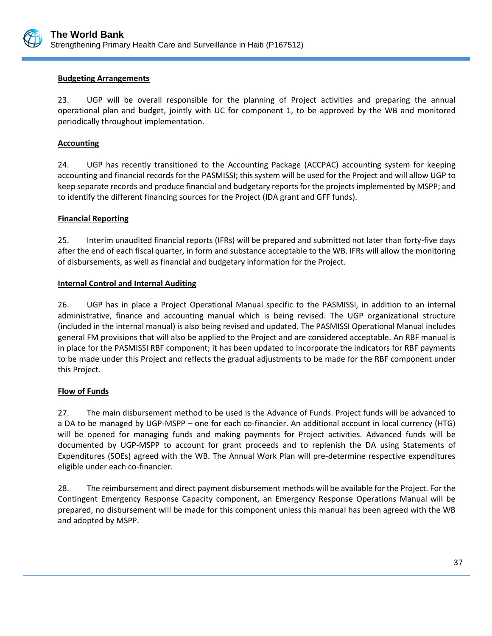

#### **Budgeting Arrangements**

23. UGP will be overall responsible for the planning of Project activities and preparing the annual operational plan and budget, jointly with UC for component 1, to be approved by the WB and monitored periodically throughout implementation.

#### **Accounting**

24. UGP has recently transitioned to the Accounting Package (ACCPAC) accounting system for keeping accounting and financial records for the PASMISSI; this system will be used for the Project and will allow UGP to keep separate records and produce financial and budgetary reports for the projects implemented by MSPP; and to identify the different financing sources for the Project (IDA grant and GFF funds).

#### **Financial Reporting**

25. Interim unaudited financial reports (IFRs) will be prepared and submitted not later than forty-five days after the end of each fiscal quarter, in form and substance acceptable to the WB. IFRs will allow the monitoring of disbursements, as well as financial and budgetary information for the Project.

#### **Internal Control and Internal Auditing**

26. UGP has in place a Project Operational Manual specific to the PASMISSI, in addition to an internal administrative, finance and accounting manual which is being revised. The UGP organizational structure (included in the internal manual) is also being revised and updated. The PASMISSI Operational Manual includes general FM provisions that will also be applied to the Project and are considered acceptable. An RBF manual is in place for the PASMISSI RBF component; it has been updated to incorporate the indicators for RBF payments to be made under this Project and reflects the gradual adjustments to be made for the RBF component under this Project.

#### **Flow of Funds**

27. The main disbursement method to be used is the Advance of Funds. Project funds will be advanced to a DA to be managed by UGP-MSPP – one for each co-financier. An additional account in local currency (HTG) will be opened for managing funds and making payments for Project activities. Advanced funds will be documented by UGP-MSPP to account for grant proceeds and to replenish the DA using Statements of Expenditures (SOEs) agreed with the WB. The Annual Work Plan will pre-determine respective expenditures eligible under each co-financier.

28. The reimbursement and direct payment disbursement methods will be available for the Project. For the Contingent Emergency Response Capacity component, an Emergency Response Operations Manual will be prepared, no disbursement will be made for this component unless this manual has been agreed with the WB and adopted by MSPP.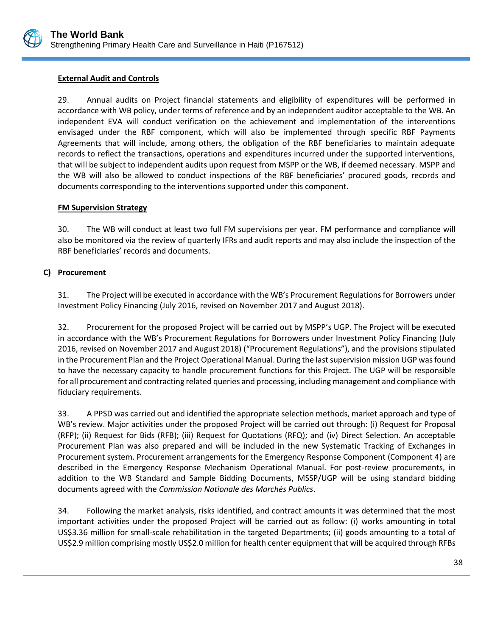

# **External Audit and Controls**

29. Annual audits on Project financial statements and eligibility of expenditures will be performed in accordance with WB policy, under terms of reference and by an independent auditor acceptable to the WB. An independent EVA will conduct verification on the achievement and implementation of the interventions envisaged under the RBF component, which will also be implemented through specific RBF Payments Agreements that will include, among others, the obligation of the RBF beneficiaries to maintain adequate records to reflect the transactions, operations and expenditures incurred under the supported interventions, that will be subject to independent audits upon request from MSPP or the WB, if deemed necessary. MSPP and the WB will also be allowed to conduct inspections of the RBF beneficiaries' procured goods, records and documents corresponding to the interventions supported under this component.

#### **FM Supervision Strategy**

30. The WB will conduct at least two full FM supervisions per year. FM performance and compliance will also be monitored via the review of quarterly IFRs and audit reports and may also include the inspection of the RBF beneficiaries' records and documents.

# **C) Procurement**

31. The Project will be executed in accordance with the WB's Procurement Regulations for Borrowers under Investment Policy Financing (July 2016, revised on November 2017 and August 2018).

32. Procurement for the proposed Project will be carried out by MSPP's UGP. The Project will be executed in accordance with the WB's Procurement Regulations for Borrowers under Investment Policy Financing (July 2016, revised on November 2017 and August 2018) ("Procurement Regulations"), and the provisions stipulated in the Procurement Plan and the Project Operational Manual. During the last supervision mission UGP was found to have the necessary capacity to handle procurement functions for this Project. The UGP will be responsible for all procurement and contracting related queries and processing, including management and compliance with fiduciary requirements.

33. A PPSD was carried out and identified the appropriate selection methods, market approach and type of WB's review. Major activities under the proposed Project will be carried out through: (i) Request for Proposal (RFP); (ii) Request for Bids (RFB); (iii) Request for Quotations (RFQ); and (iv) Direct Selection. An acceptable Procurement Plan was also prepared and will be included in the new Systematic Tracking of Exchanges in Procurement system. Procurement arrangements for the Emergency Response Component (Component 4) are described in the Emergency Response Mechanism Operational Manual. For post-review procurements, in addition to the WB Standard and Sample Bidding Documents, MSSP/UGP will be using standard bidding documents agreed with the *Commission Nationale des Marchés Publics*.

34. Following the market analysis, risks identified, and contract amounts it was determined that the most important activities under the proposed Project will be carried out as follow: (i) works amounting in total US\$3.36 million for small-scale rehabilitation in the targeted Departments; (ii) goods amounting to a total of US\$2.9 million comprising mostly US\$2.0 million for health center equipment that will be acquired through RFBs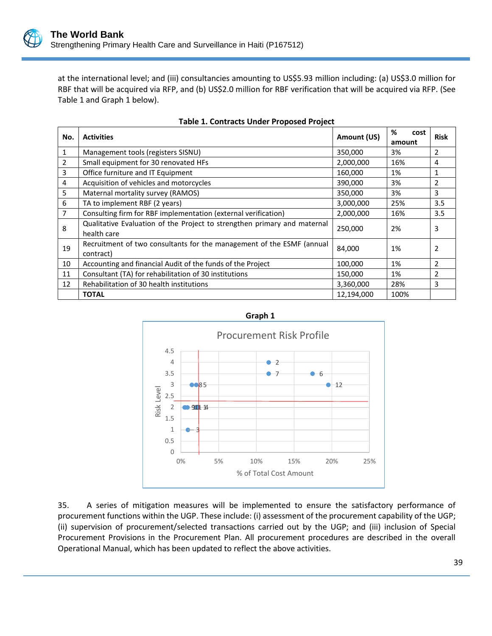

at the international level; and (iii) consultancies amounting to US\$5.93 million including: (a) US\$3.0 million for RBF that will be acquired via RFP, and (b) US\$2.0 million for RBF verification that will be acquired via RFP. (See Table 1 and Graph 1 below).

| No. | <b>Activities</b>                                                        | Amount (US) | %<br>cost | <b>Risk</b>    |
|-----|--------------------------------------------------------------------------|-------------|-----------|----------------|
|     |                                                                          |             | amount    |                |
| 1   | Management tools (registers SISNU)                                       | 350,000     | 3%        | 2              |
| 2   | Small equipment for 30 renovated HFs                                     | 2,000,000   | 16%       | 4              |
| 3   | Office furniture and IT Equipment                                        | 160,000     | 1%        | 1              |
| 4   | Acquisition of vehicles and motorcycles                                  | 390,000     | 3%        | 2              |
| 5   | Maternal mortality survey (RAMOS)                                        | 350,000     | 3%        | 3              |
| 6   | TA to implement RBF (2 years)                                            | 3,000,000   | 25%       | 3.5            |
| 7   | Consulting firm for RBF implementation (external verification)           | 2,000,000   | 16%       | 3.5            |
| 8   | Qualitative Evaluation of the Project to strengthen primary and maternal | 250,000     | 2%        | 3              |
|     | health care                                                              |             |           |                |
| 19  | Recruitment of two consultants for the management of the ESMF (annual    | 84,000      | 1%        | $\overline{2}$ |
|     | contract)                                                                |             |           |                |
| 10  | Accounting and financial Audit of the funds of the Project               | 100,000     | 1%        |                |
| 11  | Consultant (TA) for rehabilitation of 30 institutions                    | 150,000     | 1%        |                |
| 12  | Rehabilitation of 30 health institutions                                 | 3,360,000   | 28%       | 3              |
|     | <b>TOTAL</b>                                                             | 12,194,000  | 100%      |                |







35. A series of mitigation measures will be implemented to ensure the satisfactory performance of procurement functions within the UGP. These include: (i) assessment of the procurement capability of the UGP; (ii) supervision of procurement/selected transactions carried out by the UGP; and (iii) inclusion of Special Procurement Provisions in the Procurement Plan. All procurement procedures are described in the overall Operational Manual, which has been updated to reflect the above activities.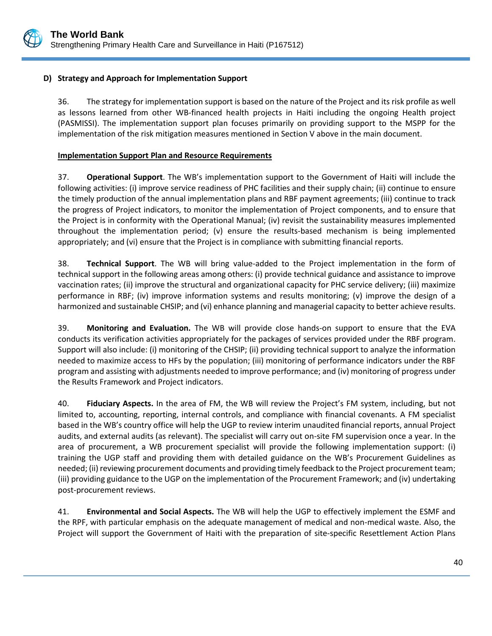

# **D) Strategy and Approach for Implementation Support**

36. The strategy for implementation support is based on the nature of the Project and its risk profile as well as lessons learned from other WB-financed health projects in Haiti including the ongoing Health project (PASMISSI). The implementation support plan focuses primarily on providing support to the MSPP for the implementation of the risk mitigation measures mentioned in Section V above in the main document.

#### **Implementation Support Plan and Resource Requirements**

37. **Operational Support**. The WB's implementation support to the Government of Haiti will include the following activities: (i) improve service readiness of PHC facilities and their supply chain; (ii) continue to ensure the timely production of the annual implementation plans and RBF payment agreements; (iii) continue to track the progress of Project indicators, to monitor the implementation of Project components, and to ensure that the Project is in conformity with the Operational Manual; (iv) revisit the sustainability measures implemented throughout the implementation period; (v) ensure the results-based mechanism is being implemented appropriately; and (vi) ensure that the Project is in compliance with submitting financial reports.

38. **Technical Support**. The WB will bring value-added to the Project implementation in the form of technical support in the following areas among others: (i) provide technical guidance and assistance to improve vaccination rates; (ii) improve the structural and organizational capacity for PHC service delivery; (iii) maximize performance in RBF; (iv) improve information systems and results monitoring; (v) improve the design of a harmonized and sustainable CHSIP; and (vi) enhance planning and managerial capacity to better achieve results.

39. **Monitoring and Evaluation.** The WB will provide close hands-on support to ensure that the EVA conducts its verification activities appropriately for the packages of services provided under the RBF program. Support will also include: (i) monitoring of the CHSIP; (ii) providing technical support to analyze the information needed to maximize access to HFs by the population; (iii) monitoring of performance indicators under the RBF program and assisting with adjustments needed to improve performance; and (iv) monitoring of progress under the Results Framework and Project indicators.

40. **Fiduciary Aspects.** In the area of FM, the WB will review the Project's FM system, including, but not limited to, accounting, reporting, internal controls, and compliance with financial covenants. A FM specialist based in the WB's country office will help the UGP to review interim unaudited financial reports, annual Project audits, and external audits (as relevant). The specialist will carry out on-site FM supervision once a year. In the area of procurement, a WB procurement specialist will provide the following implementation support: (i) training the UGP staff and providing them with detailed guidance on the WB's Procurement Guidelines as needed; (ii) reviewing procurement documents and providing timely feedback to the Project procurement team; (iii) providing guidance to the UGP on the implementation of the Procurement Framework; and (iv) undertaking post-procurement reviews.

41. **Environmental and Social Aspects.** The WB will help the UGP to effectively implement the ESMF and the RPF, with particular emphasis on the adequate management of medical and non-medical waste. Also, the Project will support the Government of Haiti with the preparation of site-specific Resettlement Action Plans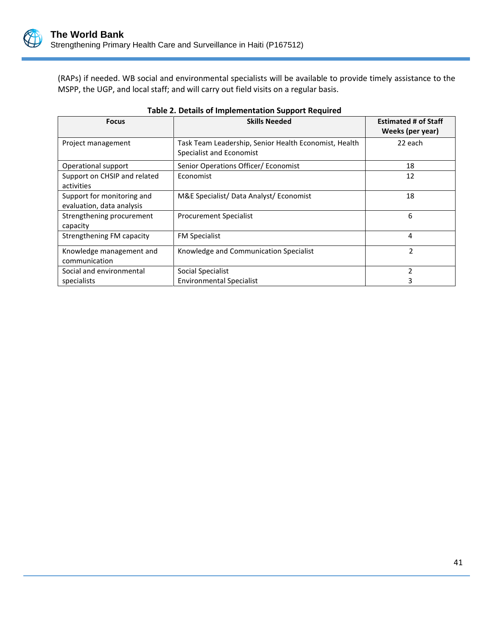

(RAPs) if needed. WB social and environmental specialists will be available to provide timely assistance to the MSPP, the UGP, and local staff; and will carry out field visits on a regular basis.

| <b>Focus</b>                                            | <b>Skills Needed</b>                                                              | <b>Estimated # of Staff</b><br>Weeks (per year) |
|---------------------------------------------------------|-----------------------------------------------------------------------------------|-------------------------------------------------|
| Project management                                      | Task Team Leadership, Senior Health Economist, Health<br>Specialist and Economist | 22 each                                         |
| Operational support                                     | Senior Operations Officer/ Economist                                              | 18                                              |
| Support on CHSIP and related<br>activities              | Economist                                                                         | 12                                              |
| Support for monitoring and<br>evaluation, data analysis | M&E Specialist/ Data Analyst/ Economist                                           | 18                                              |
| Strengthening procurement<br>capacity                   | <b>Procurement Specialist</b>                                                     | 6                                               |
| Strengthening FM capacity                               | <b>FM Specialist</b>                                                              | 4                                               |
| Knowledge management and<br>communication               | Knowledge and Communication Specialist                                            | 2                                               |
| Social and environmental                                | Social Specialist                                                                 | 2                                               |
| specialists                                             | <b>Environmental Specialist</b>                                                   |                                                 |

|  |  |  | Table 2. Details of Implementation Support Required |
|--|--|--|-----------------------------------------------------|
|--|--|--|-----------------------------------------------------|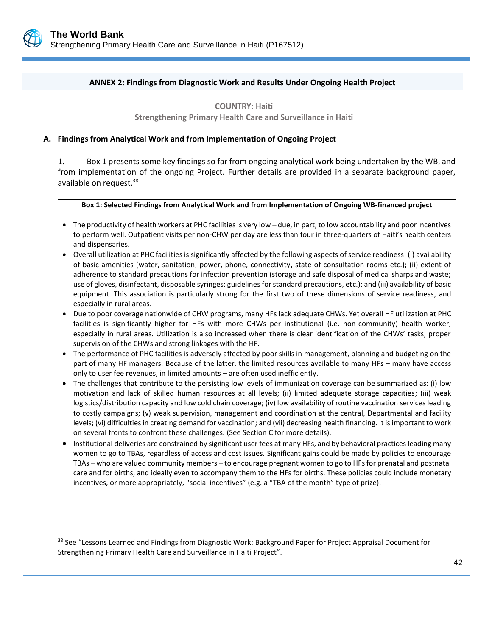<span id="page-52-0"></span>

#### **ANNEX 2: Findings from Diagnostic Work and Results Under Ongoing Health Project**

**COUNTRY: Haiti**

**Strengthening Primary Health Care and Surveillance in Haiti**

#### **A. Findings from Analytical Work and from Implementation of Ongoing Project**

1. Box 1 presents some key findings so far from ongoing analytical work being undertaken by the WB, and from implementation of the ongoing Project. Further details are provided in a separate background paper, available on request. 38

#### **Box 1: Selected Findings from Analytical Work and from Implementation of Ongoing WB-financed project**

- The productivity of health workers at PHC facilities is very low due, in part, to low accountability and poor incentives to perform well. Outpatient visits per non-CHW per day are less than four in three-quarters of Haiti's health centers and dispensaries.
- Overall utilization at PHC facilities is significantly affected by the following aspects of service readiness: (i) availability of basic amenities (water, sanitation, power, phone, connectivity, state of consultation rooms etc.); (ii) extent of adherence to standard precautions for infection prevention (storage and safe disposal of medical sharps and waste; use of gloves, disinfectant, disposable syringes; guidelines for standard precautions, etc.); and (iii) availability of basic equipment. This association is particularly strong for the first two of these dimensions of service readiness, and especially in rural areas.
- Due to poor coverage nationwide of CHW programs, many HFs lack adequate CHWs. Yet overall HF utilization at PHC facilities is significantly higher for HFs with more CHWs per institutional (i.e. non-community) health worker, especially in rural areas. Utilization is also increased when there is clear identification of the CHWs' tasks, proper supervision of the CHWs and strong linkages with the HF.
- The performance of PHC facilities is adversely affected by poor skills in management, planning and budgeting on the part of many HF managers. Because of the latter, the limited resources available to many HFs – many have access only to user fee revenues, in limited amounts – are often used inefficiently.
- The challenges that contribute to the persisting low levels of immunization coverage can be summarized as: (i) low motivation and lack of skilled human resources at all levels; (ii) limited adequate storage capacities; (iii) weak logistics/distribution capacity and low cold chain coverage; (iv) low availability of routine vaccination services leading to costly campaigns; (v) weak supervision, management and coordination at the central, Departmental and facility levels; (vi) difficulties in creating demand for vaccination; and (vii) decreasing health financing. It is important to work on several fronts to confront these challenges. (See Section C for more details).
- Institutional deliveries are constrained by significant user fees at many HFs, and by behavioral practices leading many women to go to TBAs, regardless of access and cost issues. Significant gains could be made by policies to encourage TBAs – who are valued community members – to encourage pregnant women to go to HFsfor prenatal and postnatal care and for births, and ideally even to accompany them to the HFs for births. These policies could include monetary incentives, or more appropriately, "social incentives" (e.g. a "TBA of the month" type of prize).

<sup>38</sup> See "Lessons Learned and Findings from Diagnostic Work: Background Paper for Project Appraisal Document for Strengthening Primary Health Care and Surveillance in Haiti Project".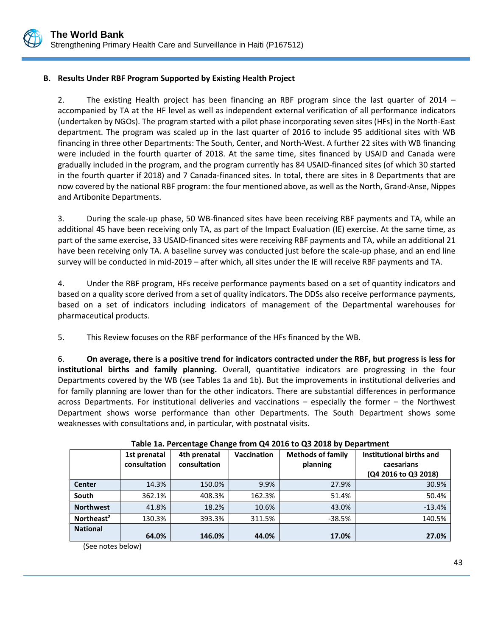# **B. Results Under RBF Program Supported by Existing Health Project**

2. The existing Health project has been financing an RBF program since the last quarter of 2014 – accompanied by TA at the HF level as well as independent external verification of all performance indicators (undertaken by NGOs). The program started with a pilot phase incorporating seven sites (HFs) in the North-East department. The program was scaled up in the last quarter of 2016 to include 95 additional sites with WB financing in three other Departments: The South, Center, and North-West. A further 22 sites with WB financing were included in the fourth quarter of 2018. At the same time, sites financed by USAID and Canada were gradually included in the program, and the program currently has 84 USAID-financed sites (of which 30 started in the fourth quarter if 2018) and 7 Canada-financed sites. In total, there are sites in 8 Departments that are now covered by the national RBF program: the four mentioned above, as well as the North, Grand-Anse, Nippes and Artibonite Departments.

3. During the scale-up phase, 50 WB-financed sites have been receiving RBF payments and TA, while an additional 45 have been receiving only TA, as part of the Impact Evaluation (IE) exercise. At the same time, as part of the same exercise, 33 USAID-financed sites were receiving RBF payments and TA, while an additional 21 have been receiving only TA. A baseline survey was conducted just before the scale-up phase, and an end line survey will be conducted in mid-2019 – after which, all sites under the IE will receive RBF payments and TA.

4. Under the RBF program, HFs receive performance payments based on a set of quantity indicators and based on a quality score derived from a set of quality indicators. The DDSs also receive performance payments, based on a set of indicators including indicators of management of the Departmental warehouses for pharmaceutical products.

5. This Review focuses on the RBF performance of the HFs financed by the WB.

6. **On average, there is a positive trend for indicators contracted under the RBF, but progress is less for institutional births and family planning.** Overall, quantitative indicators are progressing in the four Departments covered by the WB (see Tables 1a and 1b). But the improvements in institutional deliveries and for family planning are lower than for the other indicators. There are substantial differences in performance across Departments. For institutional deliveries and vaccinations – especially the former – the Northwest Department shows worse performance than other Departments. The South Department shows some weaknesses with consultations and, in particular, with postnatal visits.

| $1.00010$ and $1.0011100$ and $1.01010$ and $1.0111$ and $1.00010$ and $1.00010$ and $1.00010$ |                              |                              |                    |                                      |                                                                |  |  |  |  |  |
|------------------------------------------------------------------------------------------------|------------------------------|------------------------------|--------------------|--------------------------------------|----------------------------------------------------------------|--|--|--|--|--|
|                                                                                                | 1st prenatal<br>consultation | 4th prenatal<br>consultation | <b>Vaccination</b> | <b>Methods of family</b><br>planning | Institutional births and<br>caesarians<br>(Q4 2016 to Q3 2018) |  |  |  |  |  |
| <b>Center</b>                                                                                  | 14.3%                        | 150.0%                       | 9.9%               | 27.9%                                | 30.9%                                                          |  |  |  |  |  |
| South                                                                                          | 362.1%                       | 408.3%                       | 162.3%             | 51.4%                                | 50.4%                                                          |  |  |  |  |  |
| <b>Northwest</b>                                                                               | 41.8%                        | 18.2%                        | 10.6%              | 43.0%                                | $-13.4%$                                                       |  |  |  |  |  |
| Northeast <sup>2</sup>                                                                         | 130.3%                       | 393.3%                       | 311.5%             | $-38.5%$                             | 140.5%                                                         |  |  |  |  |  |
| <b>National</b>                                                                                | 64.0%                        | 146.0%                       | 44.0%              | 17.0%                                | 27.0%                                                          |  |  |  |  |  |

| Table 1a. Percentage Change from Q4 2016 to Q3 2018 by Department |  |
|-------------------------------------------------------------------|--|
|-------------------------------------------------------------------|--|

(See notes below)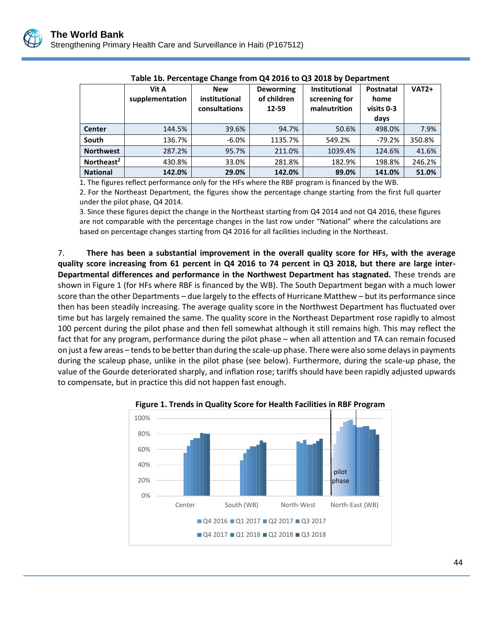

|                        | Vit A<br>supplementation | <b>New</b><br>institutional<br>consultations | <b>Deworming</b><br>of children<br>12-59 | <b>Institutional</b><br>screening for<br>malnutrition | <b>Postnatal</b><br>home<br>visits 0-3<br>days | <b>VAT2+</b> |
|------------------------|--------------------------|----------------------------------------------|------------------------------------------|-------------------------------------------------------|------------------------------------------------|--------------|
| <b>Center</b>          | 144.5%                   | 39.6%                                        | 94.7%                                    | 50.6%                                                 | 498.0%                                         | 7.9%         |
| South                  | 136.7%                   | $-6.0\%$                                     | 1135.7%                                  | 549.2%                                                | $-79.2%$                                       | 350.8%       |
| <b>Northwest</b>       | 287.2%                   | 95.7%                                        | 211.0%                                   | 1039.4%                                               | 124.6%                                         | 41.6%        |
| Northeast <sup>2</sup> | 430.8%                   | 33.0%                                        | 281.8%                                   | 182.9%                                                | 198.8%                                         | 246.2%       |
| <b>National</b>        | 142.0%                   | 29.0%                                        | 142.0%                                   | 89.0%                                                 | 141.0%                                         | 51.0%        |

#### **Table 1b. Percentage Change from Q4 2016 to Q3 2018 by Department**

1. The figures reflect performance only for the HFs where the RBF program is financed by the WB.

2. For the Northeast Department, the figures show the percentage change starting from the first full quarter under the pilot phase, Q4 2014.

3. Since these figures depict the change in the Northeast starting from Q4 2014 and not Q4 2016, these figures are not comparable with the percentage changes in the last row under "National" where the calculations are based on percentage changes starting from Q4 2016 for all facilities including in the Northeast.

7. **There has been a substantial improvement in the overall quality score for HFs, with the average quality score increasing from 61 percent in Q4 2016 to 74 percent in Q3 2018, but there are large inter-Departmental differences and performance in the Northwest Department has stagnated.** These trends are shown in Figure 1 (for HFs where RBF is financed by the WB). The South Department began with a much lower score than the other Departments – due largely to the effects of Hurricane Matthew – but its performance since then has been steadily increasing. The average quality score in the Northwest Department has fluctuated over time but has largely remained the same. The quality score in the Northeast Department rose rapidly to almost 100 percent during the pilot phase and then fell somewhat although it still remains high. This may reflect the fact that for any program, performance during the pilot phase – when all attention and TA can remain focused on just a few areas – tends to be better than during the scale-up phase. There were also some delays in payments during the scaleup phase, unlike in the pilot phase (see below). Furthermore, during the scale-up phase, the value of the Gourde deteriorated sharply, and inflation rose; tariffs should have been rapidly adjusted upwards to compensate, but in practice this did not happen fast enough.



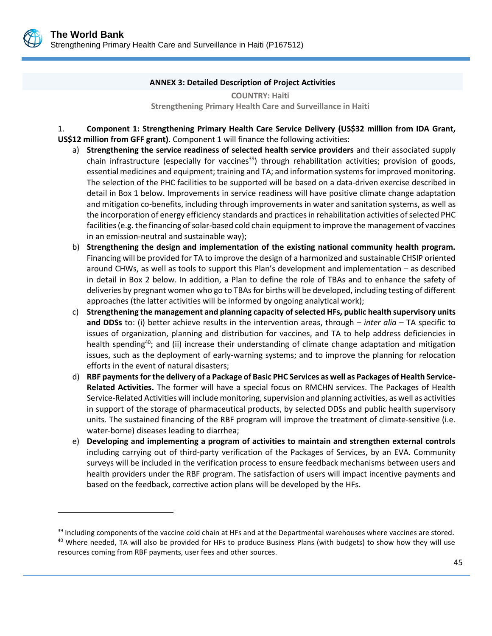#### **ANNEX 3: Detailed Description of Project Activities**

**COUNTRY: Haiti Strengthening Primary Health Care and Surveillance in Haiti**

<span id="page-55-0"></span>1. **Component 1: Strengthening Primary Health Care Service Delivery (US\$32 million from IDA Grant, US\$12 million from GFF grant)**. Component 1 will finance the following activities:

- a) **Strengthening the service readiness of selected health service providers** and their associated supply chain infrastructure (especially for vaccines<sup>39</sup>) through rehabilitation activities; provision of goods, essential medicines and equipment; training and TA; and information systems for improved monitoring. The selection of the PHC facilities to be supported will be based on a data-driven exercise described in detail in Box 1 below. Improvements in service readiness will have positive climate change adaptation and mitigation co-benefits, including through improvements in water and sanitation systems, as well as the incorporation of energy efficiency standards and practices in rehabilitation activities of selected PHC facilities(e.g. the financing of solar-based cold chain equipment to improve the management of vaccines in an emission-neutral and sustainable way);
- b) **Strengthening the design and implementation of the existing national community health program.** Financing will be provided for TA to improve the design of a harmonized and sustainable CHSIP oriented around CHWs, as well as tools to support this Plan's development and implementation – as described in detail in Box 2 below. In addition, a Plan to define the role of TBAs and to enhance the safety of deliveries by pregnant women who go to TBAs for births will be developed, including testing of different approaches (the latter activities will be informed by ongoing analytical work);
- c) **Strengthening the management and planning capacity of selected HFs, public health supervisory units and DDSs** to: (i) better achieve results in the intervention areas, through – *inter alia* – TA specific to issues of organization, planning and distribution for vaccines, and TA to help address deficiencies in health spending<sup>40</sup>; and (ii) increase their understanding of climate change adaptation and mitigation issues, such as the deployment of early-warning systems; and to improve the planning for relocation efforts in the event of natural disasters;
- d) **RBF payments for the delivery of a Package of Basic PHC Services as well as Packages of Health Service-Related Activities.** The former will have a special focus on RMCHN services. The Packages of Health Service-Related Activities will include monitoring, supervision and planning activities, as well as activities in support of the storage of pharmaceutical products, by selected DDSs and public health supervisory units. The sustained financing of the RBF program will improve the treatment of climate-sensitive (i.e. water-borne) diseases leading to diarrhea;
- e) **Developing and implementing a program of activities to maintain and strengthen external controls** including carrying out of third-party verification of the Packages of Services, by an EVA. Community surveys will be included in the verification process to ensure feedback mechanisms between users and health providers under the RBF program. The satisfaction of users will impact incentive payments and based on the feedback, corrective action plans will be developed by the HFs.

<sup>&</sup>lt;sup>39</sup> Including components of the vaccine cold chain at HFs and at the Departmental warehouses where vaccines are stored. <sup>40</sup> Where needed, TA will also be provided for HFs to produce Business Plans (with budgets) to show how they will use resources coming from RBF payments, user fees and other sources.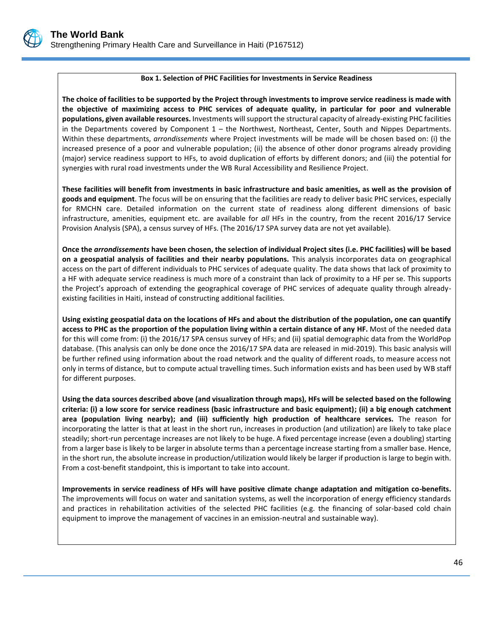#### **Box 1. Selection of PHC Facilities for Investments in Service Readiness**

**The choice of facilities to be supported by the Project through investments to improve service readiness is made with the objective of maximizing access to PHC services of adequate quality, in particular for poor and vulnerable populations, given available resources.** Investments will support the structural capacity of already-existing PHC facilities in the Departments covered by Component 1 – the Northwest, Northeast, Center, South and Nippes Departments. Within these departments, *arrondissements* where Project investments will be made will be chosen based on: (i) the increased presence of a poor and vulnerable population; (ii) the absence of other donor programs already providing (major) service readiness support to HFs, to avoid duplication of efforts by different donors; and (iii) the potential for synergies with rural road investments under the WB Rural Accessibility and Resilience Project.

**These facilities will benefit from investments in basic infrastructure and basic amenities, as well as the provision of goods and equipment**. The focus will be on ensuring that the facilities are ready to deliver basic PHC services, especially for RMCHN care. Detailed information on the current state of readiness along different dimensions of basic infrastructure, amenities, equipment etc. are available for *all* HFs in the country, from the recent 2016/17 Service Provision Analysis (SPA), a census survey of HFs. (The 2016/17 SPA survey data are not yet available).

**Once the** *arrondissements* **have been chosen, the selection of individual Project sites (i.e. PHC facilities) will be based on a geospatial analysis of facilities and their nearby populations.** This analysis incorporates data on geographical access on the part of different individuals to PHC services of adequate quality. The data shows that lack of proximity to a HF with adequate service readiness is much more of a constraint than lack of proximity to a HF per se. This supports the Project's approach of extending the geographical coverage of PHC services of adequate quality through alreadyexisting facilities in Haiti, instead of constructing additional facilities.

**Using existing geospatial data on the locations of HFs and about the distribution of the population, one can quantify access to PHC as the proportion of the population living within a certain distance of any HF.** Most of the needed data for this will come from: (i) the 2016/17 SPA census survey of HFs; and (ii) spatial demographic data from the WorldPop database. (This analysis can only be done once the 2016/17 SPA data are released in mid-2019). This basic analysis will be further refined using information about the road network and the quality of different roads, to measure access not only in terms of distance, but to compute actual travelling times. Such information exists and has been used by WB staff for different purposes.

**Using the data sources described above (and visualization through maps), HFs will be selected based on the following criteria: (i) a low score for service readiness (basic infrastructure and basic equipment); (ii) a big enough catchment area (population living nearby); and (iii) sufficiently high production of healthcare services.** The reason for incorporating the latter is that at least in the short run, increases in production (and utilization) are likely to take place steadily; short-run percentage increases are not likely to be huge. A fixed percentage increase (even a doubling) starting from a larger base is likely to be larger in absolute terms than a percentage increase starting from a smaller base. Hence, in the short run, the absolute increase in production/utilization would likely be larger if production is large to begin with. From a cost-benefit standpoint, this is important to take into account.

**Improvements in service readiness of HFs will have positive climate change adaptation and mitigation co-benefits.** The improvements will focus on water and sanitation systems, as well the incorporation of energy efficiency standards and practices in rehabilitation activities of the selected PHC facilities (e.g. the financing of solar-based cold chain equipment to improve the management of vaccines in an emission-neutral and sustainable way).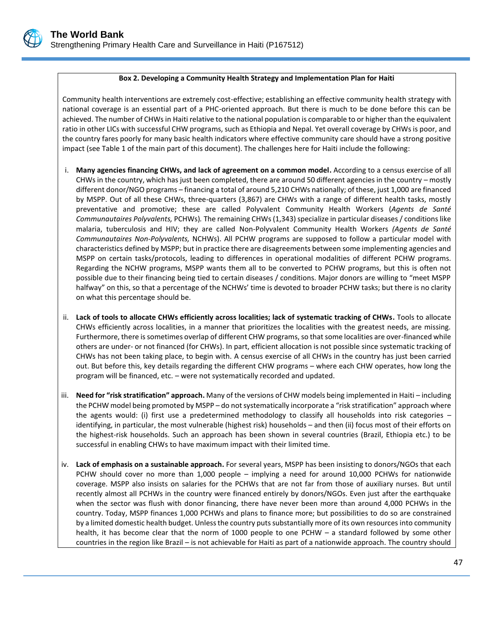#### **Box 2. Developing a Community Health Strategy and Implementation Plan for Haiti**

Community health interventions are extremely cost-effective; establishing an effective community health strategy with national coverage is an essential part of a PHC-oriented approach. But there is much to be done before this can be achieved. The number of CHWs in Haiti relative to the national population is comparable to or higher than the equivalent ratio in other LICs with successful CHW programs, such as Ethiopia and Nepal. Yet overall coverage by CHWs is poor, and the country fares poorly for many basic health indicators where effective community care should have a strong positive impact (see Table 1 of the main part of this document). The challenges here for Haiti include the following:

- i. **Many agencies financing CHWs, and lack of agreement on a common model.** According to a census exercise of all CHWs in the country, which has just been completed, there are around 50 different agencies in the country – mostly different donor/NGO programs – financing a total of around 5,210 CHWs nationally; of these, just 1,000 are financed by MSPP. Out of all these CHWs, three-quarters (3,867) are CHWs with a range of different health tasks, mostly preventative and promotive; these are called Polyvalent Community Health Workers (*Agents de Santé Communautaires Polyvalents,* PCHWs)*.* The remaining CHWs (1,343) specialize in particular diseases / conditions like malaria, tuberculosis and HIV; they are called Non-Polyvalent Community Health Workers *(Agents de Santé Communautaires Non-Polyvalents,* NCHWs). All PCHW programs are supposed to follow a particular model with characteristics defined by MSPP; but in practice there are disagreements between some implementing agencies and MSPP on certain tasks/protocols, leading to differences in operational modalities of different PCHW programs. Regarding the NCHW programs, MSPP wants them all to be converted to PCHW programs, but this is often not possible due to their financing being tied to certain diseases / conditions. Major donors are willing to "meet MSPP halfway" on this, so that a percentage of the NCHWs' time is devoted to broader PCHW tasks; but there is no clarity on what this percentage should be.
- ii. **Lack of tools to allocate CHWs efficiently across localities; lack of systematic tracking of CHWs.** Tools to allocate CHWs efficiently across localities, in a manner that prioritizes the localities with the greatest needs, are missing. Furthermore, there is sometimes overlap of different CHW programs, so that some localities are over-financed while others are under- or not financed (for CHWs). In part, efficient allocation is not possible since systematic tracking of CHWs has not been taking place, to begin with. A census exercise of all CHWs in the country has just been carried out. But before this, key details regarding the different CHW programs – where each CHW operates, how long the program will be financed, etc. – were not systematically recorded and updated.
- iii. **Need for "risk stratification" approach.** Many of the versions of CHW models being implemented in Haiti including the PCHW model being promoted by MSPP – do not systematically incorporate a "risk stratification" approach where the agents would: (i) first use a predetermined methodology to classify all households into risk categories – identifying, in particular, the most vulnerable (highest risk) households – and then (ii) focus most of their efforts on the highest-risk households. Such an approach has been shown in several countries (Brazil, Ethiopia etc.) to be successful in enabling CHWs to have maximum impact with their limited time.
- iv. **Lack of emphasis on a sustainable approach.** For several years, MSPP has been insisting to donors/NGOs that each PCHW should cover no more than 1,000 people – implying a need for around 10,000 PCHWs for nationwide coverage. MSPP also insists on salaries for the PCHWs that are not far from those of auxiliary nurses. But until recently almost all PCHWs in the country were financed entirely by donors/NGOs. Even just after the earthquake when the sector was flush with donor financing, there have never been more than around 4,000 PCHWs in the country. Today, MSPP finances 1,000 PCHWs and plans to finance more; but possibilities to do so are constrained by a limited domestic health budget. Unless the country puts substantially more of its own resources into community health, it has become clear that the norm of 1000 people to one PCHW – a standard followed by some other countries in the region like Brazil – is not achievable for Haiti as part of a nationwide approach. The country should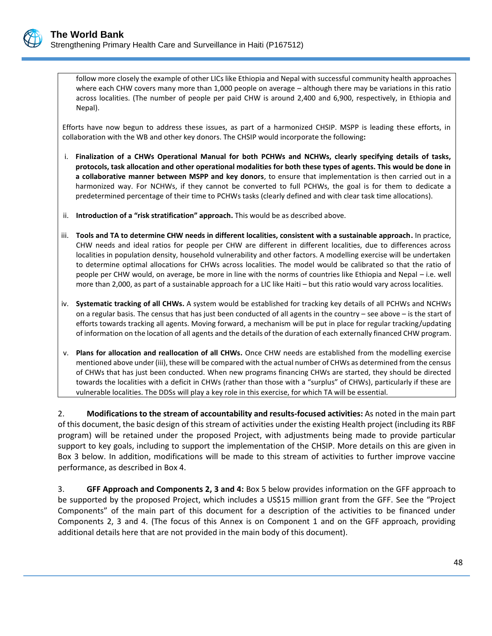

follow more closely the example of other LICs like Ethiopia and Nepal with successful community health approaches where each CHW covers many more than 1,000 people on average – although there may be variations in this ratio across localities. (The number of people per paid CHW is around 2,400 and 6,900, respectively, in Ethiopia and Nepal).

Efforts have now begun to address these issues, as part of a harmonized CHSIP. MSPP is leading these efforts, in collaboration with the WB and other key donors. The CHSIP would incorporate the following**:**

- i. **Finalization of a CHWs Operational Manual for both PCHWs and NCHWs, clearly specifying details of tasks, protocols, task allocation and other operational modalities for both these types of agents. This would be done in a collaborative manner between MSPP and key donors**, to ensure that implementation is then carried out in a harmonized way. For NCHWs, if they cannot be converted to full PCHWs, the goal is for them to dedicate a predetermined percentage of their time to PCHWs tasks (clearly defined and with clear task time allocations).
- ii. **Introduction of a "risk stratification" approach.** This would be as described above.
- iii. **Tools and TA to determine CHW needs in different localities, consistent with a sustainable approach.** In practice, CHW needs and ideal ratios for people per CHW are different in different localities, due to differences across localities in population density, household vulnerability and other factors. A modelling exercise will be undertaken to determine optimal allocations for CHWs across localities. The model would be calibrated so that the ratio of people per CHW would, on average, be more in line with the norms of countries like Ethiopia and Nepal – i.e. well more than 2,000, as part of a sustainable approach for a LIC like Haiti – but this ratio would vary across localities.
- iv. **Systematic tracking of all CHWs.** A system would be established for tracking key details of all PCHWs and NCHWs on a regular basis. The census that has just been conducted of all agents in the country – see above – is the start of efforts towards tracking all agents. Moving forward, a mechanism will be put in place for regular tracking/updating of information on the location of all agents and the details of the duration of each externally financed CHW program.
- v. **Plans for allocation and reallocation of all CHWs.** Once CHW needs are established from the modelling exercise mentioned above under (iii), these will be compared with the actual number of CHWs as determined from the census of CHWs that has just been conducted. When new programs financing CHWs are started, they should be directed towards the localities with a deficit in CHWs (rather than those with a "surplus" of CHWs), particularly if these are vulnerable localities. The DDSs will play a key role in this exercise, for which TA will be essential.

2. **Modifications to the stream of accountability and results-focused activities:** As noted in the main part of this document, the basic design of this stream of activities under the existing Health project (including its RBF program) will be retained under the proposed Project, with adjustments being made to provide particular support to key goals, including to support the implementation of the CHSIP. More details on this are given in Box 3 below. In addition, modifications will be made to this stream of activities to further improve vaccine performance, as described in Box 4.

3. **GFF Approach and Components 2, 3 and 4:** Box 5 below provides information on the GFF approach to be supported by the proposed Project, which includes a US\$15 million grant from the GFF. See the "Project Components" of the main part of this document for a description of the activities to be financed under Components 2, 3 and 4. (The focus of this Annex is on Component 1 and on the GFF approach, providing additional details here that are not provided in the main body of this document).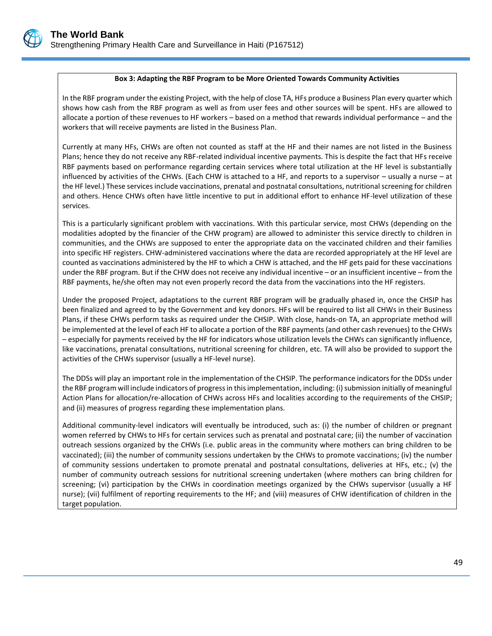#### **Box 3: Adapting the RBF Program to be More Oriented Towards Community Activities**

In the RBF program under the existing Project, with the help of close TA, HFs produce a Business Plan every quarter which shows how cash from the RBF program as well as from user fees and other sources will be spent. HFs are allowed to allocate a portion of these revenues to HF workers – based on a method that rewards individual performance – and the workers that will receive payments are listed in the Business Plan.

Currently at many HFs, CHWs are often not counted as staff at the HF and their names are not listed in the Business Plans; hence they do not receive any RBF-related individual incentive payments. This is despite the fact that HFs receive RBF payments based on performance regarding certain services where total utilization at the HF level is substantially influenced by activities of the CHWs. (Each CHW is attached to a HF, and reports to a supervisor – usually a nurse – at the HF level.) These services include vaccinations, prenatal and postnatal consultations, nutritional screening for children and others. Hence CHWs often have little incentive to put in additional effort to enhance HF-level utilization of these services.

This is a particularly significant problem with vaccinations. With this particular service, most CHWs (depending on the modalities adopted by the financier of the CHW program) are allowed to administer this service directly to children in communities, and the CHWs are supposed to enter the appropriate data on the vaccinated children and their families into specific HF registers. CHW-administered vaccinations where the data are recorded appropriately at the HF level are counted as vaccinations administered by the HF to which a CHW is attached, and the HF gets paid for these vaccinations under the RBF program. But if the CHW does not receive any individual incentive – or an insufficient incentive – from the RBF payments, he/she often may not even properly record the data from the vaccinations into the HF registers.

Under the proposed Project, adaptations to the current RBF program will be gradually phased in, once the CHSIP has been finalized and agreed to by the Government and key donors. HFs will be required to list all CHWs in their Business Plans, if these CHWs perform tasks as required under the CHSIP. With close, hands-on TA, an appropriate method will be implemented at the level of each HF to allocate a portion of the RBF payments (and other cash revenues) to the CHWs – especially for payments received by the HF for indicators whose utilization levels the CHWs can significantly influence, like vaccinations, prenatal consultations, nutritional screening for children, etc. TA will also be provided to support the activities of the CHWs supervisor (usually a HF-level nurse).

The DDSs will play an important role in the implementation of the CHSIP. The performance indicators for the DDSs under the RBF program will include indicators of progress in this implementation, including: (i) submission initially of meaningful Action Plans for allocation/re-allocation of CHWs across HFs and localities according to the requirements of the CHSIP; and (ii) measures of progress regarding these implementation plans.

Additional community-level indicators will eventually be introduced, such as: (i) the number of children or pregnant women referred by CHWs to HFs for certain services such as prenatal and postnatal care; (ii) the number of vaccination outreach sessions organized by the CHWs (i.e. public areas in the community where mothers can bring children to be vaccinated); (iii) the number of community sessions undertaken by the CHWs to promote vaccinations; (iv) the number of community sessions undertaken to promote prenatal and postnatal consultations, deliveries at HFs, etc.; (v) the number of community outreach sessions for nutritional screening undertaken (where mothers can bring children for screening; (vi) participation by the CHWs in coordination meetings organized by the CHWs supervisor (usually a HF nurse); (vii) fulfilment of reporting requirements to the HF; and (viii) measures of CHW identification of children in the target population.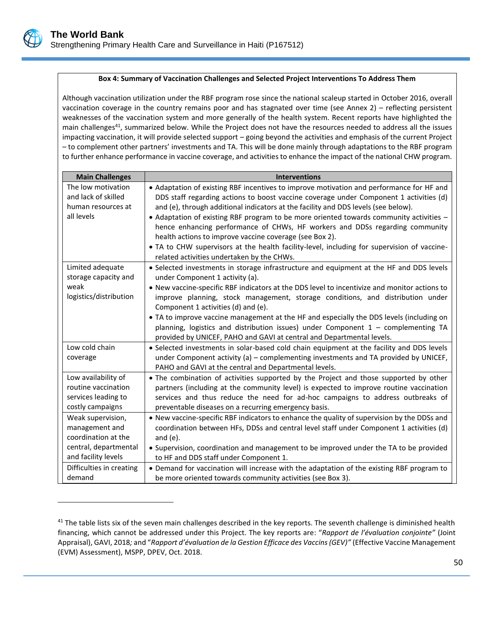

#### **Box 4: Summary of Vaccination Challenges and Selected Project Interventions To Address Them**

Although vaccination utilization under the RBF program rose since the national scaleup started in October 2016, overall vaccination coverage in the country remains poor and has stagnated over time (see Annex 2) – reflecting persistent weaknesses of the vaccination system and more generally of the health system. Recent reports have highlighted the main challenges<sup>41</sup>, summarized below. While the Project does not have the resources needed to address all the issues impacting vaccination, it will provide selected support – going beyond the activities and emphasis of the current Project – to complement other partners' investments and TA. This will be done mainly through adaptations to the RBF program to further enhance performance in vaccine coverage, and activities to enhance the impact of the national CHW program.

| <b>Main Challenges</b>                    | <b>Interventions</b>                                                                                                                                                         |
|-------------------------------------------|------------------------------------------------------------------------------------------------------------------------------------------------------------------------------|
| The low motivation<br>and lack of skilled | • Adaptation of existing RBF incentives to improve motivation and performance for HF and                                                                                     |
| human resources at                        | DDS staff regarding actions to boost vaccine coverage under Component 1 activities (d)<br>and (e), through additional indicators at the facility and DDS levels (see below). |
| all levels                                | • Adaptation of existing RBF program to be more oriented towards community activities -                                                                                      |
|                                           | hence enhancing performance of CHWs, HF workers and DDSs regarding community<br>health actions to improve vaccine coverage (see Box 2).                                      |
|                                           | . TA to CHW supervisors at the health facility-level, including for supervision of vaccine-                                                                                  |
|                                           | related activities undertaken by the CHWs.                                                                                                                                   |
| Limited adequate<br>storage capacity and  | • Selected investments in storage infrastructure and equipment at the HF and DDS levels<br>under Component 1 activity (a).                                                   |
| weak                                      | . New vaccine-specific RBF indicators at the DDS level to incentivize and monitor actions to                                                                                 |
| logistics/distribution                    | improve planning, stock management, storage conditions, and distribution under                                                                                               |
|                                           | Component 1 activities (d) and (e).                                                                                                                                          |
|                                           | • TA to improve vaccine management at the HF and especially the DDS levels (including on                                                                                     |
|                                           | planning, logistics and distribution issues) under Component $1$ – complementing TA<br>provided by UNICEF, PAHO and GAVI at central and Departmental levels.                 |
| Low cold chain                            | • Selected investments in solar-based cold chain equipment at the facility and DDS levels                                                                                    |
| coverage                                  | under Component activity (a) – complementing investments and TA provided by UNICEF,<br>PAHO and GAVI at the central and Departmental levels.                                 |
| Low availability of                       | • The combination of activities supported by the Project and those supported by other                                                                                        |
| routine vaccination                       | partners (including at the community level) is expected to improve routine vaccination                                                                                       |
| services leading to                       | services and thus reduce the need for ad-hoc campaigns to address outbreaks of                                                                                               |
| costly campaigns                          | preventable diseases on a recurring emergency basis.                                                                                                                         |
| Weak supervision,                         | . New vaccine-specific RBF indicators to enhance the quality of supervision by the DDSs and                                                                                  |
| management and<br>coordination at the     | coordination between HFs, DDSs and central level staff under Component 1 activities (d)<br>and $(e)$ .                                                                       |
| central, departmental                     | • Supervision, coordination and management to be improved under the TA to be provided                                                                                        |
| and facility levels                       | to HF and DDS staff under Component 1.                                                                                                                                       |
| Difficulties in creating                  | • Demand for vaccination will increase with the adaptation of the existing RBF program to                                                                                    |
| demand                                    | be more oriented towards community activities (see Box 3).                                                                                                                   |

 $41$  The table lists six of the seven main challenges described in the key reports. The seventh challenge is diminished health financing, which cannot be addressed under this Project. The key reports are: "*Rapport de l'évaluation conjointe"* (Joint Appraisal), GAVI, 2018*;* and "*Rapport d'évaluation de la Gestion Efficace des Vaccins (GEV)"* (Effective Vaccine Management (EVM) Assessment), MSPP, DPEV, Oct. 2018.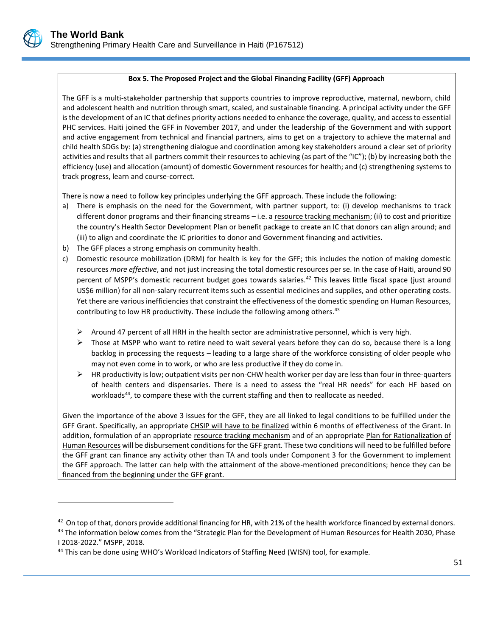#### **Box 5. The Proposed Project and the Global Financing Facility (GFF) Approach**

The GFF is a multi-stakeholder partnership that supports countries to improve reproductive, maternal, newborn, child and adolescent health and nutrition through smart, scaled, and sustainable financing. A principal activity under the GFF is the development of an IC that defines priority actions needed to enhance the coverage, quality, and access to essential PHC services. Haiti joined the GFF in November 2017, and under the leadership of the Government and with support and active engagement from technical and financial partners, aims to get on a trajectory to achieve the maternal and child health SDGs by: (a) strengthening dialogue and coordination among key stakeholders around a clear set of priority activities and results that all partners commit their resources to achieving (as part of the "IC"); (b) by increasing both the efficiency (use) and allocation (amount) of domestic Government resources for health; and (c) strengthening systems to track progress, learn and course-correct.

There is now a need to follow key principles underlying the GFF approach. These include the following:

- a) There is emphasis on the need for the Government, with partner support, to: (i) develop mechanisms to track different donor programs and their financing streams - i.e. a resource tracking mechanism; (ii) to cost and prioritize the country's Health Sector Development Plan or benefit package to create an IC that donors can align around; and (iii) to align and coordinate the IC priorities to donor and Government financing and activities.
- b) The GFF places a strong emphasis on community health.

 $\overline{a}$ 

- c) Domestic resource mobilization (DRM) for health is key for the GFF; this includes the notion of making domestic resources *more effective*, and not just increasing the total domestic resources per se. In the case of Haiti, around 90 percent of MSPP's domestic recurrent budget goes towards salaries.<sup>42</sup> This leaves little fiscal space (just around US\$6 million) for all non-salary recurrent items such as essential medicines and supplies, and other operating costs. Yet there are various inefficiencies that constraint the effectiveness of the domestic spending on Human Resources, contributing to low HR productivity. These include the following among others.<sup>43</sup>
	- $\triangleright$  Around 47 percent of all HRH in the health sector are administrative personnel, which is very high.
	- $\triangleright$  Those at MSPP who want to retire need to wait several years before they can do so, because there is a long backlog in processing the requests – leading to a large share of the workforce consisting of older people who may not even come in to work, or who are less productive if they do come in.
	- $\triangleright$  HR productivity is low; outpatient visits per non-CHW health worker per day are less than four in three-quarters of health centers and dispensaries. There is a need to assess the "real HR needs" for each HF based on workloads<sup>44</sup>, to compare these with the current staffing and then to reallocate as needed.

Given the importance of the above 3 issues for the GFF, they are all linked to legal conditions to be fulfilled under the GFF Grant. Specifically, an appropriate CHSIP will have to be finalized within 6 months of effectiveness of the Grant. In addition, formulation of an appropriate resource tracking mechanism and of an appropriate Plan for Rationalization of Human Resources will be disbursement conditions for the GFF grant. These two conditions will need to be fulfilled before the GFF grant can finance any activity other than TA and tools under Component 3 for the Government to implement the GFF approach. The latter can help with the attainment of the above-mentioned preconditions; hence they can be financed from the beginning under the GFF grant.

 $42$  On top of that, donors provide additional financing for HR, with 21% of the health workforce financed by external donors. <sup>43</sup> The information below comes from the "Strategic Plan for the Development of Human Resources for Health 2030, Phase I 2018-2022." MSPP, 2018.

<sup>44</sup> This can be done using WHO's Workload Indicators of Staffing Need (WISN) tool, for example.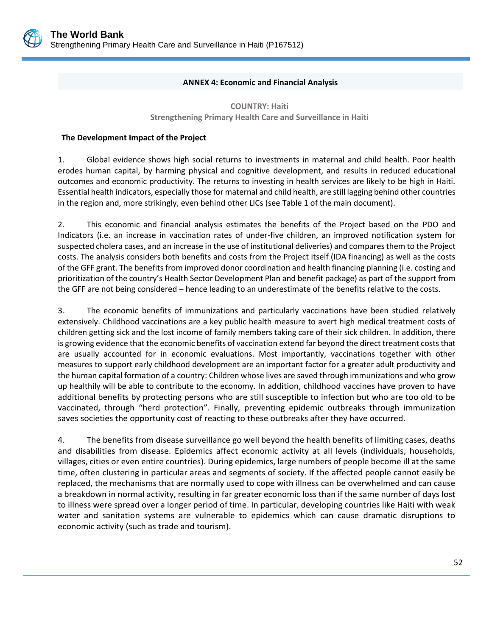#### <span id="page-62-0"></span>**ANNEX 4: Economic and Financial Analysis**

**COUNTRY: Haiti Strengthening Primary Health Care and Surveillance in Haiti**

#### **The Development Impact of the Project**

1. Global evidence shows high social returns to investments in maternal and child health. Poor health erodes human capital, by harming physical and cognitive development, and results in reduced educational outcomes and economic productivity. The returns to investing in health services are likely to be high in Haiti. Essential health indicators, especially those for maternal and child health, are still lagging behind other countries in the region and, more strikingly, even behind other LICs (see Table 1 of the main document).

2. This economic and financial analysis estimates the benefits of the Project based on the PDO and Indicators (i.e. an increase in vaccination rates of under-five children, an improved notification system for suspected cholera cases, and an increase in the use of institutional deliveries) and compares them to the Project costs. The analysis considers both benefits and costs from the Project itself (IDA financing) as well as the costs of the GFF grant. The benefits from improved donor coordination and health financing planning (i.e. costing and prioritization of the country's Health Sector Development Plan and benefit package) as part of the support from the GFF are not being considered – hence leading to an underestimate of the benefits relative to the costs.

3. The economic benefits of immunizations and particularly vaccinations have been studied relatively extensively. Childhood vaccinations are a key public health measure to avert high medical treatment costs of children getting sick and the lost income of family members taking care of their sick children. In addition, there is growing evidence that the economic benefits of vaccination extend far beyond the direct treatment costs that are usually accounted for in economic evaluations. Most importantly, vaccinations together with other measures to support early childhood development are an important factor for a greater adult productivity and the human capital formation of a country: Children whose lives are saved through immunizations and who grow up healthily will be able to contribute to the economy. In addition, childhood vaccines have proven to have additional benefits by protecting persons who are still susceptible to infection but who are too old to be vaccinated, through "herd protection". Finally, preventing epidemic outbreaks through immunization saves societies the opportunity cost of reacting to these outbreaks after they have occurred.

4. The benefits from disease surveillance go well beyond the health benefits of limiting cases, deaths and disabilities from disease. Epidemics affect economic activity at all levels (individuals, households, villages, cities or even entire countries). During epidemics, large numbers of people become ill at the same time, often clustering in particular areas and segments of society. If the affected people cannot easily be replaced, the mechanisms that are normally used to cope with illness can be overwhelmed and can cause a breakdown in normal activity, resulting in far greater economic loss than if the same number of days lost to illness were spread over a longer period of time. In particular, developing countries like Haiti with weak water and sanitation systems are vulnerable to epidemics which can cause dramatic disruptions to economic activity (such as trade and tourism).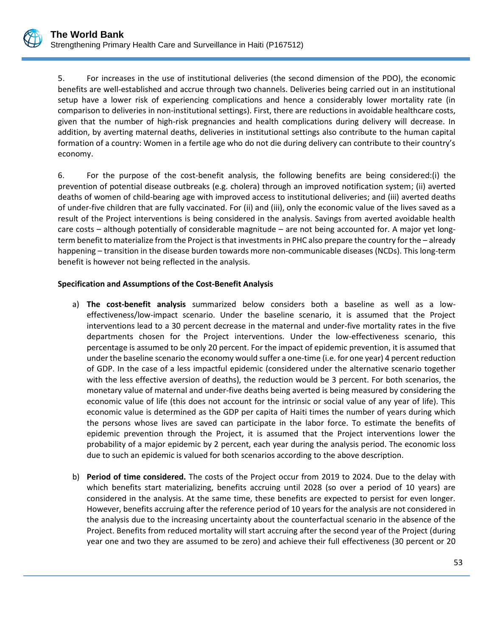5. For increases in the use of institutional deliveries (the second dimension of the PDO), the economic benefits are well-established and accrue through two channels. Deliveries being carried out in an institutional setup have a lower risk of experiencing complications and hence a considerably lower mortality rate (in comparison to deliveries in non-institutional settings). First, there are reductions in avoidable healthcare costs, given that the number of high-risk pregnancies and health complications during delivery will decrease. In addition, by averting maternal deaths, deliveries in institutional settings also contribute to the human capital formation of a country: Women in a fertile age who do not die during delivery can contribute to their country's economy.

6. For the purpose of the cost-benefit analysis, the following benefits are being considered:(i) the prevention of potential disease outbreaks (e.g. cholera) through an improved notification system; (ii) averted deaths of women of child-bearing age with improved access to institutional deliveries; and (iii) averted deaths of under-five children that are fully vaccinated. For (ii) and (iii), only the economic value of the lives saved as a result of the Project interventions is being considered in the analysis. Savings from averted avoidable health care costs – although potentially of considerable magnitude – are not being accounted for. A major yet longterm benefit to materialize from the Project is that investments in PHC also prepare the country for the – already happening – transition in the disease burden towards more non-communicable diseases (NCDs). This long-term benefit is however not being reflected in the analysis.

#### **Specification and Assumptions of the Cost-Benefit Analysis**

- a) **The cost-benefit analysis** summarized below considers both a baseline as well as a loweffectiveness/low-impact scenario. Under the baseline scenario, it is assumed that the Project interventions lead to a 30 percent decrease in the maternal and under-five mortality rates in the five departments chosen for the Project interventions. Under the low-effectiveness scenario, this percentage is assumed to be only 20 percent. For the impact of epidemic prevention, it is assumed that under the baseline scenario the economy would suffer a one-time (i.e. for one year) 4 percent reduction of GDP. In the case of a less impactful epidemic (considered under the alternative scenario together with the less effective aversion of deaths), the reduction would be 3 percent. For both scenarios, the monetary value of maternal and under-five deaths being averted is being measured by considering the economic value of life (this does not account for the intrinsic or social value of any year of life). This economic value is determined as the GDP per capita of Haiti times the number of years during which the persons whose lives are saved can participate in the labor force. To estimate the benefits of epidemic prevention through the Project, it is assumed that the Project interventions lower the probability of a major epidemic by 2 percent, each year during the analysis period. The economic loss due to such an epidemic is valued for both scenarios according to the above description.
- b) **Period of time considered.** The costs of the Project occur from 2019 to 2024. Due to the delay with which benefits start materializing, benefits accruing until 2028 (so over a period of 10 years) are considered in the analysis. At the same time, these benefits are expected to persist for even longer. However, benefits accruing after the reference period of 10 years for the analysis are not considered in the analysis due to the increasing uncertainty about the counterfactual scenario in the absence of the Project. Benefits from reduced mortality will start accruing after the second year of the Project (during year one and two they are assumed to be zero) and achieve their full effectiveness (30 percent or 20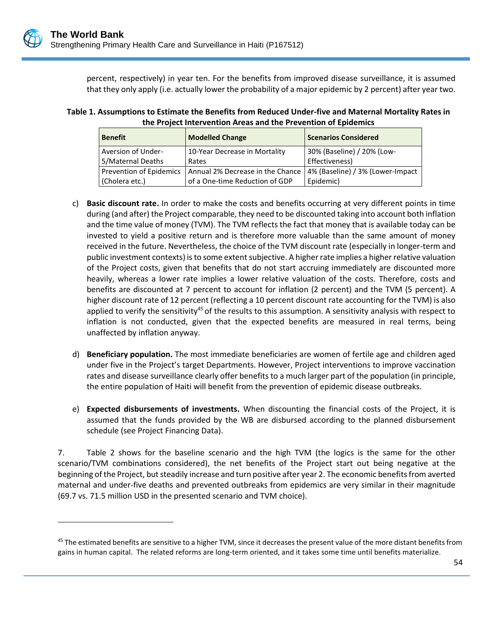

percent, respectively) in year ten. For the benefits from improved disease surveillance, it is assumed that they only apply (i.e. actually lower the probability of a major epidemic by 2 percent) after year two.

| Table 1. Assumptions to Estimate the Benefits from Reduced Under-five and Maternal Mortality Rates in |
|-------------------------------------------------------------------------------------------------------|
| the Project Intervention Areas and the Prevention of Epidemics                                        |

| <b>Benefit</b>          | <b>Modelled Change</b>           | <b>Scenarios Considered</b>      |
|-------------------------|----------------------------------|----------------------------------|
| Aversion of Under-      | 10-Year Decrease in Mortality    | 30% (Baseline) / 20% (Low-       |
| 5/Maternal Deaths       | Rates                            | Effectiveness)                   |
| Prevention of Epidemics | Annual 2% Decrease in the Chance | 4% (Baseline) / 3% (Lower-Impact |
| (Cholera etc.)          | of a One-time Reduction of GDP   | Epidemic)                        |

- c) **Basic discount rate.** In order to make the costs and benefits occurring at very different points in time during (and after) the Project comparable, they need to be discounted taking into account both inflation and the time value of money (TVM). The TVM reflects the fact that money that is available today can be invested to yield a positive return and is therefore more valuable than the same amount of money received in the future. Nevertheless, the choice of the TVM discount rate (especially in longer-term and public investment contexts) is to some extent subjective. A higher rate implies a higher relative valuation of the Project costs, given that benefits that do not start accruing immediately are discounted more heavily, whereas a lower rate implies a lower relative valuation of the costs. Therefore, costs and benefits are discounted at 7 percent to account for inflation (2 percent) and the TVM (5 percent). A higher discount rate of 12 percent (reflecting a 10 percent discount rate accounting for the TVM) is also applied to verify the sensitivity<sup>45</sup> of the results to this assumption. A sensitivity analysis with respect to inflation is not conducted, given that the expected benefits are measured in real terms, being unaffected by inflation anyway.
- d) **Beneficiary population.** The most immediate beneficiaries are women of fertile age and children aged under five in the Project's target Departments. However, Project interventions to improve vaccination rates and disease surveillance clearly offer benefits to a much larger part of the population (in principle, the entire population of Haiti will benefit from the prevention of epidemic disease outbreaks.
- e) **Expected disbursements of investments.** When discounting the financial costs of the Project, it is assumed that the funds provided by the WB are disbursed according to the planned disbursement schedule (see Project Financing Data).

7. Table 2 shows for the baseline scenario and the high TVM (the logics is the same for the other scenario/TVM combinations considered), the net benefits of the Project start out being negative at the beginning of the Project, but steadily increase and turn positive after year 2. The economic benefits from averted maternal and under-five deaths and prevented outbreaks from epidemics are very similar in their magnitude (69.7 vs. 71.5 million USD in the presented scenario and TVM choice).

<sup>&</sup>lt;sup>45</sup> The estimated benefits are sensitive to a higher TVM, since it decreases the present value of the more distant benefits from gains in human capital. The related reforms are long-term oriented, and it takes some time until benefits materialize.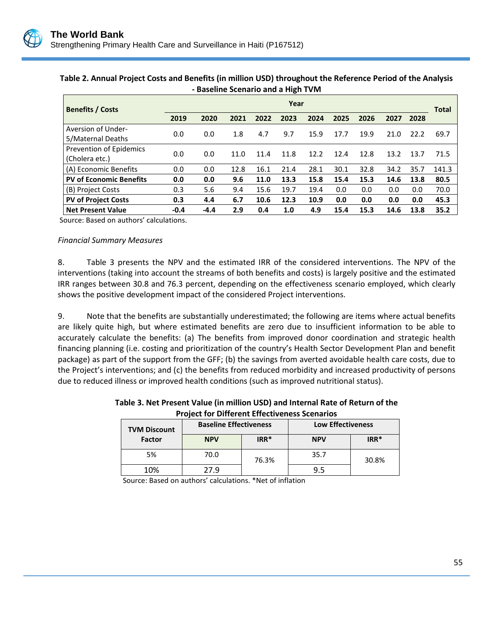

| - Baseline Scenario and a High TVM        |      |      |      |      |      |      |      |              |      |      |      |
|-------------------------------------------|------|------|------|------|------|------|------|--------------|------|------|------|
| <b>Benefits / Costs</b>                   | Year |      |      |      |      |      |      | <b>Total</b> |      |      |      |
|                                           | 2019 | 2020 | 2021 | 2022 | 2023 | 2024 | 2025 | 2026         | 2027 | 2028 |      |
| <b>Aversion of Under-</b>                 | 0.0  | 0.0  | 1.8  | 4.7  | 9.7  | 15.9 | 17.7 | 19.9         | 21.0 | 22.2 | 69.7 |
| 5/Maternal Deaths                         |      |      |      |      |      |      |      |              |      |      |      |
| Prevention of Epidemics<br>(Cholera etc.) | 0.0  | 0.0  | 11 O | 11.4 | 11.8 | 12.2 | 12.4 | 12.8         | 13.2 | 13.7 | 71.5 |

(A) Economic Benefits 0.0 0.0 12.8 16.1 21.4 28.1 30.1 32.8 34.2 35.7 141.3 **PV of Economic Benefits 0.0 0.0 9.6 11.0 13.3 15.8 15.4 15.3 14.6 13.8 80.5** (B) Project Costs 0.3 5.6 9.4 15.6 19.7 19.4 0.0 0.0 0.0 0.0 70.0 **PV of Project Costs 0.3 4.4 6.7 10.6 12.3 10.9 0.0 0.0 0.0 0.0 45.3 Net Present Value -0.4 -4.4 2.9 0.4 1.0 4.9 15.4 15.3 14.6 13.8 35.2**

# **Table 2. Annual Project Costs and Benefits (in million USD) throughout the Reference Period of the Analysis**

Source: Based on authors' calculations.

#### *Financial Summary Measures*

8. Table 3 presents the NPV and the estimated IRR of the considered interventions. The NPV of the interventions (taking into account the streams of both benefits and costs) is largely positive and the estimated IRR ranges between 30.8 and 76.3 percent, depending on the effectiveness scenario employed, which clearly shows the positive development impact of the considered Project interventions.

9. Note that the benefits are substantially underestimated; the following are items where actual benefits are likely quite high, but where estimated benefits are zero due to insufficient information to be able to accurately calculate the benefits: (a) The benefits from improved donor coordination and strategic health financing planning (i.e. costing and prioritization of the country's Health Sector Development Plan and benefit package) as part of the support from the GFF; (b) the savings from averted avoidable health care costs, due to the Project's interventions; and (c) the benefits from reduced morbidity and increased productivity of persons due to reduced illness or improved health conditions (such as improved nutritional status).

|  | <b>TVM Discount</b><br>Factor | <b>Baseline Effectiveness</b> |        | <b>Low Effectiveness</b> |        |
|--|-------------------------------|-------------------------------|--------|--------------------------|--------|
|  |                               | <b>NPV</b>                    | $IRR*$ | <b>NPV</b>               | $IRR*$ |
|  | 5%                            | 70.0                          | 76.3%  | 35.7                     | 30.8%  |
|  | 10%                           | 27.9                          |        | 95                       |        |

**Table 3. Net Present Value (in million USD) and Internal Rate of Return of the Project for Different Effectiveness Scenarios**

Source: Based on authors' calculations. \*Net of inflation